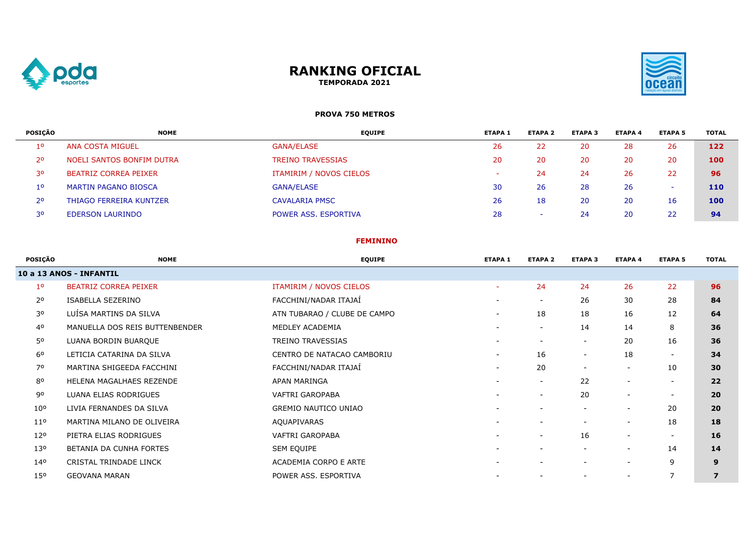

## **RANKING OFICIAL TEMPORADA 2021**



## **PROVA 750 METROS**

| POSICÃO     | <b>NOME</b>                    | <b>EQUIPE</b>            | <b>ETAPA 1</b>           | <b>ETAPA 2</b>           | <b>ETAPA 3</b> | <b>ETAPA 4</b> | <b>ETAPA 5</b> | <b>TOTAL</b> |
|-------------|--------------------------------|--------------------------|--------------------------|--------------------------|----------------|----------------|----------------|--------------|
| $1^{\circ}$ | <b>ANA COSTA MIGUEL</b>        | <b>GANA/ELASE</b>        | 26                       | 22                       | 20             | 28             | 26             | 122          |
| 2٥          | NOELI SANTOS BONFIM DUTRA      | <b>TREINO TRAVESSIAS</b> | 20                       | 20                       | 20             | 20             | 20             | 100          |
| 30          | BEATRIZ CORREA PEIXER          | ITAMIRIM / NOVOS CIELOS  | $\overline{\phantom{a}}$ | 24                       | 24             | 26             | 22             | 96           |
| 10          | <b>MARTIN PAGANO BIOSCA</b>    | <b>GANA/ELASE</b>        | 30                       | 26                       | 28             | 26             |                | 110          |
| 2٥          | <b>THIAGO FERREIRA KUNTZER</b> | <b>CAVALARIA PMSC</b>    | 26                       | 18                       | 20             | 20             | 16             | 100          |
| 30          | <b>EDERSON LAURINDO</b>        | POWER ASS. ESPORTIVA     | 28                       | $\overline{\phantom{a}}$ | 24             | 20             | 22             | 94           |

### **FEMININO**

| POSIÇÃO         | <b>NOME</b>                    | <b>EQUIPE</b>                | <b>ETAPA 1</b>           | <b>ETAPA 2</b>           | <b>ETAPA 3</b>           | <b>ETAPA 4</b>           | <b>ETAPA 5</b>           | <b>TOTAL</b>   |
|-----------------|--------------------------------|------------------------------|--------------------------|--------------------------|--------------------------|--------------------------|--------------------------|----------------|
|                 | 10 a 13 ANOS - INFANTIL        |                              |                          |                          |                          |                          |                          |                |
| 1 <sup>o</sup>  | <b>BEATRIZ CORREA PEIXER</b>   | ITAMIRIM / NOVOS CIELOS      | ٠                        | 24                       | 24                       | 26                       | 22                       | 96             |
| 2 <sup>o</sup>  | ISABELLA SEZERINO              | FACCHINI/NADAR ITAJAÍ        | $\overline{\phantom{a}}$ | $\overline{\phantom{a}}$ | 26                       | 30                       | 28                       | 84             |
| 30              | LUÍSA MARTINS DA SILVA         | ATN TUBARAO / CLUBE DE CAMPO | Ξ.                       | 18                       | 18                       | 16                       | 12                       | 64             |
| 4 <sup>o</sup>  | MANUELLA DOS REIS BUTTENBENDER | MEDLEY ACADEMIA              | $\overline{\phantom{0}}$ | $\sim$                   | 14                       | 14                       | 8                        | 36             |
| 50              | LUANA BORDIN BUARQUE           | TREINO TRAVESSIAS            | $\overline{\phantom{a}}$ | $\overline{\phantom{a}}$ | $\overline{\phantom{a}}$ | 20                       | 16                       | 36             |
| $6^{\circ}$     | LETICIA CATARINA DA SILVA      | CENTRO DE NATACAO CAMBORIU   | $\sim$                   | 16                       | $\overline{\phantom{a}}$ | 18                       | $\overline{\phantom{a}}$ | 34             |
| 70              | MARTINA SHIGEEDA FACCHINI      | FACCHINI/NADAR ITAJAÍ        | $\overline{\phantom{a}}$ | 20                       |                          | $\overline{\phantom{a}}$ | 10                       | 30             |
| 80              | HELENA MAGALHAES REZENDE       | APAN MARINGA                 |                          | $\sim$                   | 22                       |                          | $\overline{\phantom{a}}$ | 22             |
| 90              | LUANA ELIAS RODRIGUES          | VAFTRI GAROPABA              | $\overline{\phantom{a}}$ | $\overline{\phantom{a}}$ | 20                       | $\overline{\phantom{a}}$ | $\overline{\phantom{a}}$ | 20             |
| 10 <sup>o</sup> | LIVIA FERNANDES DA SILVA       | <b>GREMIO NAUTICO UNIAO</b>  |                          |                          |                          | $\overline{\phantom{a}}$ | 20                       | 20             |
| 11 <sup>o</sup> | MARTINA MILANO DE OLIVEIRA     | AQUAPIVARAS                  | $\overline{\phantom{0}}$ | $\overline{\phantom{a}}$ |                          | $\overline{\phantom{a}}$ | 18                       | 18             |
| 12°             | PIETRA ELIAS RODRIGUES         | VAFTRI GAROPABA              |                          | $\overline{\phantom{a}}$ | 16                       |                          | $\overline{\phantom{a}}$ | 16             |
| 130             | BETANIA DA CUNHA FORTES        | SEM EQUIPE                   | $\overline{\phantom{a}}$ | $\overline{\phantom{a}}$ | $\overline{\phantom{a}}$ | $\overline{\phantom{a}}$ | 14                       | 14             |
| 140             | CRISTAL TRINDADE LINCK         | ACADEMIA CORPO E ARTE        | $\overline{\phantom{0}}$ | $\overline{\phantom{a}}$ |                          | $\overline{\phantom{a}}$ | 9                        | 9              |
| 150             | <b>GEOVANA MARAN</b>           | POWER ASS. ESPORTIVA         |                          |                          |                          | $\overline{\phantom{a}}$ | 7                        | $\overline{z}$ |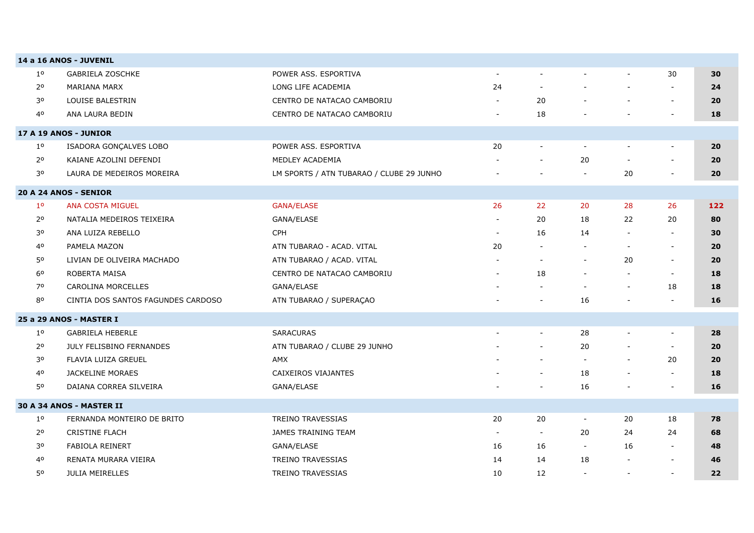|                | 14 a 16 ANOS - JUVENIL             |                                          |                          |                          |                          |                          |                          |     |
|----------------|------------------------------------|------------------------------------------|--------------------------|--------------------------|--------------------------|--------------------------|--------------------------|-----|
| 1 <sup>o</sup> | <b>GABRIELA ZOSCHKE</b>            | POWER ASS. ESPORTIVA                     | $\blacksquare$           |                          |                          |                          | 30                       | 30  |
| 2 <sup>o</sup> | MARIANA MARX                       | LONG LIFE ACADEMIA                       | 24                       |                          |                          |                          | $\sim$                   | 24  |
| 30             | LOUISE BALESTRIN                   | CENTRO DE NATACAO CAMBORIU               |                          | 20                       |                          |                          | $\overline{\phantom{a}}$ | 20  |
| 40             | ANA LAURA BEDIN                    | CENTRO DE NATACAO CAMBORIU               | $\overline{\phantom{a}}$ | 18                       |                          |                          | $\overline{\phantom{m}}$ | 18  |
|                | 17 A 19 ANOS - JUNIOR              |                                          |                          |                          |                          |                          |                          |     |
| $1^{\circ}$    | ISADORA GONÇALVES LOBO             | POWER ASS. ESPORTIVA                     | 20                       | $\overline{\phantom{a}}$ | $\overline{\phantom{a}}$ |                          | $\overline{\phantom{m}}$ | 20  |
| 2 <sup>o</sup> | KAIANE AZOLINI DEFENDI             | MEDLEY ACADEMIA                          |                          |                          | 20                       |                          |                          | 20  |
| 30             | LAURA DE MEDEIROS MOREIRA          | LM SPORTS / ATN TUBARAO / CLUBE 29 JUNHO |                          |                          |                          | 20                       | $\overline{\phantom{a}}$ | 20  |
|                | 20 A 24 ANOS - SENIOR              |                                          |                          |                          |                          |                          |                          |     |
| 1 <sup>o</sup> | <b>ANA COSTA MIGUEL</b>            | <b>GANA/ELASE</b>                        | 26                       | 22                       | 20                       | 28                       | 26                       | 122 |
| 2 <sup>o</sup> | NATALIA MEDEIROS TEIXEIRA          | GANA/ELASE                               |                          | 20                       | 18                       | 22                       | 20                       | 80  |
| 30             | ANA LUIZA REBELLO                  | <b>CPH</b>                               | $\overline{\phantom{a}}$ | 16                       | 14                       |                          | $\overline{\phantom{a}}$ | 30  |
| 40             | PAMELA MAZON                       | ATN TUBARAO - ACAD. VITAL                | 20                       |                          | $\sim$                   |                          | $\overline{\phantom{a}}$ | 20  |
| 50             | LIVIAN DE OLIVEIRA MACHADO         | ATN TUBARAO / ACAD. VITAL                |                          |                          | $\overline{\phantom{a}}$ | 20                       | $\overline{\phantom{a}}$ | 20  |
| 6 <sup>o</sup> | ROBERTA MAISA                      | CENTRO DE NATACAO CAMBORIU               |                          | 18                       | $\overline{\phantom{a}}$ |                          | $\overline{\phantom{a}}$ | 18  |
| 70             | CAROLINA MORCELLES                 | GANA/ELASE                               |                          |                          |                          |                          | 18                       | 18  |
| 80             | CINTIA DOS SANTOS FAGUNDES CARDOSO | ATN TUBARAO / SUPERAÇAO                  |                          |                          | 16                       |                          | $\blacksquare$           | 16  |
|                | 25 a 29 ANOS - MASTER I            |                                          |                          |                          |                          |                          |                          |     |
| 1 <sup>0</sup> | <b>GABRIELA HEBERLE</b>            | <b>SARACURAS</b>                         |                          | $\overline{\phantom{a}}$ | 28                       |                          | $\overline{\phantom{a}}$ | 28  |
| 2 <sup>o</sup> | JULY FELISBINO FERNANDES           | ATN TUBARAO / CLUBE 29 JUNHO             |                          | $\overline{\phantom{a}}$ | 20                       |                          | $\overline{\phantom{a}}$ | 20  |
| 30             | FLAVIA LUIZA GREUEL                | AMX                                      |                          | $\sim$                   | $\sim$                   | $\overline{\phantom{a}}$ | 20                       | 20  |
| 40             | <b>JACKELINE MORAES</b>            | CAIXEIROS VIAJANTES                      |                          | $\sim$                   | 18                       |                          | $\sim$                   | 18  |
| 50             | DAIANA CORREA SILVEIRA             | GANA/ELASE                               |                          |                          | 16                       |                          |                          | 16  |
|                | 30 A 34 ANOS - MASTER II           |                                          |                          |                          |                          |                          |                          |     |
| $1^{\circ}$    | FERNANDA MONTEIRO DE BRITO         | <b>TREINO TRAVESSIAS</b>                 | 20                       | 20                       | $\overline{\phantom{a}}$ | 20                       | 18                       | 78  |
| $2^{\circ}$    | <b>CRISTINE FLACH</b>              | JAMES TRAINING TEAM                      | $\overline{\phantom{0}}$ | $\overline{\phantom{a}}$ | 20                       | 24                       | 24                       | 68  |
| 30             | <b>FABIOLA REINERT</b>             | GANA/ELASE                               | 16                       | 16                       | $\overline{\phantom{a}}$ | 16                       | $\overline{\phantom{a}}$ | 48  |
| 40             | RENATA MURARA VIEIRA               | <b>TREINO TRAVESSIAS</b>                 | 14                       | 14                       | 18                       |                          | $\overline{\phantom{a}}$ | 46  |
| 50             | <b>JULIA MEIRELLES</b>             | <b>TREINO TRAVESSIAS</b>                 | 10                       | $12 \overline{ }$        | $\overline{\phantom{a}}$ | $\overline{\phantom{a}}$ | $\blacksquare$           | 22  |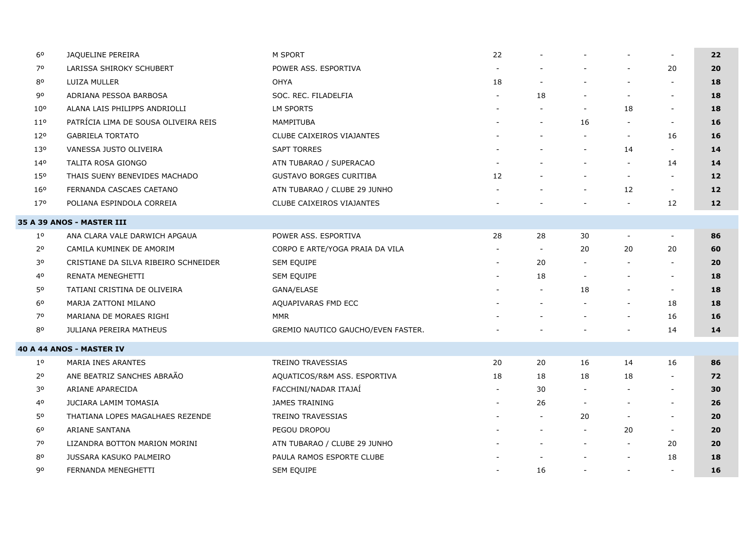| 6 <sup>o</sup>  | JAQUELINE PEREIRA                    | M SPORT                            | 22                       |                          |                          |                          |                          | 22              |
|-----------------|--------------------------------------|------------------------------------|--------------------------|--------------------------|--------------------------|--------------------------|--------------------------|-----------------|
| 70              | LARISSA SHIROKY SCHUBERT             | POWER ASS. ESPORTIVA               | $\overline{\phantom{a}}$ |                          |                          | $\overline{\phantom{a}}$ | 20                       | 20              |
| 80              | LUIZA MULLER                         | OHYA                               | 18                       |                          |                          | $\overline{\phantom{a}}$ | $\blacksquare$           | 18              |
| 90              | ADRIANA PESSOA BARBOSA               | SOC. REC. FILADELFIA               | $\blacksquare$           | 18                       |                          | $\sim$                   | $\overline{\phantom{a}}$ | 18              |
| 10 <sup>o</sup> | ALANA LAIS PHILIPPS ANDRIOLLI        | <b>LM SPORTS</b>                   |                          |                          | $\overline{\phantom{a}}$ | 18                       | $\overline{\phantom{a}}$ | 18              |
| 11 <sup>o</sup> | PATRÍCIA LIMA DE SOUSA OLIVEIRA REIS | MAMPITUBA                          |                          |                          | 16                       | $\sim$                   | $\overline{\phantom{a}}$ | 16              |
| 120             | <b>GABRIELA TORTATO</b>              | CLUBE CAIXEIROS VIAJANTES          |                          |                          |                          | $\sim$                   | 16                       | 16              |
| 130             | VANESSA JUSTO OLIVEIRA               | <b>SAPT TORRES</b>                 |                          |                          | $\overline{\phantom{a}}$ | 14                       | $\sim$                   | 14              |
| 140             | TALITA ROSA GIONGO                   | ATN TUBARAO / SUPERACAO            |                          |                          |                          | $\blacksquare$           | 14                       | 14              |
| 15 <sup>o</sup> | THAIS SUENY BENEVIDES MACHADO        | <b>GUSTAVO BORGES CURITIBA</b>     | 12                       |                          |                          | $\sim$                   | $\overline{\phantom{a}}$ | 12              |
| 160             | FERNANDA CASCAES CAETANO             | ATN TUBARAO / CLUBE 29 JUNHO       |                          |                          | $\overline{\phantom{a}}$ | 12                       | $\sim$                   | 12              |
| 170             | POLIANA ESPINDOLA CORREIA            | CLUBE CAIXEIROS VIAJANTES          |                          |                          |                          | $\overline{\phantom{a}}$ | 12                       | 12 <sub>1</sub> |
|                 | <b>35 A 39 ANOS - MASTER III</b>     |                                    |                          |                          |                          |                          |                          |                 |
| $1^{\circ}$     | ANA CLARA VALE DARWICH APGAUA        | POWER ASS. ESPORTIVA               | 28                       | 28                       | 30                       | $\overline{\phantom{a}}$ | $\sim$                   | 86              |
| 2 <sup>o</sup>  | CAMILA KUMINEK DE AMORIM             | CORPO E ARTE/YOGA PRAIA DA VILA    |                          | $\overline{\phantom{a}}$ | 20                       | 20                       | 20                       | 60              |
| 30              | CRISTIANE DA SILVA RIBEIRO SCHNEIDER | SEM EQUIPE                         |                          | 20                       |                          | $\overline{\phantom{a}}$ |                          | 20              |
| 40              | RENATA MENEGHETTI                    | SEM EQUIPE                         |                          | 18                       |                          | $\overline{\phantom{a}}$ | $\overline{\phantom{a}}$ | 18              |
| 50              | TATIANI CRISTINA DE OLIVEIRA         | GANA/ELASE                         |                          | $\overline{\phantom{a}}$ | 18                       | $\overline{\phantom{a}}$ | $\blacksquare$           | 18              |
| 60              | MARJA ZATTONI MILANO                 | AQUAPIVARAS FMD ECC                |                          | $\blacksquare$           |                          | $\overline{\phantom{a}}$ | 18                       | 18              |
| 70              | MARIANA DE MORAES RIGHI              | <b>MMR</b>                         |                          |                          |                          |                          | 16                       | 16              |
| 80              | <b>JULIANA PEREIRA MATHEUS</b>       | GREMIO NAUTICO GAUCHO/EVEN FASTER. |                          |                          |                          | $\overline{\phantom{a}}$ | 14                       | 14              |
|                 | <b>40 A 44 ANOS - MASTER IV</b>      |                                    |                          |                          |                          |                          |                          |                 |
| $1^{\circ}$     | MARIA INES ARANTES                   | TREINO TRAVESSIAS                  | 20                       | 20                       | 16                       | 14                       | 16                       | 86              |
| 2 <sup>o</sup>  | ANE BEATRIZ SANCHES ABRAÃO           | AQUATICOS/R&M ASS. ESPORTIVA       | 18                       | 18                       | 18                       | 18                       | $\sim$                   | 72              |
| 30              | ARIANE APARECIDA                     | FACCHINI/NADAR ITAJAÍ              | $\overline{a}$           | 30                       |                          | $\overline{\phantom{a}}$ | $\sim$                   | 30              |
| 40              | <b>JUCIARA LAMIM TOMASIA</b>         | <b>JAMES TRAINING</b>              | $\sim$                   | 26                       | $\overline{\phantom{a}}$ | $\blacksquare$           | $\overline{\phantom{a}}$ | 26              |
| 50              | THATIANA LOPES MAGALHAES REZENDE     | <b>TREINO TRAVESSIAS</b>           |                          | $\overline{\phantom{a}}$ | 20                       | $\blacksquare$           | $\overline{\phantom{a}}$ | 20              |
| 6 <sup>o</sup>  | ARIANE SANTANA                       | PEGOU DROPOU                       |                          |                          | $\overline{\phantom{a}}$ | 20                       | $\sim$                   | 20              |
| 70              | LIZANDRA BOTTON MARION MORINI        | ATN TUBARAO / CLUBE 29 JUNHO       |                          |                          | $\overline{\phantom{a}}$ | $\sim$                   | 20                       | 20              |
| 80              | JUSSARA KASUKO PALMEIRO              | PAULA RAMOS ESPORTE CLUBE          |                          |                          |                          | $\overline{\phantom{a}}$ | 18                       | 18              |
| 90              | FERNANDA MENEGHETTI                  | SEM EQUIPE                         | $\overline{\phantom{a}}$ | 16                       |                          | $\overline{\phantom{a}}$ |                          | 16              |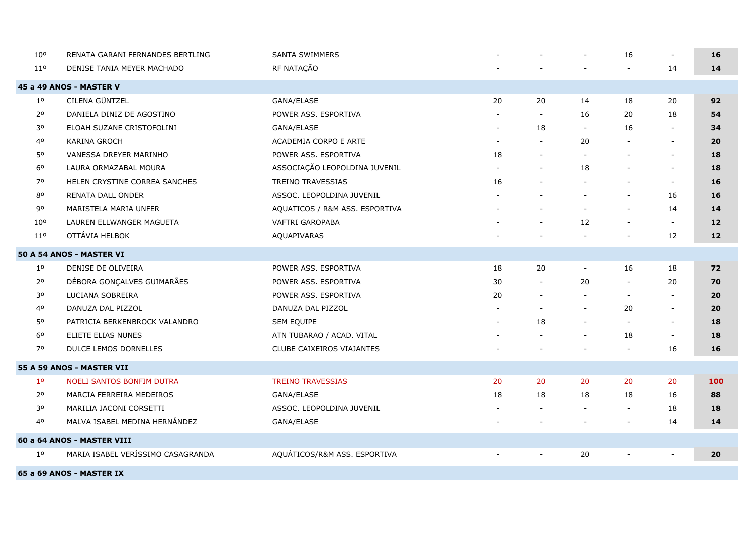| 10 <sup>o</sup> | RENATA GARANI FERNANDES BERTLING  | <b>SANTA SWIMMERS</b>          |                |                          |                          | 16                       | $\blacksquare$           | 16  |
|-----------------|-----------------------------------|--------------------------------|----------------|--------------------------|--------------------------|--------------------------|--------------------------|-----|
| 110             | DENISE TANIA MEYER MACHADO        | RF NATAÇÃO                     |                |                          |                          | $\overline{\phantom{a}}$ | 14                       | 14  |
|                 | 45 a 49 ANOS - MASTER V           |                                |                |                          |                          |                          |                          |     |
| $1^{\circ}$     | CILENA GÜNTZEL                    | GANA/ELASE                     | 20             | 20                       | 14                       | 18                       | 20                       | 92  |
| 2 <sup>o</sup>  | DANIELA DINIZ DE AGOSTINO         | POWER ASS. ESPORTIVA           |                | $\overline{\phantom{a}}$ | 16                       | 20                       | 18                       | 54  |
| 30              | ELOAH SUZANE CRISTOFOLINI         | GANA/ELASE                     |                | 18                       | $\overline{\phantom{a}}$ | 16                       |                          | 34  |
| 40              | <b>KARINA GROCH</b>               | ACADEMIA CORPO E ARTE          | $\blacksquare$ | $\blacksquare$           | 20                       |                          | $\overline{\phantom{a}}$ | 20  |
| 50              | VANESSA DREYER MARINHO            | POWER ASS. ESPORTIVA           | 18             | $\blacksquare$           | $\sim$                   |                          | $\sim$                   | 18  |
| 6 <sup>o</sup>  | LAURA ORMAZABAL MOURA             | ASSOCIAÇÃO LEOPOLDINA JUVENIL  |                | $\blacksquare$           | 18                       |                          | $\blacksquare$           | 18  |
| 70              | HELEN CRYSTINE CORREA SANCHES     | <b>TREINO TRAVESSIAS</b>       | 16             | $\overline{\phantom{a}}$ | $\blacksquare$           |                          | $\sim$                   | 16  |
| 80              | RENATA DALL ONDER                 | ASSOC. LEOPOLDINA JUVENIL      |                |                          |                          |                          | 16                       | 16  |
| 90              | MARISTELA MARIA UNFER             | AQUATICOS / R&M ASS. ESPORTIVA |                | $\overline{a}$           |                          |                          | 14                       | 14  |
| 10 <sup>o</sup> | LAUREN ELLWANGER MAGUETA          | VAFTRI GAROPABA                |                |                          | 12                       |                          | $\overline{\phantom{a}}$ | 12  |
| 11 <sup>o</sup> | OTTÁVIA HELBOK                    | AQUAPIVARAS                    |                |                          |                          |                          | 12                       | 12  |
|                 | 50 A 54 ANOS - MASTER VI          |                                |                |                          |                          |                          |                          |     |
| $1^{\circ}$     | DENISE DE OLIVEIRA                | POWER ASS. ESPORTIVA           | 18             | 20                       | $\overline{\phantom{a}}$ | 16                       | 18                       | 72  |
| 2 <sup>o</sup>  | DÉBORA GONÇALVES GUIMARÃES        | POWER ASS. ESPORTIVA           | 30             | $\blacksquare$           | 20                       | $\overline{\phantom{a}}$ | 20                       | 70  |
| 30              | LUCIANA SOBREIRA                  | POWER ASS. ESPORTIVA           | 20             | $\overline{\phantom{a}}$ | $\blacksquare$           | $\sim$                   | $\bar{\phantom{a}}$      | 20  |
| 40              | DANUZA DAL PIZZOL                 | DANUZA DAL PIZZOL              |                | $\overline{a}$           | $\overline{\phantom{a}}$ | 20                       | $\overline{\phantom{a}}$ | 20  |
| 50              | PATRICIA BERKENBROCK VALANDRO     | SEM EQUIPE                     | $\blacksquare$ | 18                       | $\blacksquare$           | $\blacksquare$           | $\sim$                   | 18  |
| 6 <sup>o</sup>  | ELIETE ELIAS NUNES                | ATN TUBARAO / ACAD. VITAL      |                |                          |                          | 18                       | $\overline{\phantom{a}}$ | 18  |
| 70              | <b>DULCE LEMOS DORNELLES</b>      | CLUBE CAIXEIROS VIAJANTES      |                |                          |                          |                          | 16                       | 16  |
|                 | 55 A 59 ANOS - MASTER VII         |                                |                |                          |                          |                          |                          |     |
| 1 <sup>o</sup>  | NOELI SANTOS BONFIM DUTRA         | <b>TREINO TRAVESSIAS</b>       | 20             | 20                       | 20                       | 20                       | 20                       | 100 |
| 2 <sup>o</sup>  | MARCIA FERREIRA MEDEIROS          | GANA/ELASE                     | 18             | 18                       | 18                       | 18                       | 16                       | 88  |
| 30              | MARILIA JACONI CORSETTI           | ASSOC. LEOPOLDINA JUVENIL      |                | $\blacksquare$           | $\blacksquare$           | $\overline{\phantom{a}}$ | 18                       | 18  |
| 40              | MALVA ISABEL MEDINA HERNÁNDEZ     | GANA/ELASE                     |                |                          |                          |                          | 14                       | 14  |
|                 | 60 a 64 ANOS - MASTER VIII        |                                |                |                          |                          |                          |                          |     |
| $1^{\circ}$     | MARIA ISABEL VERÍSSIMO CASAGRANDA | AQUÁTICOS/R&M ASS. ESPORTIVA   |                | $\overline{\phantom{a}}$ | 20                       |                          |                          | 20  |
|                 |                                   |                                |                |                          |                          |                          |                          |     |

**65 a 69 ANOS - MASTER IX**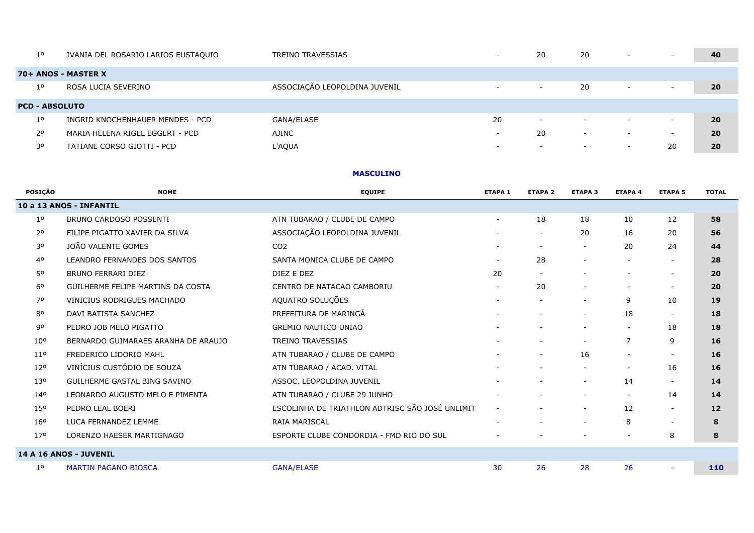| $1^{\circ}$           | IVANIA DEL ROSARIO LARIOS EUSTAQUIO | <b>TREINO TRAVESSIAS</b>      | $\overline{\phantom{0}}$ | 20                       | 20                       | $\overline{\phantom{0}}$ | $\overline{\phantom{0}}$ | 40 |
|-----------------------|-------------------------------------|-------------------------------|--------------------------|--------------------------|--------------------------|--------------------------|--------------------------|----|
|                       | 70+ ANOS - MASTER X                 |                               |                          |                          |                          |                          |                          |    |
| $1^{\circ}$           | ROSA LUCIA SEVERINO                 | ASSOCIAÇÃO LEOPOLDINA JUVENIL | $\sim$                   | $\sim$                   | 20                       | $-$                      | $\overline{\phantom{0}}$ | 20 |
| <b>PCD - ABSOLUTO</b> |                                     |                               |                          |                          |                          |                          |                          |    |
| 1 <sup>0</sup>        | INGRID KNOCHENHAUER MENDES - PCD    | GANA/ELASE                    | 20                       | $\overline{\phantom{0}}$ | $\overline{\phantom{0}}$ | $\overline{\phantom{0}}$ | $\overline{\phantom{0}}$ | 20 |
| $2^{\circ}$           | MARIA HELENA RIGEL EGGERT - PCD     | AJINC                         | $\overline{\phantom{0}}$ | 20                       | -                        | $\overline{\phantom{0}}$ | $\overline{\phantom{0}}$ | 20 |
| 30                    | TATIANE CORSO GIOTTI - PCD          | L'AQUA                        | $\overline{\phantom{0}}$ | $\overline{\phantom{0}}$ | $\overline{\phantom{0}}$ | $\overline{\phantom{0}}$ | 20                       | 20 |

### **MASCULINO**

|                                                      | <b>TOTAL</b>                           |
|------------------------------------------------------|----------------------------------------|
|                                                      |                                        |
| 10<br>12                                             | 58                                     |
| 16<br>20                                             | 56                                     |
| 20<br>24                                             | 44                                     |
| $\overline{\phantom{a}}$<br>$\overline{\phantom{a}}$ | 28                                     |
| $\overline{\phantom{a}}$                             | 20                                     |
| $\overline{\phantom{a}}$                             | 20                                     |
| 9<br>10                                              | 19                                     |
| 18<br>$\sim$                                         | 18                                     |
| 18<br>$\overline{\phantom{a}}$                       | 18                                     |
| 9<br>7                                               | 16                                     |
| $\overline{\phantom{a}}$                             | 16                                     |
| 16<br>$\overline{\phantom{a}}$                       | 16                                     |
| 14<br>$\overline{\phantom{a}}$                       | 14                                     |
| 14<br>$\overline{\phantom{a}}$                       | 14                                     |
| 12<br>$\overline{\phantom{a}}$                       | 12                                     |
| 8<br>$\overline{\phantom{a}}$                        | 8                                      |
| 8<br>$\overline{\phantom{a}}$                        | 8                                      |
|                                                      |                                        |
| $\sim$                                               | 110                                    |
|                                                      | <b>ETAPA 4</b><br><b>ETAPA 5</b><br>26 |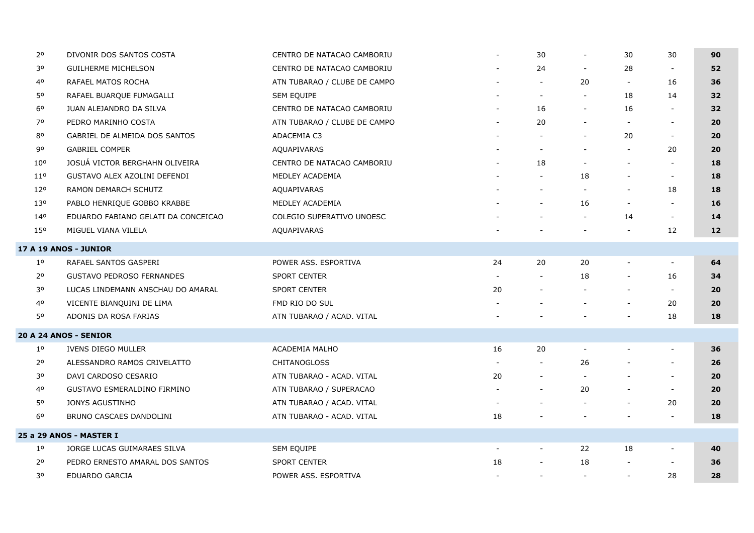| 2 <sup>o</sup>  | DIVONIR DOS SANTOS COSTA            | CENTRO DE NATACAO CAMBORIU   |                          | 30                       | $\overline{\phantom{a}}$ | 30                       | 30                       | 90              |
|-----------------|-------------------------------------|------------------------------|--------------------------|--------------------------|--------------------------|--------------------------|--------------------------|-----------------|
| 30              | <b>GUILHERME MICHELSON</b>          | CENTRO DE NATACAO CAMBORIU   |                          | 24                       | $\blacksquare$           | 28                       | $\overline{\phantom{a}}$ | 52              |
| 40              | RAFAEL MATOS ROCHA                  | ATN TUBARAO / CLUBE DE CAMPO |                          | $\overline{\phantom{a}}$ | 20                       |                          | 16                       | 36              |
| 50              | RAFAEL BUARQUE FUMAGALLI            | SEM EQUIPE                   |                          | $\overline{\phantom{a}}$ | $\overline{\phantom{a}}$ | 18                       | 14                       | 32              |
| 6 <sup>o</sup>  | JUAN ALEJANDRO DA SILVA             | CENTRO DE NATACAO CAMBORIU   |                          | 16                       | $\overline{\phantom{a}}$ | 16                       | $\overline{\phantom{a}}$ | 32 <sub>2</sub> |
| 70              | PEDRO MARINHO COSTA                 | ATN TUBARAO / CLUBE DE CAMPO |                          | 20                       | $\overline{\phantom{a}}$ | $\overline{\phantom{a}}$ | $\overline{\phantom{a}}$ | 20              |
| 80              | GABRIEL DE ALMEIDA DOS SANTOS       | ADACEMIA C3                  |                          | $\overline{\phantom{a}}$ | $\overline{\phantom{a}}$ | 20                       | $\sim$                   | 20              |
| 90              | <b>GABRIEL COMPER</b>               | AQUAPIVARAS                  |                          |                          |                          |                          | 20                       | 20              |
| 10 <sup>o</sup> | JOSUÁ VICTOR BERGHAHN OLIVEIRA      | CENTRO DE NATACAO CAMBORIU   |                          | 18                       | $\overline{\phantom{a}}$ |                          | $\sim$                   | 18              |
| 11 <sup>o</sup> | GUSTAVO ALEX AZOLINI DEFENDI        | MEDLEY ACADEMIA              |                          | $\blacksquare$           | 18                       |                          | $\overline{\phantom{a}}$ | 18              |
| 12°             | RAMON DEMARCH SCHUTZ                | AQUAPIVARAS                  |                          |                          |                          |                          | 18                       | 18              |
| 13 <sup>o</sup> | PABLO HENRIQUE GOBBO KRABBE         | MEDLEY ACADEMIA              |                          | $\overline{\phantom{a}}$ | 16                       |                          | $\sim$                   | 16              |
| 140             | EDUARDO FABIANO GELATI DA CONCEICAO | COLEGIO SUPERATIVO UNOESC    |                          |                          | $\sim$                   | 14                       | $\sim$                   | 14              |
| 150             | MIGUEL VIANA VILELA                 | <b>AQUAPIVARAS</b>           |                          |                          |                          |                          | 12                       | 12 <sub>2</sub> |
|                 | <b>17 A 19 ANOS - JUNIOR</b>        |                              |                          |                          |                          |                          |                          |                 |
| $1^{\circ}$     | RAFAEL SANTOS GASPERI               | POWER ASS. ESPORTIVA         | 24                       | 20                       | 20                       |                          |                          | 64              |
| $2^{\circ}$     | <b>GUSTAVO PEDROSO FERNANDES</b>    | SPORT CENTER                 |                          |                          | 18                       |                          | 16                       | 34              |
| 30              | LUCAS LINDEMANN ANSCHAU DO AMARAL   | <b>SPORT CENTER</b>          | 20                       |                          | $\overline{\phantom{a}}$ |                          | $\sim$                   | 20              |
| 40              | VICENTE BIANQUINI DE LIMA           | FMD RIO DO SUL               |                          |                          | $\blacksquare$           | $\blacksquare$           | 20                       | 20              |
| 50              | ADONIS DA ROSA FARIAS               | ATN TUBARAO / ACAD. VITAL    |                          |                          |                          |                          | 18                       | 18              |
|                 | <b>20 A 24 ANOS - SENIOR</b>        |                              |                          |                          |                          |                          |                          |                 |
| $1^{\circ}$     | <b>IVENS DIEGO MULLER</b>           | ACADEMIA MALHO               | 16                       | 20                       |                          |                          |                          | 36              |
| 2 <sup>o</sup>  | ALESSANDRO RAMOS CRIVELATTO         | <b>CHITANOGLOSS</b>          |                          |                          | 26                       |                          | $\blacksquare$           | 26              |
| 30              | DAVI CARDOSO CESARIO                | ATN TUBARAO - ACAD. VITAL    | 20                       |                          | $\overline{\phantom{a}}$ |                          | $\overline{\phantom{a}}$ | 20              |
| 40              | <b>GUSTAVO ESMERALDINO FIRMINO</b>  | ATN TUBARAO / SUPERACAO      |                          | $\overline{\phantom{a}}$ | 20                       |                          | $\sim$                   | 20              |
| 50              | JONYS AGUSTINHO                     | ATN TUBARAO / ACAD. VITAL    |                          |                          |                          |                          | 20                       | 20              |
| 6 <sup>o</sup>  | BRUNO CASCAES DANDOLINI             | ATN TUBARAO - ACAD. VITAL    | 18                       |                          |                          |                          |                          | 18              |
|                 | 25 a 29 ANOS - MASTER I             |                              |                          |                          |                          |                          |                          |                 |
| 1 <sup>o</sup>  | JORGE LUCAS GUIMARAES SILVA         | SEM EQUIPE                   | $\overline{\phantom{a}}$ | $\blacksquare$           | 22                       | 18                       | $\overline{\phantom{a}}$ | 40              |
| $2^{\circ}$     | PEDRO ERNESTO AMARAL DOS SANTOS     | <b>SPORT CENTER</b>          | 18                       | $\overline{\phantom{a}}$ | 18                       |                          | $\overline{\phantom{a}}$ | 36              |
| 30              | <b>EDUARDO GARCIA</b>               | POWER ASS. ESPORTIVA         |                          | $\blacksquare$           | $\sim$                   |                          | 28                       | 28              |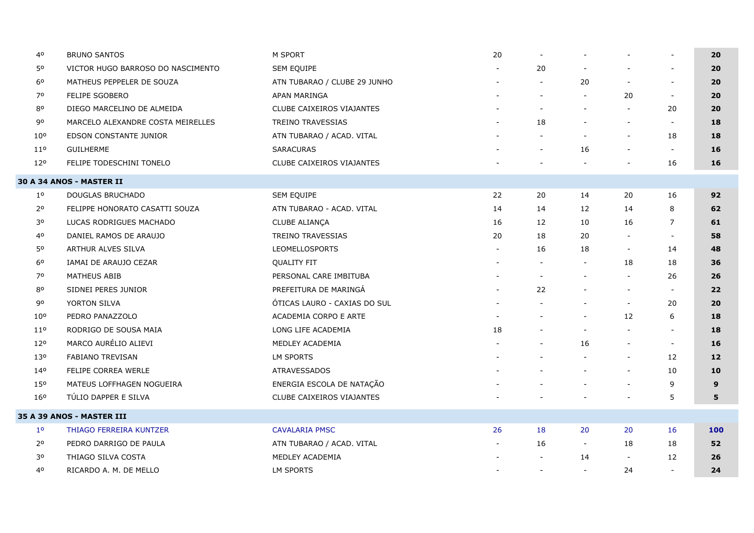| 40              | <b>BRUNO SANTOS</b>               | M SPORT                          | 20                       |                          |                          |                          |                          | 20              |
|-----------------|-----------------------------------|----------------------------------|--------------------------|--------------------------|--------------------------|--------------------------|--------------------------|-----------------|
| 50              | VICTOR HUGO BARROSO DO NASCIMENTO | SEM EQUIPE                       |                          | 20                       |                          |                          |                          | 20              |
| 6 <sup>o</sup>  | MATHEUS PEPPELER DE SOUZA         | ATN TUBARAO / CLUBE 29 JUNHO     |                          | $\overline{\phantom{a}}$ | 20                       |                          | $\overline{\phantom{a}}$ | 20              |
| 70              | <b>FELIPE SGOBERO</b>             | APAN MARINGA                     |                          |                          | $\mathbf{r}$             | 20                       | $\overline{\phantom{a}}$ | 20              |
| 80              | DIEGO MARCELINO DE ALMEIDA        | <b>CLUBE CAIXEIROS VIAJANTES</b> |                          |                          | $\blacksquare$           |                          | 20                       | 20              |
| 90              | MARCELO ALEXANDRE COSTA MEIRELLES | TREINO TRAVESSIAS                |                          | 18                       | $\overline{\phantom{a}}$ | $\overline{\phantom{a}}$ | $\overline{\phantom{a}}$ | 18              |
| 10 <sup>o</sup> | EDSON CONSTANTE JUNIOR            | ATN TUBARAO / ACAD. VITAL        |                          |                          | $\overline{\phantom{a}}$ | $\overline{a}$           | 18                       | 18              |
| 11 <sup>o</sup> | <b>GUILHERME</b>                  | <b>SARACURAS</b>                 |                          |                          | 16                       | $\overline{\phantom{a}}$ | $\overline{\phantom{a}}$ | 16              |
| 120             | FELIPE TODESCHINI TONELO          | CLUBE CAIXEIROS VIAJANTES        |                          |                          |                          |                          | 16                       | 16              |
|                 | <b>30 A 34 ANOS - MASTER II</b>   |                                  |                          |                          |                          |                          |                          |                 |
| $1^{\circ}$     | DOUGLAS BRUCHADO                  | SEM EQUIPE                       | 22                       | 20                       | 14                       | 20                       | 16                       | 92              |
| 2 <sup>o</sup>  | FELIPPE HONORATO CASATTI SOUZA    | ATN TUBARAO - ACAD. VITAL        | 14                       | 14                       | 12                       | 14                       | 8                        | 62              |
| 30              | LUCAS RODRIGUES MACHADO           | CLUBE ALIANÇA                    | 16                       | 12                       | 10                       | 16                       | 7                        | 61              |
| 40              | DANIEL RAMOS DE ARAUJO            | TREINO TRAVESSIAS                | 20                       | 18                       | 20                       |                          | $\blacksquare$           | 58              |
| 50              | ARTHUR ALVES SILVA                | <b>LEOMELLOSPORTS</b>            |                          | 16                       | 18                       | $\overline{\phantom{a}}$ | 14                       | 48              |
| 60              | IAMAI DE ARAUJO CEZAR             | <b>QUALITY FIT</b>               |                          |                          | $\overline{\phantom{a}}$ | 18                       | 18                       | 36              |
| 70              | <b>MATHEUS ABIB</b>               | PERSONAL CARE IMBITUBA           |                          | $\blacksquare$           |                          |                          | 26                       | 26              |
| 80              | SIDNEI PERES JUNIOR               | PREFEITURA DE MARINGÁ            |                          | 22                       |                          | $\blacksquare$           | $\overline{\phantom{a}}$ | 22              |
| 90              | YORTON SILVA                      | ÓTICAS LAURO - CAXIAS DO SUL     |                          |                          | $\overline{\phantom{a}}$ | $\overline{\phantom{a}}$ | 20                       | 20              |
| 10 <sup>o</sup> | PEDRO PANAZZOLO                   | ACADEMIA CORPO E ARTE            |                          |                          | $\overline{\phantom{a}}$ | 12                       | 6                        | 18              |
| 11 <sup>o</sup> | RODRIGO DE SOUSA MAIA             | LONG LIFE ACADEMIA               | 18                       |                          | $\overline{\phantom{a}}$ |                          | $\overline{\phantom{a}}$ | 18              |
| 120             | MARCO AURÉLIO ALIEVI              | MEDLEY ACADEMIA                  |                          |                          | 16                       | $\overline{\phantom{a}}$ | $\overline{\phantom{a}}$ | 16              |
| 130             | FABIANO TREVISAN                  | LM SPORTS                        |                          |                          |                          | $\overline{\phantom{0}}$ | 12                       | 12 <sub>1</sub> |
| 140             | FELIPE CORREA WERLE               | <b>ATRAVESSADOS</b>              |                          |                          | $\overline{\phantom{a}}$ |                          | 10                       | 10              |
| 150             | MATEUS LOFFHAGEN NOGUEIRA         | ENERGIA ESCOLA DE NATAÇÃO        |                          |                          |                          | $\overline{\phantom{a}}$ | 9                        | 9               |
| 160             | TÚLIO DAPPER E SILVA              | CLUBE CAIXEIROS VIAJANTES        |                          |                          |                          |                          | 5                        | 5               |
|                 | <b>35 A 39 ANOS - MASTER III</b>  |                                  |                          |                          |                          |                          |                          |                 |
| 1 <sup>o</sup>  | THIAGO FERREIRA KUNTZER           | <b>CAVALARIA PMSC</b>            | 26                       | 18                       | 20                       | 20                       | 16                       | 100             |
| $2^{\circ}$     | PEDRO DARRIGO DE PAULA            | ATN TUBARAO / ACAD. VITAL        |                          | 16                       | $\sim$                   | 18                       | 18                       | 52              |
| 30              | THIAGO SILVA COSTA                | MEDLEY ACADEMIA                  |                          |                          | 14                       | $\overline{\phantom{a}}$ | 12                       | 26              |
| 40              | RICARDO A. M. DE MELLO            | <b>LM SPORTS</b>                 | $\overline{\phantom{a}}$ | $\overline{\phantom{a}}$ |                          | 24                       | $\blacksquare$           | 24              |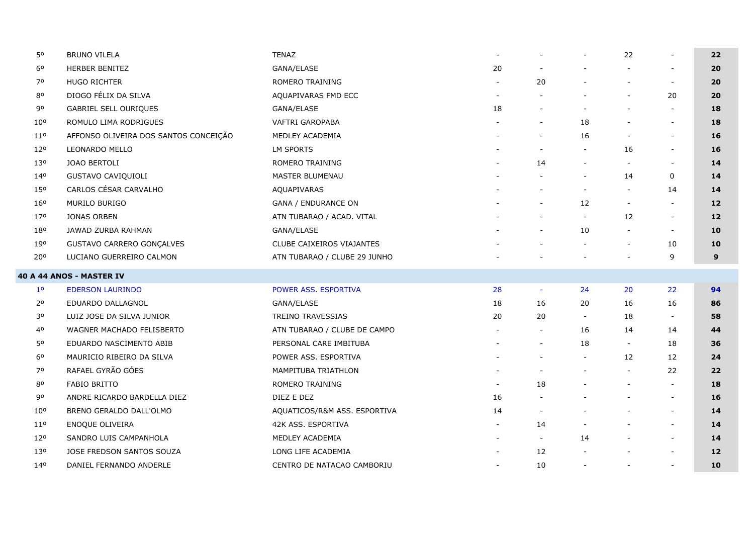| 50              | <b>BRUNO VILELA</b>                   | <b>TENAZ</b>                 |    |                          |                          | 22                       |                          | 22                |
|-----------------|---------------------------------------|------------------------------|----|--------------------------|--------------------------|--------------------------|--------------------------|-------------------|
| 60              | HERBER BENITEZ                        | GANA/ELASE                   | 20 |                          |                          | $\overline{\phantom{a}}$ | $\blacksquare$           | 20                |
| 70              | <b>HUGO RICHTER</b>                   | ROMERO TRAINING              |    | 20                       |                          |                          | $\sim$                   | 20                |
| 80              | DIOGO FÉLIX DA SILVA                  | AQUAPIVARAS FMD ECC          |    |                          |                          | $\overline{\phantom{a}}$ | 20                       | 20                |
| 90              | <b>GABRIEL SELL OURIQUES</b>          | GANA/ELASE                   | 18 |                          |                          | $\overline{\phantom{a}}$ |                          | 18                |
| 10 <sup>o</sup> | ROMULO LIMA RODRIGUES                 | VAFTRI GAROPABA              |    | $\overline{\phantom{a}}$ | 18                       | $\overline{\phantom{a}}$ | $\blacksquare$           | 18                |
| $11^{\circ}$    | AFFONSO OLIVEIRA DOS SANTOS CONCEIÇÃO | MEDLEY ACADEMIA              |    | $\blacksquare$           | 16                       |                          | $\overline{\phantom{a}}$ | 16                |
| 120             | LEONARDO MELLO                        | <b>LM SPORTS</b>             |    | $\overline{\phantom{a}}$ |                          | 16                       | $\sim$                   | 16                |
| 13 <sup>o</sup> | JOAO BERTOLI                          | ROMERO TRAINING              |    | 14                       |                          | $\overline{\phantom{a}}$ | $\blacksquare$           | 14                |
| 140             | GUSTAVO CAVIQUIOLI                    | <b>MASTER BLUMENAU</b>       |    |                          |                          | 14                       | 0                        | 14                |
| 15 <sup>o</sup> | CARLOS CÉSAR CARVALHO                 | AQUAPIVARAS                  |    | $\overline{\phantom{0}}$ | $\blacksquare$           | $\overline{\phantom{a}}$ | 14                       | 14                |
| 160             | <b>MURILO BURIGO</b>                  | <b>GANA / ENDURANCE ON</b>   |    | $\blacksquare$           | 12                       | $\sim$                   | $\sim$                   | 12                |
| 170             | <b>JONAS ORBEN</b>                    | ATN TUBARAO / ACAD. VITAL    |    |                          | $\overline{\phantom{a}}$ | 12                       | $\sim$                   | 12                |
| 180             | JAWAD ZURBA RAHMAN                    | GANA/ELASE                   |    | $\overline{\phantom{a}}$ | 10                       | $\overline{\phantom{a}}$ | $\overline{\phantom{a}}$ | 10                |
| 190             | GUSTAVO CARRERO GONÇALVES             | CLUBE CAIXEIROS VIAJANTES    |    |                          |                          | $\overline{\phantom{a}}$ | 10                       | 10                |
| 20°             | LUCIANO GUERREIRO CALMON              | ATN TUBARAO / CLUBE 29 JUNHO |    |                          |                          |                          | 9                        | 9                 |
|                 |                                       |                              |    |                          |                          |                          |                          |                   |
|                 | 40 A 44 ANOS - MASTER IV              |                              |    |                          |                          |                          |                          |                   |
| 1 <sup>o</sup>  | <b>EDERSON LAURINDO</b>               | POWER ASS. ESPORTIVA         | 28 | $\sim$                   | 24                       | 20                       | 22                       | 94                |
| 2 <sup>o</sup>  | EDUARDO DALLAGNOL                     | GANA/ELASE                   | 18 | 16                       | 20                       | 16                       | 16                       | 86                |
| 30              | LUIZ JOSE DA SILVA JUNIOR             | <b>TREINO TRAVESSIAS</b>     | 20 | 20                       |                          | 18                       | $\blacksquare$           | 58                |
| 40              | WAGNER MACHADO FELISBERTO             | ATN TUBARAO / CLUBE DE CAMPO |    | $\blacksquare$           | 16                       | 14                       | 14                       | 44                |
| 50              | EDUARDO NASCIMENTO ABIB               | PERSONAL CARE IMBITUBA       |    | $\overline{\phantom{a}}$ | 18                       | $\overline{\phantom{a}}$ | 18                       | 36                |
| 60              | MAURICIO RIBEIRO DA SILVA             | POWER ASS. ESPORTIVA         |    | $\blacksquare$           | $\overline{\phantom{a}}$ | 12                       | 12                       | 24                |
| 70              | RAFAEL GYRÃO GÓES                     | MAMPITUBA TRIATHLON          |    | $\overline{\phantom{a}}$ | $\blacksquare$           | $\overline{\phantom{a}}$ | 22                       | 22                |
| 80              | <b>FABIO BRITTO</b>                   | ROMERO TRAINING              |    | 18                       |                          |                          | $\sim$                   | 18                |
| 90              | ANDRE RICARDO BARDELLA DIEZ           | DIEZ E DEZ                   | 16 | $\blacksquare$           |                          | $\overline{\phantom{a}}$ | $\overline{\phantom{a}}$ | 16                |
| $10^{\circ}$    | BRENO GERALDO DALL'OLMO               | AQUATICOS/R&M ASS. ESPORTIVA | 14 | $\sim$                   |                          | $\overline{\phantom{a}}$ | $\sim$                   | 14                |
| $11^{\circ}$    | ENOQUE OLIVEIRA                       | 42K ASS. ESPORTIVA           |    | 14                       | $\overline{\phantom{a}}$ | $\overline{\phantom{a}}$ | $\sim$                   | 14                |
| 120             | SANDRO LUIS CAMPANHOLA                | MEDLEY ACADEMIA              |    | $\sim$                   | 14                       | $\overline{\phantom{a}}$ | $\overline{\phantom{a}}$ | 14                |
| 13 <sup>o</sup> | JOSE FREDSON SANTOS SOUZA             | LONG LIFE ACADEMIA           |    | 12                       |                          |                          | $\blacksquare$           | $12 \overline{ }$ |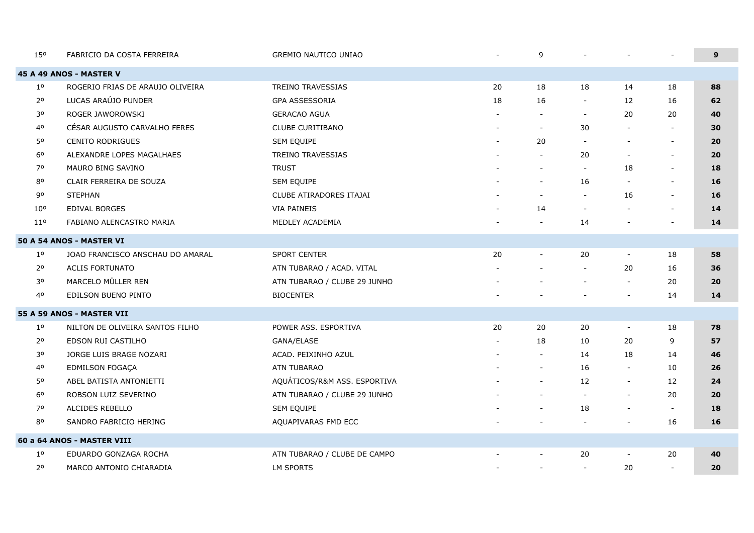| 150             | FABRICIO DA COSTA FERREIRA       | <b>GREMIO NAUTICO UNIAO</b>  |                          | 9                        |                          |                          |                          | 9  |
|-----------------|----------------------------------|------------------------------|--------------------------|--------------------------|--------------------------|--------------------------|--------------------------|----|
|                 | 45 A 49 ANOS - MASTER V          |                              |                          |                          |                          |                          |                          |    |
| $1^{\circ}$     | ROGERIO FRIAS DE ARAUJO OLIVEIRA | <b>TREINO TRAVESSIAS</b>     | 20                       | 18                       | 18                       | 14                       | 18                       | 88 |
| 2 <sup>o</sup>  | LUCAS ARAÚJO PUNDER              | GPA ASSESSORIA               | 18                       | 16                       |                          | 12                       | 16                       | 62 |
| 30              | ROGER JAWOROWSKI                 | <b>GERACAO AGUA</b>          |                          |                          | $\overline{\phantom{a}}$ | 20                       | 20                       | 40 |
| 40              | CÉSAR AUGUSTO CARVALHO FERES     | <b>CLUBE CURITIBANO</b>      | $\overline{\phantom{a}}$ | $\sim$                   | 30                       |                          | $\blacksquare$           | 30 |
| 50              | <b>CENITO RODRIGUES</b>          | SEM EQUIPE                   | $\blacksquare$           | 20                       | $\overline{\phantom{0}}$ |                          | $\sim$                   | 20 |
| 60              | ALEXANDRE LOPES MAGALHAES        | <b>TREINO TRAVESSIAS</b>     |                          | $\sim$                   | 20                       |                          | $\sim$                   | 20 |
| 70              | MAURO BING SAVINO                | <b>TRUST</b>                 |                          | $\blacksquare$           | $\overline{\phantom{a}}$ | 18                       | $\overline{\phantom{a}}$ | 18 |
| 80              | CLAIR FERREIRA DE SOUZA          | SEM EQUIPE                   |                          | $\overline{a}$           | 16                       |                          | $\sim$                   | 16 |
| 90              | <b>STEPHAN</b>                   | CLUBE ATIRADORES ITAJAI      |                          | $\overline{\phantom{a}}$ | $\blacksquare$           | 16                       | $\sim$                   | 16 |
| $10^{\circ}$    | <b>EDIVAL BORGES</b>             | <b>VIA PAINEIS</b>           |                          | 14                       | $\blacksquare$           |                          | $\overline{\phantom{a}}$ | 14 |
| 11 <sup>0</sup> | FABIANO ALENCASTRO MARIA         | MEDLEY ACADEMIA              |                          | $\overline{\phantom{a}}$ | 14                       |                          |                          | 14 |
|                 | 50 A 54 ANOS - MASTER VI         |                              |                          |                          |                          |                          |                          |    |
| $1^{\circ}$     | JOAO FRANCISCO ANSCHAU DO AMARAL | SPORT CENTER                 | 20                       | $\overline{\phantom{a}}$ | 20                       | $\overline{\phantom{a}}$ | 18                       | 58 |
| 2 <sup>o</sup>  | <b>ACLIS FORTUNATO</b>           | ATN TUBARAO / ACAD. VITAL    |                          |                          | $\blacksquare$           | 20                       | 16                       | 36 |
| 30              | MARCELO MÜLLER REN               | ATN TUBARAO / CLUBE 29 JUNHO |                          |                          | $\overline{\phantom{a}}$ |                          | 20                       | 20 |
| 40              | EDILSON BUENO PINTO              | <b>BIOCENTER</b>             |                          |                          |                          | $\overline{\phantom{a}}$ | 14                       | 14 |
|                 | 55 A 59 ANOS - MASTER VII        |                              |                          |                          |                          |                          |                          |    |
| $1^{\circ}$     | NILTON DE OLIVEIRA SANTOS FILHO  | POWER ASS. ESPORTIVA         | 20                       | 20                       | 20                       |                          | 18                       | 78 |
| 2 <sup>o</sup>  | EDSON RUI CASTILHO               | GANA/ELASE                   | $\overline{\phantom{a}}$ | 18                       | 10                       | 20                       | 9                        | 57 |
| 30              | JORGE LUIS BRAGE NOZARI          | ACAD. PEIXINHO AZUL          |                          | $\sim$                   | 14                       | 18                       | 14                       | 46 |
| 40              | EDMILSON FOGAÇA                  | ATN TUBARAO                  |                          | $\overline{\phantom{a}}$ | 16                       |                          | 10                       | 26 |
| 50              | ABEL BATISTA ANTONIETTI          | AQUÁTICOS/R&M ASS. ESPORTIVA |                          | $\overline{\phantom{a}}$ | 12                       | $\overline{\phantom{a}}$ | 12                       | 24 |
| 60              | ROBSON LUIZ SEVERINO             | ATN TUBARAO / CLUBE 29 JUNHO |                          |                          | $\sim$                   |                          | 20                       | 20 |
| 70              | ALCIDES REBELLO                  | SEM EQUIPE                   |                          | $\overline{\phantom{m}}$ | 18                       | $\overline{\phantom{a}}$ | $\overline{\phantom{a}}$ | 18 |
| 80              | SANDRO FABRICIO HERING           | AQUAPIVARAS FMD ECC          |                          |                          | $\overline{\phantom{a}}$ |                          | 16                       | 16 |
|                 | 60 a 64 ANOS - MASTER VIII       |                              |                          |                          |                          |                          |                          |    |
| $1^{\circ}$     | EDUARDO GONZAGA ROCHA            | ATN TUBARAO / CLUBE DE CAMPO |                          | $\overline{\phantom{a}}$ | 20                       | $\overline{\phantom{a}}$ | 20                       | 40 |
| 2 <sup>o</sup>  | MARCO ANTONIO CHIARADIA          | <b>LM SPORTS</b>             |                          | $\blacksquare$           | $\overline{\phantom{a}}$ | 20                       | $\sim$                   | 20 |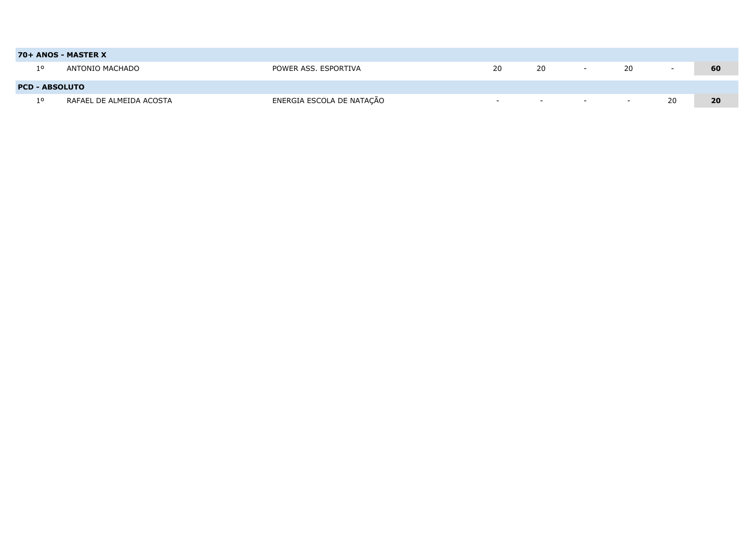|                       | 70+ ANOS - MASTER X      |                           |                          |     |                          |                          |                          |    |
|-----------------------|--------------------------|---------------------------|--------------------------|-----|--------------------------|--------------------------|--------------------------|----|
| 10                    | ANTONIO MACHADO          | POWER ASS. ESPORTIVA      | 20                       | 20  | $-$                      | 20                       | $\overline{\phantom{a}}$ | 60 |
|                       |                          |                           |                          |     |                          |                          |                          |    |
| <b>PCD - ABSOLUTO</b> |                          |                           |                          |     |                          |                          |                          |    |
| 10                    | RAFAEL DE ALMEIDA ACOSTA | ENERGIA ESCOLA DE NATAÇÃO | $\overline{\phantom{0}}$ | $-$ | $\overline{\phantom{0}}$ | $\overline{\phantom{a}}$ | 20                       | 20 |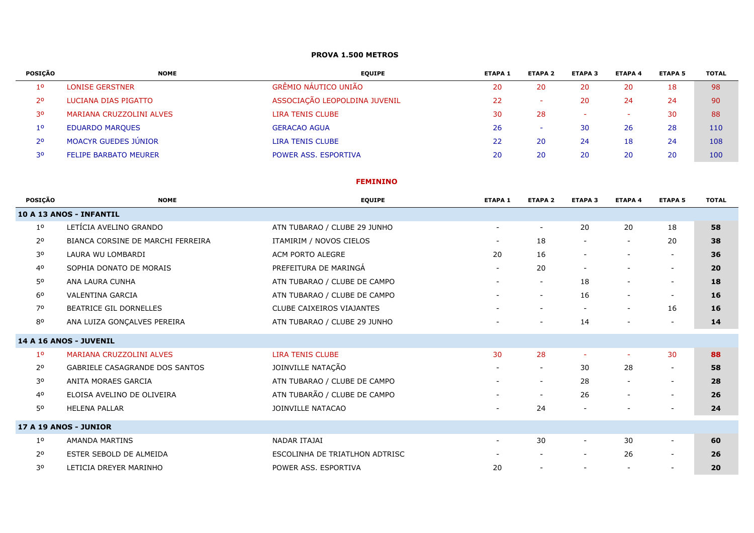#### **PROVA 1.500 METROS**

| POSICÃO        | <b>NOME</b>                  | <b>EQUIPE</b>                 | <b>ETAPA 1</b> | <b>ETAPA 2</b> | <b>ETAPA 3</b> | <b>ETAPA 4</b>           | <b>ETAPA 5</b> | <b>TOTAL</b> |
|----------------|------------------------------|-------------------------------|----------------|----------------|----------------|--------------------------|----------------|--------------|
| 10             | <b>LONISE GERSTNER</b>       | GRÊMIO NÁUTICO UNIÃO          | 20             | 20             | 20             | 20                       | 18             | 98           |
| 20             | LUCIANA DIAS PIGATTO         | ASSOCIAÇÃO LEOPOLDINA JUVENIL | 22             |                | 20             | 24                       | 24             | 90           |
| 30             | MARIANA CRUZZOLINI ALVES     | <b>LIRA TENIS CLUBE</b>       | 30             | 28             | -              | $\overline{\phantom{a}}$ | 30             | 88           |
| $1^{\circ}$    | <b>EDUARDO MARQUES</b>       | <b>GERACAO AGUA</b>           | 26             |                | 30             | 26                       | 28             | 110          |
| 2 <sup>o</sup> | <b>MOACYR GUEDES JÚNIOR</b>  | <b>LIRA TENIS CLUBE</b>       | 22             | 20             | 24             | 18                       | 24             | 108          |
| 30             | <b>FELIPE BARBATO MEURER</b> | POWER ASS, ESPORTIVA          | 20             | 20             | 20             | 20                       | 20             | 100          |

#### **FEMININO**

| <b>POSICÃO</b> | <b>NOME</b>                       | <b>EQUIPE</b>                    | <b>ETAPA 1</b>           | <b>ETAPA 2</b>           | <b>ETAPA 3</b>           | <b>ETAPA 4</b>           | <b>ETAPA 5</b>           | <b>TOTAL</b> |
|----------------|-----------------------------------|----------------------------------|--------------------------|--------------------------|--------------------------|--------------------------|--------------------------|--------------|
|                | 10 A 13 ANOS - INFANTIL           |                                  |                          |                          |                          |                          |                          |              |
| 1 <sup>o</sup> | LETÍCIA AVELINO GRANDO            | ATN TUBARAO / CLUBE 29 JUNHO     | $\overline{\phantom{a}}$ | $\sim$                   | 20                       | 20                       | 18                       | 58           |
| 2 <sup>o</sup> | BIANCA CORSINE DE MARCHI FERREIRA | ITAMIRIM / NOVOS CIELOS          | $\overline{\phantom{a}}$ | 18                       | $\overline{\phantom{a}}$ | $\overline{\phantom{a}}$ | 20                       | 38           |
| 3 <sup>o</sup> | LAURA WU LOMBARDI                 | ACM PORTO ALEGRE                 | 20                       | 16                       | $\overline{\phantom{a}}$ |                          | $\overline{\phantom{a}}$ | 36           |
| 40             | SOPHIA DONATO DE MORAIS           | PREFEITURA DE MARINGÁ            | $\overline{\phantom{a}}$ | 20                       | $\overline{\phantom{a}}$ |                          | $\overline{\phantom{a}}$ | 20           |
| 50             | ANA LAURA CUNHA                   | ATN TUBARAO / CLUBE DE CAMPO     | $\overline{\phantom{a}}$ |                          | 18                       |                          | $\overline{\phantom{a}}$ | 18           |
| 6 <sup>o</sup> | <b>VALENTINA GARCIA</b>           | ATN TUBARAO / CLUBE DE CAMPO     | $\overline{\phantom{a}}$ | $\sim$                   | 16                       | $\overline{\phantom{a}}$ | $\overline{\phantom{a}}$ | <b>16</b>    |
| 70             | BEATRICE GIL DORNELLES            | <b>CLUBE CAIXEIROS VIAJANTES</b> | $\overline{\phantom{a}}$ | $\overline{\phantom{a}}$ | $\overline{\phantom{a}}$ | $\overline{\phantom{a}}$ | 16                       | 16           |
| 80             | ANA LUIZA GONÇALVES PEREIRA       | ATN TUBARAO / CLUBE 29 JUNHO     | $\overline{\phantom{a}}$ | $\sim$                   | 14                       | $\overline{\phantom{a}}$ | $\overline{\phantom{a}}$ | 14           |
|                | 14 A 16 ANOS - JUVENIL            |                                  |                          |                          |                          |                          |                          |              |
| 1 <sup>o</sup> | <b>MARIANA CRUZZOLINI ALVES</b>   | <b>LIRA TENIS CLUBE</b>          | 30                       | 28                       | $\sim$                   | ÷                        | 30                       | 88           |
| 2 <sup>o</sup> | GABRIELE CASAGRANDE DOS SANTOS    | JOINVILLE NATAÇÃO                | $\overline{\phantom{a}}$ | $\overline{\phantom{a}}$ | 30                       | 28                       | $\overline{\phantom{a}}$ | 58           |
| 30             | ANITA MORAES GARCIA               | ATN TUBARAO / CLUBE DE CAMPO     | $\overline{\phantom{a}}$ | $\sim$                   | 28                       | $\overline{\phantom{a}}$ | $\overline{\phantom{a}}$ | 28           |
| 40             | ELOISA AVELINO DE OLIVEIRA        | ATN TUBARÃO / CLUBE DE CAMPO     | $\sim$                   | $\overline{\phantom{a}}$ | 26                       | $\overline{\phantom{a}}$ | $\overline{\phantom{a}}$ | 26           |
| 50             | <b>HELENA PALLAR</b>              | JOINVILLE NATACAO                | $\overline{\phantom{a}}$ | 24                       |                          |                          |                          | 24           |
|                | 17 A 19 ANOS - JUNIOR             |                                  |                          |                          |                          |                          |                          |              |
| 1 <sup>o</sup> | AMANDA MARTINS                    | NADAR ITAJAI                     | $\overline{\phantom{a}}$ | 30                       | $\blacksquare$           | 30                       | $\overline{\phantom{a}}$ | 60           |
| 2 <sup>o</sup> | ESTER SEBOLD DE ALMEIDA           | ESCOLINHA DE TRIATLHON ADTRISC   | $\overline{\phantom{a}}$ |                          | $\overline{\phantom{a}}$ | 26                       | $\overline{\phantom{a}}$ | 26           |
| 30             | LETICIA DREYER MARINHO            | POWER ASS. ESPORTIVA             | 20                       |                          | $\overline{\phantom{a}}$ | $\overline{\phantom{a}}$ | $\overline{\phantom{a}}$ | 20           |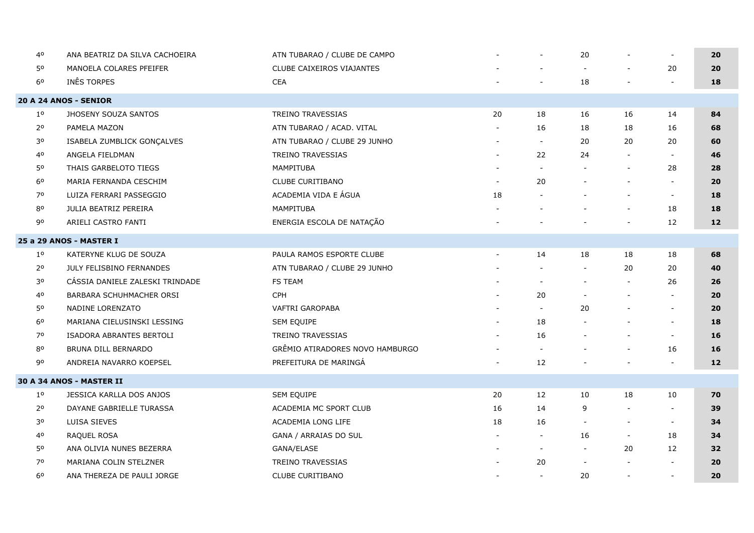| 40             | ANA BEATRIZ DA SILVA CACHOEIRA  | ATN TUBARAO / CLUBE DE CAMPO    |                          |                          | 20                       |                          | $\overline{\phantom{a}}$ | 20 |
|----------------|---------------------------------|---------------------------------|--------------------------|--------------------------|--------------------------|--------------------------|--------------------------|----|
| 50             | MANOELA COLARES PFEIFER         | CLUBE CAIXEIROS VIAJANTES       |                          |                          | $\sim$                   |                          | 20                       | 20 |
| 6 <sup>0</sup> | INES TORPES                     | <b>CEA</b>                      |                          |                          | 18                       |                          |                          | 18 |
|                | 20 A 24 ANOS - SENIOR           |                                 |                          |                          |                          |                          |                          |    |
| $1^{\circ}$    | JHOSENY SOUZA SANTOS            | TREINO TRAVESSIAS               | 20                       | 18                       | 16                       | 16                       | 14                       | 84 |
| 2 <sup>o</sup> | PAMELA MAZON                    | ATN TUBARAO / ACAD. VITAL       | $\overline{\phantom{a}}$ | 16                       | 18                       | 18                       | 16                       | 68 |
| 30             | ISABELA ZUMBLICK GONÇALVES      | ATN TUBARAO / CLUBE 29 JUNHO    |                          | $\sim$                   | 20                       | 20                       | 20                       | 60 |
| 40             | ANGELA FIELDMAN                 | <b>TREINO TRAVESSIAS</b>        | $\sim$                   | 22                       | 24                       |                          | $\sim$                   | 46 |
| 50             | THAIS GARBELOTO TIEGS           | MAMPITUBA                       |                          | $\blacksquare$           | $\overline{\phantom{a}}$ | $\overline{\phantom{a}}$ | 28                       | 28 |
| 6 <sup>o</sup> | MARIA FERNANDA CESCHIM          | CLUBE CURITIBANO                |                          | 20                       |                          |                          | $\sim$                   | 20 |
| 70             | LUIZA FERRARI PASSEGGIO         | ACADEMIA VIDA E ÁGUA            | 18                       |                          |                          |                          | $\sim$                   | 18 |
| 80             | <b>JULIA BEATRIZ PEREIRA</b>    | MAMPITUBA                       |                          |                          | $\overline{\phantom{a}}$ | $\overline{\phantom{a}}$ | 18                       | 18 |
| 90             | ARIELI CASTRO FANTI             | ENERGIA ESCOLA DE NATAÇÃO       |                          |                          |                          |                          | 12                       | 12 |
|                | 25 a 29 ANOS - MASTER I         |                                 |                          |                          |                          |                          |                          |    |
| $1^{\circ}$    | KATERYNE KLUG DE SOUZA          | PAULA RAMOS ESPORTE CLUBE       | $\overline{\phantom{a}}$ | 14                       | 18                       | 18                       | 18                       | 68 |
| 2 <sup>o</sup> | JULY FELISBINO FERNANDES        | ATN TUBARAO / CLUBE 29 JUNHO    |                          |                          | $\blacksquare$           | 20                       | 20                       | 40 |
| 30             | CÁSSIA DANIELE ZALESKI TRINDADE | FS TEAM                         |                          |                          | $\overline{a}$           |                          | 26                       | 26 |
| 40             | BARBARA SCHUHMACHER ORSI        | <b>CPH</b>                      |                          | 20                       | $\overline{\phantom{a}}$ | $\overline{\phantom{a}}$ | $\overline{\phantom{a}}$ | 20 |
| 50             | NADINE LORENZATO                | VAFTRI GAROPABA                 |                          | $\overline{\phantom{a}}$ | 20                       |                          | $\overline{\phantom{a}}$ | 20 |
| 6 <sup>o</sup> | MARIANA CIELUSINSKI LESSING     | SEM EQUIPE                      |                          | 18                       |                          |                          | $\overline{\phantom{a}}$ | 18 |
| 70             | ISADORA ABRANTES BERTOLI        | <b>TREINO TRAVESSIAS</b>        | $\sim$                   | 16                       | $\blacksquare$           |                          | $\overline{\phantom{a}}$ | 16 |
| $8^{\rm o}$    | BRUNA DILL BERNARDO             | GRÊMIO ATIRADORES NOVO HAMBURGO |                          |                          |                          |                          | 16                       | 16 |
| 90             | ANDREIA NAVARRO KOEPSEL         | PREFEITURA DE MARINGÁ           |                          | 12                       |                          |                          |                          | 12 |
|                | <b>30 A 34 ANOS - MASTER II</b> |                                 |                          |                          |                          |                          |                          |    |
| $1^{\circ}$    | JESSICA KARLLA DOS ANJOS        | SEM EQUIPE                      | 20                       | 12                       | 10                       | 18                       | 10                       | 70 |
| 2 <sup>o</sup> | DAYANE GABRIELLE TURASSA        | ACADEMIA MC SPORT CLUB          | 16                       | 14                       | 9                        |                          | $\overline{\phantom{a}}$ | 39 |
| 30             | LUISA SIEVES                    | ACADEMIA LONG LIFE              | 18                       | 16                       | $\overline{\phantom{a}}$ |                          | $\overline{\phantom{a}}$ | 34 |
| 40             | RAQUEL ROSA                     | GANA / ARRAIAS DO SUL           |                          | $\sim$                   | 16                       | $\overline{\phantom{a}}$ | 18                       | 34 |
| 50             | ANA OLIVIA NUNES BEZERRA        | GANA/ELASE                      |                          | $\overline{\phantom{a}}$ | $\overline{\phantom{a}}$ | 20                       | 12                       | 32 |
| 70             | MARIANA COLIN STELZNER          | TREINO TRAVESSIAS               |                          | 20                       | $\overline{a}$           |                          |                          | 20 |
| 60             | ANA THEREZA DE PAULI JORGE      | <b>CLUBE CURITIBANO</b>         | $\overline{\phantom{a}}$ | $\sim$                   | 20                       | $\overline{\phantom{a}}$ | $\overline{\phantom{a}}$ | 20 |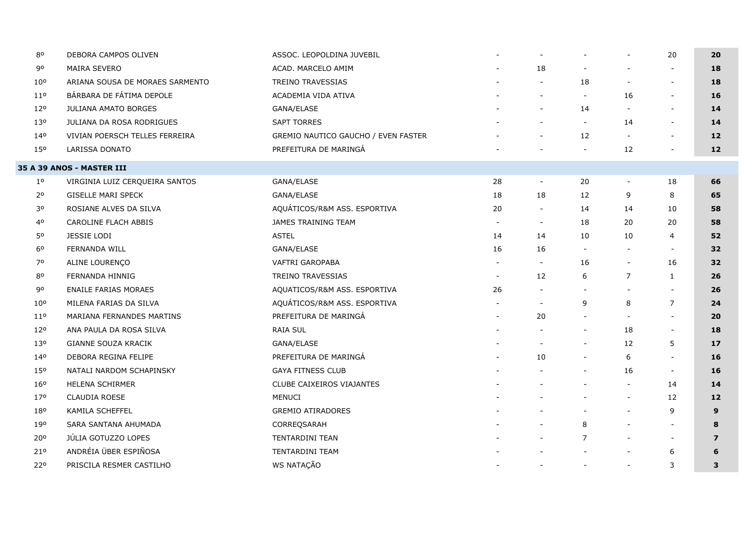| 80              | DEBORA CAMPOS OLIVEN             | ASSOC. LEOPOLDINA JUVEBIL           |                          | $\overline{\phantom{a}}$ |                          | $\sim$                   | 20                       | 20             |
|-----------------|----------------------------------|-------------------------------------|--------------------------|--------------------------|--------------------------|--------------------------|--------------------------|----------------|
| 90              | <b>MAIRA SEVERO</b>              | ACAD. MARCELO AMIM                  |                          | 18                       | $\overline{\phantom{a}}$ | $\blacksquare$           |                          | 18             |
| 10 <sup>o</sup> | ARIANA SOUSA DE MORAES SARMENTO  | TREINO TRAVESSIAS                   |                          | $\overline{\phantom{a}}$ | 18                       | $\overline{\phantom{a}}$ | $\overline{\phantom{a}}$ | 18             |
| $11^{\circ}$    | BÁRBARA DE FÁTIMA DEPOLE         | ACADEMIA VIDA ATIVA                 |                          |                          |                          | 16                       | $\overline{\phantom{a}}$ | 16             |
| 12 <sup>o</sup> | JULIANA AMATO BORGES             | GANA/ELASE                          |                          | $\overline{\phantom{a}}$ | 14                       | $\overline{\phantom{a}}$ | $\blacksquare$           | 14             |
| 130             | JULIANA DA ROSA RODRIGUES        | <b>SAPT TORRES</b>                  |                          | $\blacksquare$           | $\overline{\phantom{a}}$ | 14                       | $\overline{\phantom{a}}$ | 14             |
| 140             | VIVIAN POERSCH TELLES FERREIRA   | GREMIO NAUTICO GAUCHO / EVEN FASTER |                          | $\overline{\phantom{a}}$ | 12                       | $\overline{\phantom{a}}$ | $\overline{\phantom{a}}$ | 12             |
| 150             | LARISSA DONATO                   | PREFEITURA DE MARINGÁ               |                          |                          | $\overline{\phantom{a}}$ | 12                       |                          | 12             |
|                 | <b>35 A 39 ANOS - MASTER III</b> |                                     |                          |                          |                          |                          |                          |                |
| $1^{\circ}$     | VIRGINIA LUIZ CERQUEIRA SANTOS   | GANA/ELASE                          | 28                       | $\sim$                   | 20                       | $\overline{\phantom{a}}$ | 18                       | 66             |
| 20              | <b>GISELLE MARI SPECK</b>        | GANA/ELASE                          | 18                       | 18                       | 12                       | 9                        | 8                        | 65             |
| 30              | ROSIANE ALVES DA SILVA           | AQUÁTICOS/R&M ASS. ESPORTIVA        | 20                       | $\overline{\phantom{a}}$ | 14                       | 14                       | 10                       | 58             |
| 40              | CAROLINE FLACH ABBIS             | <b>JAMES TRAINING TEAM</b>          | $\overline{\phantom{a}}$ | $\sim$                   | 18                       | 20                       | 20                       | 58             |
| 50              | <b>JESSIE LODI</b>               | <b>ASTEL</b>                        | 14                       | 14                       | 10                       | 10                       | $\overline{4}$           | 52             |
| $6^{\circ}$     | FERNANDA WILL                    | GANA/ELASE                          | 16                       | 16                       |                          | $\overline{\phantom{a}}$ | $\blacksquare$           | 32             |
| 70              | ALINE LOURENÇO                   | VAFTRI GAROPABA                     | $\overline{\phantom{a}}$ | $\overline{\phantom{a}}$ | 16                       | $\overline{\phantom{a}}$ | 16                       | 32             |
| 80              | FERNANDA HINNIG                  | TREINO TRAVESSIAS                   | $\overline{\phantom{a}}$ | 12                       | 6                        | $\overline{7}$           | $\mathbf{1}$             | 26             |
| 90              | <b>ENAILE FARIAS MORAES</b>      | AQUATICOS/R&M ASS. ESPORTIVA        | 26                       | $\overline{\phantom{a}}$ |                          | $\overline{\phantom{a}}$ | $\overline{\phantom{a}}$ | 26             |
| 10 <sup>o</sup> | MILENA FARIAS DA SILVA           | AQUÁTICOS/R&M ASS. ESPORTIVA        |                          | $\overline{a}$           | 9                        | 8                        | $\overline{7}$           | 24             |
| 110             | MARIANA FERNANDES MARTINS        | PREFEITURA DE MARINGÁ               |                          | 20                       |                          | $\overline{\phantom{a}}$ | $\overline{\phantom{a}}$ | 20             |
| 12 <sup>o</sup> | ANA PAULA DA ROSA SILVA          | <b>RAIA SUL</b>                     |                          | $\blacksquare$           | $\overline{\phantom{a}}$ | 18                       | $\overline{\phantom{a}}$ | 18             |
| 130             | GIANNE SOUZA KRACIK              | GANA/ELASE                          |                          | $\overline{\phantom{a}}$ | $\overline{\phantom{a}}$ | 12                       | 5                        | 17             |
| 140             | DEBORA REGINA FELIPE             | PREFEITURA DE MARINGÁ               |                          | 10                       |                          | 6                        | $\overline{\phantom{a}}$ | 16             |
| 150             | NATALI NARDOM SCHAPINSKY         | <b>GAYA FITNESS CLUB</b>            |                          |                          |                          | 16                       | $\overline{\phantom{a}}$ | 16             |
| 16 <sup>o</sup> | HELENA SCHIRMER                  | CLUBE CAIXEIROS VIAJANTES           |                          |                          |                          | $\overline{\phantom{a}}$ | 14                       | 14             |
| 170             | CLAUDIA ROESE                    | MENUCI                              |                          | $\overline{\phantom{a}}$ |                          | $\sim$                   | 12                       | 12             |
| 180             | KAMILA SCHEFFEL                  | <b>GREMIO ATIRADORES</b>            |                          | $\blacksquare$           |                          | $\overline{\phantom{a}}$ | 9                        | 9              |
| 190             | SARA SANTANA AHUMADA             | CORREQSARAH                         |                          | $\overline{\phantom{a}}$ | 8                        | $\overline{\phantom{a}}$ | $\overline{\phantom{a}}$ | 8              |
| 20°             | JÚLIA GOTUZZO LOPES              | TENTARDINI TEAN                     |                          |                          | 7                        | $\overline{\phantom{a}}$ | $\overline{\phantom{a}}$ | $\overline{z}$ |
| 21°             | ANDRÉIA ÜBER ESPIÑOSA            | <b>TENTARDINI TEAM</b>              |                          |                          |                          |                          | 6                        | 6              |
| 22°             | PRISCILA RESMER CASTILHO         | WS NATAÇÃO                          |                          | $\overline{\phantom{a}}$ | $\overline{\phantom{a}}$ | $\overline{\phantom{a}}$ | 3                        | 3              |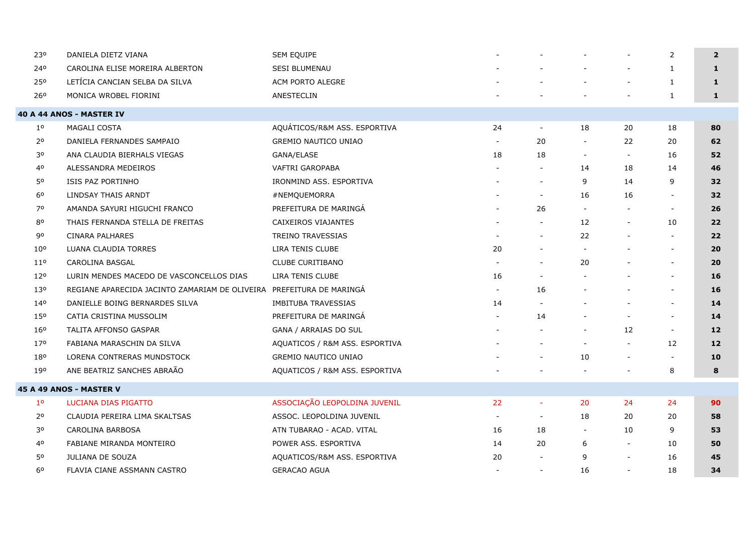| 230             | DANIELA DIETZ VIANA                                                  | SEM EQUIPE                     |       |                          |                          |                          | 2                        | $\overline{2}$    |
|-----------------|----------------------------------------------------------------------|--------------------------------|-------|--------------------------|--------------------------|--------------------------|--------------------------|-------------------|
| 240             | CAROLINA ELISE MOREIRA ALBERTON                                      | <b>SESI BLUMENAU</b>           |       |                          |                          | $\qquad \qquad -$        | 1                        | $\mathbf{1}$      |
| 250             | LETÍCIA CANCIAN SELBA DA SILVA                                       | ACM PORTO ALEGRE               |       |                          |                          |                          | $\mathbf{1}$             | $\mathbf{1}$      |
| 26°             | MONICA WROBEL FIORINI                                                | ANESTECLIN                     |       |                          |                          | $\overline{\phantom{a}}$ | $\mathbf{1}$             | 1                 |
|                 | 40 A 44 ANOS - MASTER IV                                             |                                |       |                          |                          |                          |                          |                   |
| $1^{\circ}$     | MAGALI COSTA                                                         | AQUÁTICOS/R&M ASS. ESPORTIVA   | 24    | $\overline{\phantom{a}}$ | 18                       | 20                       | 18                       | 80                |
| 2 <sup>o</sup>  | DANIELA FERNANDES SAMPAIO                                            | <b>GREMIO NAUTICO UNIAO</b>    |       | 20                       | $\overline{\phantom{a}}$ | 22                       | 20                       | 62                |
| 30              | ANA CLAUDIA BIERHALS VIEGAS                                          | GANA/ELASE                     | 18    | 18                       | $\overline{\phantom{a}}$ | $\overline{\phantom{a}}$ | 16                       | 52                |
| 4 <sup>o</sup>  | ALESSANDRA MEDEIROS                                                  | <b>VAFTRI GAROPABA</b>         |       |                          | 14                       | 18                       | 14                       | 46                |
| 50              | ISIS PAZ PORTINHO                                                    | IRONMIND ASS. ESPORTIVA        |       |                          | 9                        | 14                       | 9                        | 32                |
| 60              | LINDSAY THAIS ARNDT                                                  | #NEMQUEMORRA                   |       | $\overline{\phantom{a}}$ | 16                       | 16                       |                          | 32                |
| 70              | AMANDA SAYURI HIGUCHI FRANCO                                         | PREFEITURA DE MARINGÁ          |       | 26                       | $\blacksquare$           |                          | $\overline{\phantom{a}}$ | 26                |
| 80              | THAIS FERNANDA STELLA DE FREITAS                                     | CAIXEIROS VIAJANTES            |       | $\overline{\phantom{a}}$ | 12                       | $\blacksquare$           | 10                       | 22                |
| 90              | <b>CINARA PALHARES</b>                                               | TREINO TRAVESSIAS              |       |                          | 22                       |                          |                          | 22                |
| 10 <sup>o</sup> | LUANA CLAUDIA TORRES                                                 | LIRA TENIS CLUBE               | 20    |                          | $\overline{\phantom{a}}$ |                          | $\overline{\phantom{a}}$ | 20                |
| 11 <sup>o</sup> | CAROLINA BASGAL                                                      | <b>CLUBE CURITIBANO</b>        |       |                          | 20                       |                          |                          | 20                |
| 120             | LURIN MENDES MACEDO DE VASCONCELLOS DIAS                             | LIRA TENIS CLUBE               | 16    |                          |                          |                          | $\sim$                   | 16                |
| 130             | REGIANE APARECIDA JACINTO ZAMARIAM DE OLIVEIRA PREFEITURA DE MARINGÀ |                                | $ \,$ | 16                       | $\blacksquare$           |                          | $\overline{\phantom{a}}$ | 16                |
| 140             | DANIELLE BOING BERNARDES SILVA                                       | <b>IMBITUBA TRAVESSIAS</b>     | 14    |                          |                          |                          | $\overline{\phantom{a}}$ | 14                |
| 150             | CATIA CRISTINA MUSSOLIM                                              | PREFEITURA DE MARINGÁ          |       | 14                       |                          |                          |                          | 14                |
| 16 <sup>o</sup> | TALITA AFFONSO GASPAR                                                | GANA / ARRAIAS DO SUL          |       |                          | $\overline{\phantom{a}}$ | 12                       | $\overline{\phantom{a}}$ | $12 \overline{ }$ |
| 17°             | FABIANA MARASCHIN DA SILVA                                           | AQUATICOS / R&M ASS. ESPORTIVA |       |                          | $\blacksquare$           | $\blacksquare$           | 12                       | 12                |
| 180             | <b>LORENA CONTRERAS MUNDSTOCK</b>                                    | <b>GREMIO NAUTICO UNIAO</b>    |       |                          | 10                       | $\overline{\phantom{a}}$ | $\overline{\phantom{a}}$ | 10                |
| 190             | ANE BEATRIZ SANCHES ABRAÃO                                           | AQUATICOS / R&M ASS. ESPORTIVA |       |                          |                          | $\overline{\phantom{a}}$ | 8                        | 8                 |
|                 | 45 A 49 ANOS - MASTER V                                              |                                |       |                          |                          |                          |                          |                   |
| 1 <sup>o</sup>  | LUCIANA DIAS PIGATTO                                                 | ASSOCIAÇÃO LEOPOLDINA JUVENIL  | 22    | $\sim$                   | 20                       | 24                       | 24                       | 90                |
| 2 <sup>o</sup>  | CLAUDIA PEREIRA LIMA SKALTSAS                                        | ASSOC. LEOPOLDINA JUVENIL      |       | $\sim$                   | 18                       | 20                       | 20                       | 58                |
| 30              | CAROLINA BARBOSA                                                     | ATN TUBARAO - ACAD. VITAL      | 16    | 18                       | $\overline{\phantom{a}}$ | 10                       | 9                        | 53                |
| 40              | FABIANE MIRANDA MONTEIRO                                             | POWER ASS. ESPORTIVA           | 14    | 20                       | 6                        | $\overline{\phantom{0}}$ | 10                       | 50                |
| 50              | <b>JULIANA DE SOUZA</b>                                              | AQUATICOS/R&M ASS. ESPORTIVA   | 20    |                          | 9                        | $\overline{\phantom{a}}$ | 16                       | 45                |
| 6 <sup>o</sup>  | FLAVIA CIANE ASSMANN CASTRO                                          | <b>GERACAO AGUA</b>            |       | $\overline{\phantom{a}}$ | 16                       | $\overline{\phantom{a}}$ | 18                       | 34                |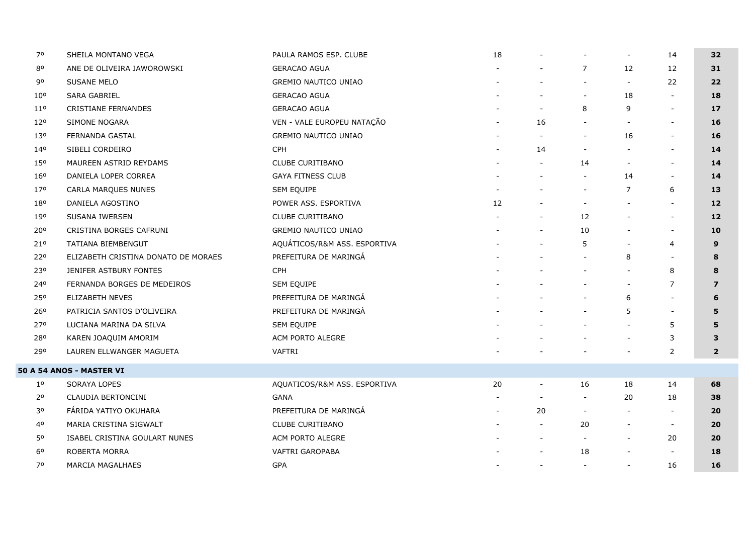| 70              | SHEILA MONTANO VEGA                 | PAULA RAMOS ESP. CLUBE       | 18 |                          |                          | $\overline{\phantom{a}}$ | 14                       | 32              |
|-----------------|-------------------------------------|------------------------------|----|--------------------------|--------------------------|--------------------------|--------------------------|-----------------|
| 80              | ANE DE OLIVEIRA JAWOROWSKI          | <b>GERACAO AGUA</b>          |    |                          | 7                        | 12                       | 12                       | 31              |
| 90              | SUSANE MELO                         | GREMIO NAUTICO UNIAO         |    |                          |                          | $\overline{\phantom{a}}$ | 22                       | 22              |
| 10 <sup>o</sup> | SARA GABRIEL                        | <b>GERACAO AGUA</b>          |    |                          | $\overline{\phantom{a}}$ | 18                       | $\overline{a}$           | 18              |
| $11^{\circ}$    | <b>CRISTIANE FERNANDES</b>          | <b>GERACAO AGUA</b>          |    | $\overline{\phantom{a}}$ | 8                        | 9                        | $\blacksquare$           | 17              |
| 120             | SIMONE NOGARA                       | VEN - VALE EUROPEU NATAÇÃO   |    | 16                       |                          | $\overline{\phantom{a}}$ | $\overline{\phantom{a}}$ | 16              |
| 13 <sup>o</sup> | FERNANDA GASTAL                     | <b>GREMIO NAUTICO UNIAO</b>  |    |                          |                          | 16                       | $\overline{\phantom{a}}$ | 16              |
| 140             | SIBELI CORDEIRO                     | CPH                          |    | 14                       |                          |                          | $\overline{\phantom{a}}$ | 14              |
| 150             | MAUREEN ASTRID REYDAMS              | CLUBE CURITIBANO             |    | $\blacksquare$           | 14                       | $\sim$                   | $\blacksquare$           | 14              |
| 16°             | DANIELA LOPER CORREA                | <b>GAYA FITNESS CLUB</b>     |    |                          | $\overline{\phantom{a}}$ | 14                       | $\blacksquare$           | 14              |
| 170             | CARLA MARQUES NUNES                 | SEM EQUIPE                   |    |                          | $\overline{\phantom{a}}$ | $\overline{7}$           | 6                        | 13              |
| 180             | DANIELA AGOSTINO                    | POWER ASS. ESPORTIVA         | 12 |                          | $\overline{\phantom{a}}$ |                          | $\blacksquare$           | 12 <sup>2</sup> |
| 190             | SUSANA IWERSEN                      | <b>CLUBE CURITIBANO</b>      |    | $\overline{\phantom{a}}$ | 12                       | $\sim$                   | $\blacksquare$           | 12              |
| 20°             | CRISTINA BORGES CAFRUNI             | GREMIO NAUTICO UNIAO         |    |                          | 10                       |                          | $\blacksquare$           | 10              |
| 210             | TATIANA BIEMBENGUT                  | AQUÁTICOS/R&M ASS. ESPORTIVA |    |                          | 5                        | $\overline{\phantom{a}}$ | $\overline{4}$           | 9               |
| 220             | ELIZABETH CRISTINA DONATO DE MORAES | PREFEITURA DE MARINGÁ        |    |                          | $\blacksquare$           | 8                        |                          | 8               |
| 230             | JENIFER ASTBURY FONTES              | <b>CPH</b>                   |    |                          |                          |                          | 8                        | 8               |
| 240             | FERNANDA BORGES DE MEDEIROS         | SEM EQUIPE                   |    |                          |                          | $\sim$                   | 7                        | $\overline{z}$  |
| 250             | ELIZABETH NEVES                     | PREFEITURA DE MARINGÁ        |    |                          |                          | 6                        |                          | 6               |
| 260             | PATRICIA SANTOS D'OLIVEIRA          | PREFEITURA DE MARINGÁ        |    |                          | $\overline{\phantom{a}}$ | 5                        | $\blacksquare$           | 5               |
| 270             | LUCIANA MARINA DA SILVA             | SEM EQUIPE                   |    |                          |                          |                          | 5                        | 5               |
| 280             | KAREN JOAQUIM AMORIM                | ACM PORTO ALEGRE             |    |                          |                          | $\overline{\phantom{a}}$ | 3                        | 3               |
| 290             | LAUREN ELLWANGER MAGUETA            | VAFTRI                       |    |                          |                          |                          | 2                        | $\overline{2}$  |
|                 | 50 A 54 ANOS - MASTER VI            |                              |    |                          |                          |                          |                          |                 |
| $1^{\circ}$     | SORAYA LOPES                        | AQUATICOS/R&M ASS. ESPORTIVA | 20 | $\sim$                   | 16                       | 18                       | 14                       | 68              |
| 2 <sup>o</sup>  | CLAUDIA BERTONCINI                  | <b>GANA</b>                  |    | $\overline{\phantom{a}}$ | $\overline{\phantom{a}}$ | 20                       | 18                       | 38              |
| 30              | FÁRIDA YATIYO OKUHARA               | PREFEITURA DE MARINGÁ        |    | 20                       | $\overline{\phantom{a}}$ | $\sim$                   | $\overline{\phantom{a}}$ | 20              |
| 40              | MARIA CRISTINA SIGWALT              | <b>CLUBE CURITIBANO</b>      |    | $\overline{\phantom{a}}$ | 20                       | $\sim$                   | $\overline{\phantom{a}}$ | 20              |
| 50              | ISABEL CRISTINA GOULART NUNES       | ACM PORTO ALEGRE             |    |                          |                          | $\overline{\phantom{a}}$ | 20                       | 20              |
| 60              | ROBERTA MORRA                       | <b>VAFTRI GAROPABA</b>       |    |                          | 18                       |                          | $\overline{\phantom{a}}$ | 18              |
| 70              | MARCIA MAGALHAES                    | GPA                          |    | $\sim$                   | $\overline{\phantom{a}}$ | $\overline{\phantom{a}}$ | 16                       | 16              |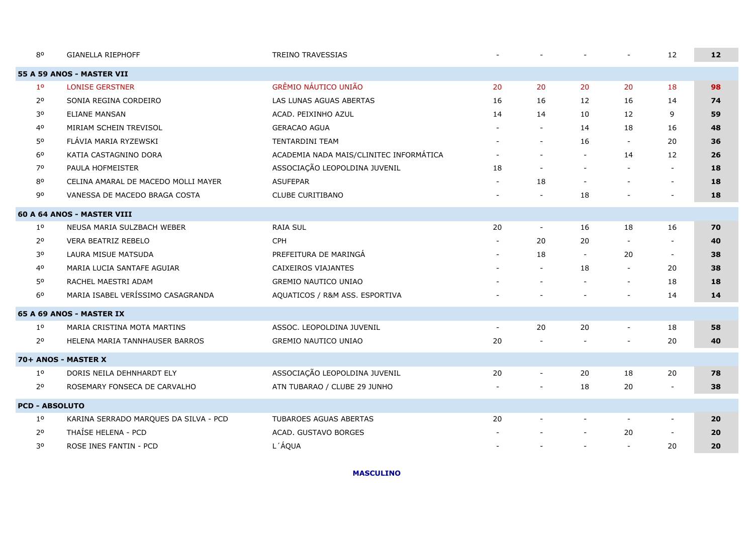| 80                    | <b>GIANELLA RIEPHOFF</b>              | <b>TREINO TRAVESSIAS</b>                |                          |                          |                          |                          | 12                       | 12 |
|-----------------------|---------------------------------------|-----------------------------------------|--------------------------|--------------------------|--------------------------|--------------------------|--------------------------|----|
|                       | 55 A 59 ANOS - MASTER VII             |                                         |                          |                          |                          |                          |                          |    |
| 1 <sup>0</sup>        | <b>LONISE GERSTNER</b>                | <b>GRÊMIO NÁUTICO UNIÃO</b>             | 20                       | 20                       | 20                       | 20                       | 18                       | 98 |
| $2^{\circ}$           | SONIA REGINA CORDEIRO                 | LAS LUNAS AGUAS ABERTAS                 | 16                       | 16                       | 12                       | 16                       | 14                       | 74 |
| 30                    | <b>ELIANE MANSAN</b>                  | ACAD. PEIXINHO AZUL                     | 14                       | 14                       | 10                       | 12                       | 9                        | 59 |
| 40                    | MIRIAM SCHEIN TREVISOL                | <b>GERACAO AGUA</b>                     | $\overline{\phantom{a}}$ | $\blacksquare$           | 14                       | 18                       | 16                       | 48 |
| 50                    | FLÁVIA MARIA RYZEWSKI                 | <b>TENTARDINI TEAM</b>                  |                          | $\blacksquare$           | 16                       |                          | 20                       | 36 |
| 60                    | KATIA CASTAGNINO DORA                 | ACADEMIA NADA MAIS/CLINITEC INFORMÁTICA | $\overline{\phantom{a}}$ | $\blacksquare$           | $\blacksquare$           | 14                       | 12                       | 26 |
| 70                    | PAULA HOFMEISTER                      | ASSOCIAÇÃO LEOPOLDINA JUVENIL           | 18                       | $\overline{\phantom{a}}$ | $\overline{\phantom{a}}$ |                          | $\sim$                   | 18 |
| 80                    | CELINA AMARAL DE MACEDO MOLLI MAYER   | <b>ASUFEPAR</b>                         | $\blacksquare$           | 18                       | $\overline{\phantom{a}}$ | $\overline{\phantom{a}}$ |                          | 18 |
| 90                    | VANESSA DE MACEDO BRAGA COSTA         | CLUBE CURITIBANO                        |                          |                          | 18                       |                          | $\overline{\phantom{a}}$ | 18 |
|                       | 60 A 64 ANOS - MASTER VIII            |                                         |                          |                          |                          |                          |                          |    |
| 1 <sup>o</sup>        | NEUSA MARIA SULZBACH WEBER            | <b>RAIA SUL</b>                         | 20                       | $\sim$                   | 16                       | 18                       | 16                       | 70 |
| 2 <sup>o</sup>        | <b>VERA BEATRIZ REBELO</b>            | <b>CPH</b>                              |                          | 20                       | 20                       |                          | $\blacksquare$           | 40 |
| 30                    | LAURA MISUE MATSUDA                   | PREFEITURA DE MARINGÁ                   | $\sim$                   | 18                       | $\sim$                   | 20                       | $\sim$                   | 38 |
| 40                    | MARIA LUCIA SANTAFE AGUIAR            | CAIXEIROS VIAJANTES                     |                          | $\sim$                   | 18                       |                          | 20                       | 38 |
| 50                    | RACHEL MAESTRI ADAM                   | <b>GREMIO NAUTICO UNIAO</b>             |                          | $\overline{\phantom{a}}$ | $\overline{\phantom{a}}$ | $\overline{\phantom{a}}$ | 18                       | 18 |
| 6 <sup>0</sup>        | MARIA ISABEL VERÍSSIMO CASAGRANDA     | AQUATICOS / R&M ASS. ESPORTIVA          |                          |                          |                          |                          | 14                       | 14 |
|                       | 65 A 69 ANOS - MASTER IX              |                                         |                          |                          |                          |                          |                          |    |
| 1 <sup>o</sup>        | MARIA CRISTINA MOTA MARTINS           | ASSOC. LEOPOLDINA JUVENIL               | $\overline{\phantom{a}}$ | 20                       | 20                       |                          | 18                       | 58 |
| 2 <sup>o</sup>        | HELENA MARIA TANNHAUSER BARROS        | <b>GREMIO NAUTICO UNIAO</b>             | 20                       |                          |                          |                          | 20                       | 40 |
|                       | 70+ ANOS - MASTER X                   |                                         |                          |                          |                          |                          |                          |    |
| $1^{\rm o}$           | DORIS NEILA DEHNHARDT ELY             | ASSOCIAÇÃO LEOPOLDINA JUVENIL           | 20                       | $\overline{\phantom{a}}$ | 20                       | 18                       | 20                       | 78 |
| 2 <sup>o</sup>        | ROSEMARY FONSECA DE CARVALHO          | ATN TUBARAO / CLUBE 29 JUNHO            | $\overline{a}$           | $\blacksquare$           | 18                       | 20                       | $\sim$                   | 38 |
| <b>PCD - ABSOLUTO</b> |                                       |                                         |                          |                          |                          |                          |                          |    |
| 1 <sup>o</sup>        | KARINA SERRADO MARQUES DA SILVA - PCD | TUBAROES AGUAS ABERTAS                  | 20                       |                          | $\blacksquare$           |                          | $\sim$                   | 20 |
| 2 <sup>o</sup>        | THAÍSE HELENA - PCD                   | ACAD. GUSTAVO BORGES                    |                          |                          |                          | 20                       | $\sim$                   | 20 |
| 30                    | ROSE INES FANTIN - PCD                | L'ÁQUA                                  |                          | $\overline{\phantom{a}}$ | $\overline{\phantom{a}}$ |                          | 20                       | 20 |

**MASCULINO**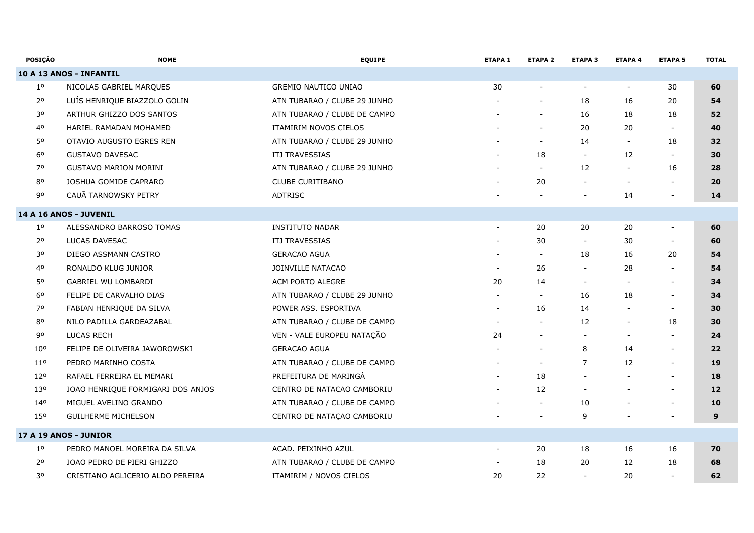| <b>POSICÃO</b>  | <b>NOME</b>                       | <b>EQUIPE</b>                | <b>ETAPA 1</b>           | <b>ETAPA 2</b>           | <b>ETAPA 3</b>           | <b>ETAPA 4</b>           | <b>ETAPA 5</b>           | <b>TOTAL</b> |
|-----------------|-----------------------------------|------------------------------|--------------------------|--------------------------|--------------------------|--------------------------|--------------------------|--------------|
|                 | 10 A 13 ANOS - INFANTIL           |                              |                          |                          |                          |                          |                          |              |
| 1 <sup>o</sup>  | NICOLAS GABRIEL MARQUES           | GREMIO NAUTICO UNIAO         | 30                       |                          |                          | $\blacksquare$           | 30                       | 60           |
| 2 <sup>o</sup>  | LUÍS HENRIQUE BIAZZOLO GOLIN      | ATN TUBARAO / CLUBE 29 JUNHO |                          | $\blacksquare$           | 18                       | 16                       | 20                       | 54           |
| 30              | ARTHUR GHIZZO DOS SANTOS          | ATN TUBARAO / CLUBE DE CAMPO |                          | $\blacksquare$           | 16                       | 18                       | 18                       | 52           |
| 40              | HARIEL RAMADAN MOHAMED            | ITAMIRIM NOVOS CIELOS        |                          | $\blacksquare$           | 20                       | 20                       | $\sim$                   | 40           |
| 50              | OTAVIO AUGUSTO EGRES REN          | ATN TUBARAO / CLUBE 29 JUNHO |                          | $\overline{\phantom{a}}$ | 14                       | $\overline{\phantom{a}}$ | 18                       | 32           |
| 60              | <b>GUSTAVO DAVESAC</b>            | ITJ TRAVESSIAS               |                          | 18                       | $\blacksquare$           | 12                       | $\sim$                   | 30           |
| 70              | <b>GUSTAVO MARION MORINI</b>      | ATN TUBARAO / CLUBE 29 JUNHO |                          | $\blacksquare$           | 12                       | $\overline{\phantom{a}}$ | 16                       | 28           |
| $8^{\rm o}$     | JOSHUA GOMIDE CAPRARO             | CLUBE CURITIBANO             |                          | 20                       |                          |                          | $\blacksquare$           | 20           |
| 90              | CAUÃ TARNOWSKY PETRY              | ADTRISC                      |                          |                          |                          | 14                       | $\overline{\phantom{a}}$ | 14           |
|                 | 14 A 16 ANOS - JUVENIL            |                              |                          |                          |                          |                          |                          |              |
| $1^{\circ}$     | ALESSANDRO BARROSO TOMAS          | <b>INSTITUTO NADAR</b>       | $\overline{a}$           | 20                       | 20                       | 20                       | $\overline{\phantom{a}}$ | 60           |
| 2 <sup>o</sup>  | LUCAS DAVESAC                     | <b>ITJ TRAVESSIAS</b>        |                          | 30                       | $\overline{\phantom{a}}$ | 30                       | $\overline{\phantom{a}}$ | 60           |
| 30              | DIEGO ASSMANN CASTRO              | <b>GERACAO AGUA</b>          |                          | $\overline{\phantom{a}}$ | 18                       | 16                       | 20                       | 54           |
| 40              | RONALDO KLUG JUNIOR               | JOINVILLE NATACAO            | $\overline{\phantom{a}}$ | 26                       |                          | 28                       | $\overline{\phantom{a}}$ | 54           |
| 50              | <b>GABRIEL WU LOMBARDI</b>        | ACM PORTO ALEGRE             | 20                       | 14                       | $\blacksquare$           |                          | $\overline{\phantom{a}}$ | 34           |
| 6 <sup>o</sup>  | FELIPE DE CARVALHO DIAS           | ATN TUBARAO / CLUBE 29 JUNHO | $\sim$                   | $\sim$                   | 16                       | 18                       | $\overline{\phantom{a}}$ | 34           |
| 70              | FABIAN HENRIQUE DA SILVA          | POWER ASS. ESPORTIVA         | $\overline{\phantom{a}}$ | 16                       | 14                       |                          | $\overline{\phantom{a}}$ | 30           |
| 80              | NILO PADILLA GARDEAZABAL          | ATN TUBARAO / CLUBE DE CAMPO |                          | $\blacksquare$           | 12                       |                          | 18                       | 30           |
| 90              | <b>LUCAS RECH</b>                 | VEN - VALE EUROPEU NATAÇÃO   | 24                       |                          | $\blacksquare$           |                          | $\sim$                   | 24           |
| 10 <sup>o</sup> | FELIPE DE OLIVEIRA JAWOROWSKI     | <b>GERACAO AGUA</b>          |                          |                          | 8                        | 14                       | $\sim$                   | 22           |
| 11 <sup>o</sup> | PEDRO MARINHO COSTA               | ATN TUBARAO / CLUBE DE CAMPO |                          | $\blacksquare$           | $\overline{7}$           | 12                       | $\overline{\phantom{a}}$ | 19           |
| 12°             | RAFAEL FERREIRA EL MEMARI         | PREFEITURA DE MARINGÁ        | $\overline{a}$           | 18                       |                          |                          | $\sim$                   | 18           |
| 130             | JOAO HENRIQUE FORMIGARI DOS ANJOS | CENTRO DE NATACAO CAMBORIU   | $\overline{\phantom{a}}$ | 12                       | $\overline{\phantom{a}}$ |                          | $\overline{\phantom{a}}$ | 12           |
| 140             | MIGUEL AVELINO GRANDO             | ATN TUBARAO / CLUBE DE CAMPO |                          | $\blacksquare$           | 10                       |                          | $\blacksquare$           | 10           |
| 150             | <b>GUILHERME MICHELSON</b>        | CENTRO DE NATAÇÃO CAMBORIU   |                          |                          | 9                        |                          |                          | 9            |
|                 | 17 A 19 ANOS - JUNIOR             |                              |                          |                          |                          |                          |                          |              |
| 1 <sup>o</sup>  | PEDRO MANOEL MOREIRA DA SILVA     | ACAD. PEIXINHO AZUL          |                          | 20                       | 18                       | 16                       | 16                       | 70           |
| 2 <sup>o</sup>  | JOAO PEDRO DE PIERI GHIZZO        | ATN TUBARAO / CLUBE DE CAMPO |                          | 18                       | 20                       | 12                       | 18                       | 68           |
| 30              | CRISTIANO AGLICERIO ALDO PEREIRA  | ITAMIRIM / NOVOS CIELOS      | 20                       | 22                       | $\overline{\phantom{a}}$ | 20                       | $\overline{\phantom{a}}$ | 62           |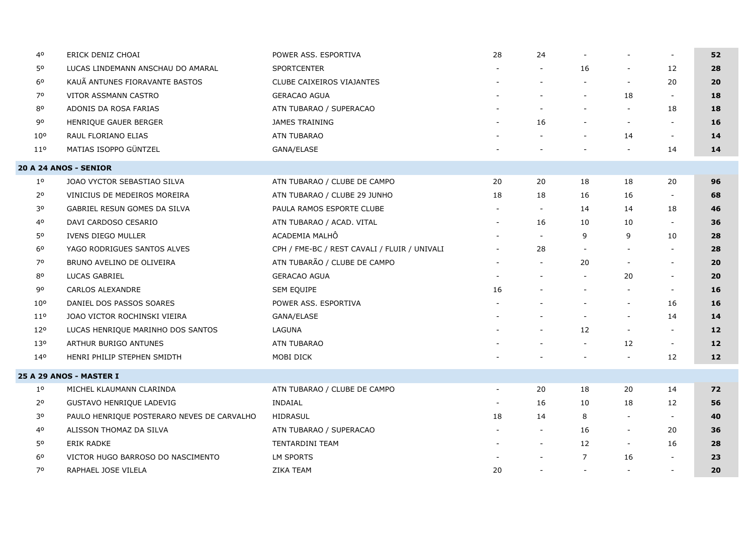| 40              | ERICK DENIZ CHOAI                          | POWER ASS. ESPORTIVA                         | 28                       | 24             |                          |                          | $\overline{\phantom{a}}$ | 52              |
|-----------------|--------------------------------------------|----------------------------------------------|--------------------------|----------------|--------------------------|--------------------------|--------------------------|-----------------|
| 50              | LUCAS LINDEMANN ANSCHAU DO AMARAL          | <b>SPORTCENTER</b>                           |                          |                | 16                       | $\overline{\phantom{a}}$ | 12                       | 28              |
| 6 <sup>o</sup>  | KAUÃ ANTUNES FIORAVANTE BASTOS             | CLUBE CAIXEIROS VIAJANTES                    |                          |                | $\overline{\phantom{a}}$ | $\overline{\phantom{a}}$ | 20                       | 20              |
| 70              | VITOR ASSMANN CASTRO                       | <b>GERACAO AGUA</b>                          |                          |                | $\overline{\phantom{a}}$ | 18                       | $\blacksquare$           | 18              |
| 80              | ADONIS DA ROSA FARIAS                      | ATN TUBARAO / SUPERACAO                      |                          |                | $\blacksquare$           |                          | 18                       | 18              |
| 90              | HENRIQUE GAUER BERGER                      | <b>JAMES TRAINING</b>                        |                          | 16             | $\overline{\phantom{a}}$ | $\overline{\phantom{a}}$ | $\overline{\phantom{a}}$ | 16              |
| 10 <sup>o</sup> | RAUL FLORIANO ELIAS                        | <b>ATN TUBARAO</b>                           |                          |                | $\blacksquare$           | 14                       | $\overline{\phantom{a}}$ | 14              |
| $11^{\circ}$    | MATIAS ISOPPO GÜNTZEL                      | GANA/ELASE                                   |                          |                | $\blacksquare$           |                          | 14                       | 14              |
|                 | 20 A 24 ANOS - SENIOR                      |                                              |                          |                |                          |                          |                          |                 |
| 1 <sup>o</sup>  | JOAO VYCTOR SEBASTIAO SILVA                | ATN TUBARAO / CLUBE DE CAMPO                 | 20                       | 20             | 18                       | 18                       | 20                       | 96              |
| $2^{\circ}$     | VINICIUS DE MEDEIROS MOREIRA               | ATN TUBARAO / CLUBE 29 JUNHO                 | 18                       | 18             | 16                       | 16                       | $\overline{\phantom{a}}$ | 68              |
| 30              | GABRIEL RESUN GOMES DA SILVA               | PAULA RAMOS ESPORTE CLUBE                    | $\sim$                   | $\sim$         | 14                       | 14                       | 18                       | 46              |
| 40              | DAVI CARDOSO CESARIO                       | ATN TUBARAO / ACAD. VITAL                    | $\sim$                   | 16             | 10                       | 10                       | $\overline{\phantom{a}}$ | 36              |
| 50              | IVENS DIEGO MULLER                         | ACADEMIA MALHÔ                               |                          | $\blacksquare$ | 9                        | 9                        | 10                       | 28              |
| 6 <sup>o</sup>  | YAGO RODRIGUES SANTOS ALVES                | CPH / FME-BC / REST CAVALI / FLUIR / UNIVALI |                          | 28             | $\blacksquare$           |                          | $\sim$                   | 28              |
| 70              | BRUNO AVELINO DE OLIVEIRA                  | ATN TUBARÃO / CLUBE DE CAMPO                 |                          |                | 20                       | $\overline{\phantom{a}}$ | $\overline{\phantom{a}}$ | 20              |
| 80              | LUCAS GABRIEL                              | <b>GERACAO AGUA</b>                          |                          |                | $\blacksquare$           | 20                       | $\blacksquare$           | 20              |
| 90              | <b>CARLOS ALEXANDRE</b>                    | SEM EQUIPE                                   | 16                       |                | $\overline{\phantom{a}}$ |                          | $\blacksquare$           | 16              |
| 10 <sup>o</sup> | DANIEL DOS PASSOS SOARES                   | POWER ASS. ESPORTIVA                         |                          |                | $\overline{\phantom{a}}$ | $\overline{\phantom{a}}$ | 16                       | 16              |
| $11^{\circ}$    | JOAO VICTOR ROCHINSKI VIEIRA               | GANA/ELASE                                   |                          |                | $\overline{\phantom{a}}$ | $\overline{\phantom{a}}$ | 14                       | 14              |
| 120             | LUCAS HENRIQUE MARINHO DOS SANTOS          | LAGUNA                                       |                          |                | 12                       | $\overline{\phantom{a}}$ | $\sim$                   | 12 <sub>1</sub> |
| 13 <sup>o</sup> | ARTHUR BURIGO ANTUNES                      | <b>ATN TUBARAO</b>                           |                          |                | $\overline{\phantom{a}}$ | 12                       | $\overline{\phantom{a}}$ | 12              |
| 140             | HENRI PHILIP STEPHEN SMIDTH                | MOBI DICK                                    |                          |                |                          | $\overline{\phantom{a}}$ | 12                       | 12              |
|                 | 25 A 29 ANOS - MASTER I                    |                                              |                          |                |                          |                          |                          |                 |
| $1^{\circ}$     | MICHEL KLAUMANN CLARINDA                   | ATN TUBARAO / CLUBE DE CAMPO                 | $\overline{\phantom{a}}$ | 20             | 18                       | 20                       | 14                       | 72              |
| $2^{\circ}$     | GUSTAVO HENRIQUE LADEVIG                   | INDAIAL                                      | $\overline{\phantom{a}}$ | 16             | 10                       | 18                       | 12                       | 56              |
| 30              | PAULO HENRIQUE POSTERARO NEVES DE CARVALHO | HIDRASUL                                     | 18                       | 14             | 8                        | $\overline{\phantom{a}}$ | $\blacksquare$           | 40              |
| 40              | ALISSON THOMAZ DA SILVA                    | ATN TUBARAO / SUPERACAO                      |                          | $\sim$         | 16                       | $\overline{\phantom{a}}$ | 20                       | 36              |
| 50              | <b>ERIK RADKE</b>                          | TENTARDINI TEAM                              |                          | $\blacksquare$ | 12                       | $\overline{\phantom{a}}$ | 16                       | 28              |
| 6 <sup>o</sup>  | VICTOR HUGO BARROSO DO NASCIMENTO          | <b>LM SPORTS</b>                             |                          |                | $\overline{7}$           | 16                       |                          | 23              |
| 70              | RAPHAEL JOSE VILELA                        | <b>ZIKA TEAM</b>                             | 20                       | $\sim$         | $\sim$                   | $\overline{\phantom{a}}$ | $\sim$                   | 20              |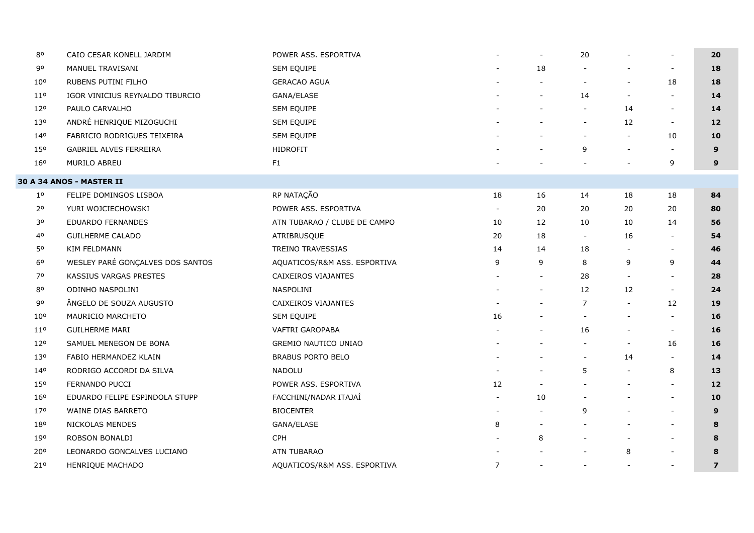| 80              | CAIO CESAR KONELL JARDIM         | POWER ASS. ESPORTIVA         |                          | $\overline{\phantom{a}}$ | 20                       |                          | $\overline{\phantom{a}}$ | 20             |
|-----------------|----------------------------------|------------------------------|--------------------------|--------------------------|--------------------------|--------------------------|--------------------------|----------------|
| 90              | MANUEL TRAVISANI                 | SEM EQUIPE                   |                          | 18                       |                          |                          | $\overline{\phantom{a}}$ | 18             |
| $10^{\circ}$    | RUBENS PUTINI FILHO              | <b>GERACAO AGUA</b>          |                          |                          |                          | $\overline{\phantom{a}}$ | 18                       | 18             |
| 11 <sup>o</sup> | IGOR VINICIUS REYNALDO TIBURCIO  | GANA/ELASE                   |                          | $\overline{\phantom{a}}$ | 14                       | $\overline{\phantom{a}}$ | $\blacksquare$           | 14             |
| 120             | PAULO CARVALHO                   | SEM EQUIPE                   |                          | $\overline{\phantom{a}}$ | $\overline{\phantom{a}}$ | 14                       | $\overline{\phantom{a}}$ | 14             |
| 130             | ANDRÉ HENRIQUE MIZOGUCHI         | SEM EQUIPE                   |                          |                          | $\overline{\phantom{a}}$ | 12                       | $\sim$                   | 12             |
| 140             | FABRICIO RODRIGUES TEIXEIRA      | SEM EQUIPE                   |                          |                          | $\overline{\phantom{a}}$ | $\overline{\phantom{a}}$ | 10                       | 10             |
| 150             | GABRIEL ALVES FERREIRA           | <b>HIDROFIT</b>              |                          |                          | 9                        | $\overline{\phantom{a}}$ | $\overline{\phantom{a}}$ | 9              |
| 160             | MURILO ABREU                     | F1                           |                          |                          |                          |                          | 9                        | 9              |
|                 | <b>30 A 34 ANOS - MASTER II</b>  |                              |                          |                          |                          |                          |                          |                |
| $1^{\circ}$     | FELIPE DOMINGOS LISBOA           | RP NATAÇÃO                   | 18                       | 16                       | 14                       | 18                       | 18                       | 84             |
| 2 <sup>o</sup>  | YURI WOJCIECHOWSKI               | POWER ASS. ESPORTIVA         | $\overline{\phantom{a}}$ | 20                       | 20                       | 20                       | 20                       | 80             |
| 30              | <b>EDUARDO FERNANDES</b>         | ATN TUBARAO / CLUBE DE CAMPO | 10                       | 12                       | 10                       | 10                       | 14                       | 56             |
| 40              | <b>GUILHERME CALADO</b>          | ATRIBRUSQUE                  | 20                       | 18                       | $\overline{\phantom{a}}$ | 16                       | $\blacksquare$           | 54             |
| 50              | KIM FELDMANN                     | TREINO TRAVESSIAS            | 14                       | 14                       | 18                       |                          | $\overline{\phantom{a}}$ | 46             |
| 6 <sup>o</sup>  | WESLEY PARÉ GONÇALVES DOS SANTOS | AQUATICOS/R&M ASS. ESPORTIVA | 9                        | 9                        | 8                        | 9                        | 9                        | 44             |
| 70              | KASSIUS VARGAS PRESTES           | CAIXEIROS VIAJANTES          |                          | $\overline{\phantom{a}}$ | 28                       | $\overline{\phantom{a}}$ |                          | 28             |
| 80              | ODINHO NASPOLINI                 | NASPOLINI                    |                          | $\overline{\phantom{a}}$ | 12                       | 12                       | $\overline{\phantom{a}}$ | 24             |
| 90              | ÂNGELO DE SOUZA AUGUSTO          | CAIXEIROS VIAJANTES          |                          |                          | $\overline{7}$           | $\overline{\phantom{a}}$ | 12                       | 19             |
| 10 <sup>o</sup> | MAURICIO MARCHETO                | SEM EQUIPE                   | 16                       |                          | $\overline{\phantom{a}}$ | $\overline{\phantom{a}}$ | $\overline{\phantom{a}}$ | 16             |
| $11^{\circ}$    | <b>GUILHERME MARI</b>            | VAFTRI GAROPABA              |                          | $\blacksquare$           | 16                       | $\overline{\phantom{a}}$ | $\overline{\phantom{a}}$ | 16             |
| 120             | SAMUEL MENEGON DE BONA           | <b>GREMIO NAUTICO UNIAO</b>  |                          |                          |                          | $\overline{\phantom{a}}$ | 16                       | 16             |
| 13 <sup>o</sup> | FABIO HERMANDEZ KLAIN            | <b>BRABUS PORTO BELO</b>     |                          |                          | $\overline{\phantom{a}}$ | 14                       | $\overline{\phantom{a}}$ | 14             |
| 140             | RODRIGO ACCORDI DA SILVA         | <b>NADOLU</b>                |                          |                          | 5                        | $\blacksquare$           | 8                        | 13             |
| 150             | FERNANDO PUCCI                   | POWER ASS. ESPORTIVA         | 12                       |                          |                          |                          | $\overline{\phantom{a}}$ | $12$           |
| 16 <sup>o</sup> | EDUARDO FELIPE ESPINDOLA STUPP   | FACCHINI/NADAR ITAJAÍ        |                          | 10                       |                          | $\overline{\phantom{a}}$ | $\overline{\phantom{a}}$ | 10             |
| 170             | WAINE DIAS BARRETO               | <b>BIOCENTER</b>             |                          | $\overline{\phantom{a}}$ | 9                        |                          | $\overline{\phantom{a}}$ | 9              |
| 180             | NICKOLAS MENDES                  | GANA/ELASE                   | 8                        | $\blacksquare$           |                          |                          | $\overline{\phantom{a}}$ | 8              |
| 190             | ROBSON BONALDI                   | <b>CPH</b>                   |                          | 8                        |                          |                          | $\blacksquare$           | 8              |
| 20°             | LEONARDO GONCALVES LUCIANO       | ATN TUBARAO                  |                          |                          |                          | 8                        | $\overline{\phantom{a}}$ | 8              |
| 21°             | HENRIQUE MACHADO                 | AQUATICOS/R&M ASS. ESPORTIVA | $\overline{7}$           | $\overline{\phantom{a}}$ | $\overline{\phantom{a}}$ | $\overline{\phantom{a}}$ | $\overline{\phantom{a}}$ | $\overline{z}$ |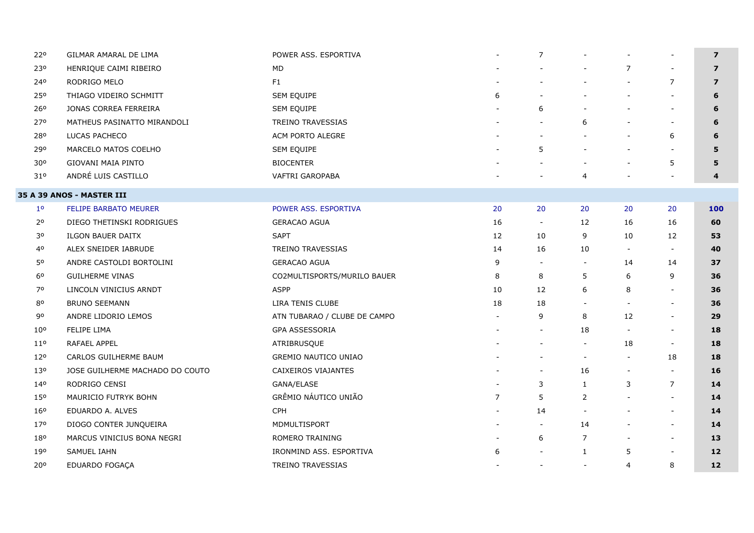| 220             | GILMAR AMARAL DE LIMA            | POWER ASS. ESPORTIVA         |                          | $\overline{7}$           |                          |                          | $\blacksquare$           | $\overline{ }$ |
|-----------------|----------------------------------|------------------------------|--------------------------|--------------------------|--------------------------|--------------------------|--------------------------|----------------|
| 230             | HENRIQUE CAIMI RIBEIRO           | <b>MD</b>                    |                          |                          |                          | $\overline{7}$           | $\overline{\phantom{a}}$ | $\overline{z}$ |
| 240             | RODRIGO MELO                     | F <sub>1</sub>               |                          |                          |                          | $\overline{\phantom{a}}$ | $\overline{7}$           | $\overline{z}$ |
| 250             | THIAGO VIDEIRO SCHMITT           | SEM EQUIPE                   | 6                        |                          |                          | $\overline{\phantom{a}}$ |                          | 6              |
| 260             | JONAS CORREA FERREIRA            | SEM EQUIPE                   |                          | 6                        |                          | $\overline{\phantom{a}}$ | $\blacksquare$           | 6              |
| 270             | MATHEUS PASINATTO MIRANDOLI      | TREINO TRAVESSIAS            |                          | $\overline{\phantom{a}}$ | 6                        | $\overline{\phantom{a}}$ | $\overline{\phantom{a}}$ | 6              |
| 280             | LUCAS PACHECO                    | ACM PORTO ALEGRE             |                          |                          |                          |                          | 6                        | 6              |
| 290             | MARCELO MATOS COELHO             | SEM EQUIPE                   |                          | 5                        |                          | $\overline{\phantom{a}}$ |                          | 5              |
| 30°             | GIOVANI MAIA PINTO               | <b>BIOCENTER</b>             |                          |                          |                          | $\overline{\phantom{a}}$ | 5                        | 5              |
| 31°             | ANDRÉ LUIS CASTILLO              | VAFTRI GAROPABA              |                          |                          | $\overline{4}$           |                          |                          | 4              |
|                 | <b>35 A 39 ANOS - MASTER III</b> |                              |                          |                          |                          |                          |                          |                |
| $1^{\circ}$     | FELIPE BARBATO MEURER            | POWER ASS. ESPORTIVA         | 20                       | 20                       | 20                       | 20                       | 20                       | 100            |
| 2 <sup>o</sup>  | DIEGO THETINSKI RODRIGUES        | <b>GERACAO AGUA</b>          | 16                       | $\sim$                   | 12                       | 16                       | 16                       | 60             |
| 30              | <b>ILGON BAUER DAITX</b>         | <b>SAPT</b>                  | 12                       | 10                       | 9                        | 10                       | 12                       | 53             |
| 40              | ALEX SNEIDER IABRUDE             | TREINO TRAVESSIAS            | 14                       | 16                       | 10                       | $\overline{\phantom{a}}$ | $\overline{\phantom{a}}$ | 40             |
| 50              | ANDRE CASTOLDI BORTOLINI         | <b>GERACAO AGUA</b>          | 9                        | $\sim$                   |                          | 14                       | 14                       | 37             |
| 6 <sup>o</sup>  | <b>GUILHERME VINAS</b>           | CO2MULTISPORTS/MURILO BAUER  | 8                        | 8                        | 5                        | 6                        | 9                        | 36             |
| 70              | LINCOLN VINICIUS ARNDT           | <b>ASPP</b>                  | 10                       | 12                       | 6                        | 8                        | $\blacksquare$           | 36             |
| 80              | <b>BRUNO SEEMANN</b>             | LIRA TENIS CLUBE             | 18                       | 18                       |                          |                          |                          | 36             |
| 90              | ANDRE LIDORIO LEMOS              | ATN TUBARAO / CLUBE DE CAMPO |                          | 9                        | 8                        | 12                       | $\blacksquare$           | 29             |
| $10^{\circ}$    | FELIPE LIMA                      | GPA ASSESSORIA               |                          | $\overline{\phantom{a}}$ | 18                       | $\overline{\phantom{a}}$ | $\blacksquare$           | 18             |
| 110             | RAFAEL APPEL                     | ATRIBRUSQUE                  |                          | $\overline{\phantom{a}}$ | $\overline{\phantom{a}}$ | 18                       | $\overline{\phantom{a}}$ | 18             |
| 120             | CARLOS GUILHERME BAUM            | GREMIO NAUTICO UNIAO         |                          |                          | $\overline{\phantom{a}}$ | $\sim$                   | 18                       | 18             |
| 130             | JOSE GUILHERME MACHADO DO COUTO  | CAIXEIROS VIAJANTES          |                          | $\blacksquare$           | 16                       | $\overline{\phantom{a}}$ | $\blacksquare$           | 16             |
| 140             | RODRIGO CENSI                    | GANA/ELASE                   |                          | 3                        | 1                        | 3                        | $\overline{7}$           | 14             |
| 150             | MAURICIO FUTRYK BOHN             | GRÊMIO NÁUTICO UNIÃO         | $\overline{7}$           | 5                        | 2                        | $\blacksquare$           | $\overline{\phantom{a}}$ | 14             |
| 160             | EDUARDO A. ALVES                 | <b>CPH</b>                   |                          | 14                       |                          |                          | $\overline{\phantom{a}}$ | 14             |
| 170             | DIOGO CONTER JUNQUEIRA           | MDMULTISPORT                 |                          | $\overline{\phantom{a}}$ | 14                       |                          | $\sim$                   | 14             |
| 180             | MARCUS VINICIUS BONA NEGRI       | ROMERO TRAINING              |                          | 6                        | 7                        |                          | $\overline{\phantom{a}}$ | 13             |
| 190             | SAMUEL IAHN                      | IRONMIND ASS. ESPORTIVA      | 6                        | $\overline{\phantom{a}}$ | $\mathbf{1}$             | 5                        | $\overline{\phantom{a}}$ | 12             |
| 20 <sup>o</sup> | EDUARDO FOGAÇA                   | <b>TREINO TRAVESSIAS</b>     | $\overline{\phantom{a}}$ | $\sim$                   | $\overline{\phantom{a}}$ | 4                        | 8                        | 12             |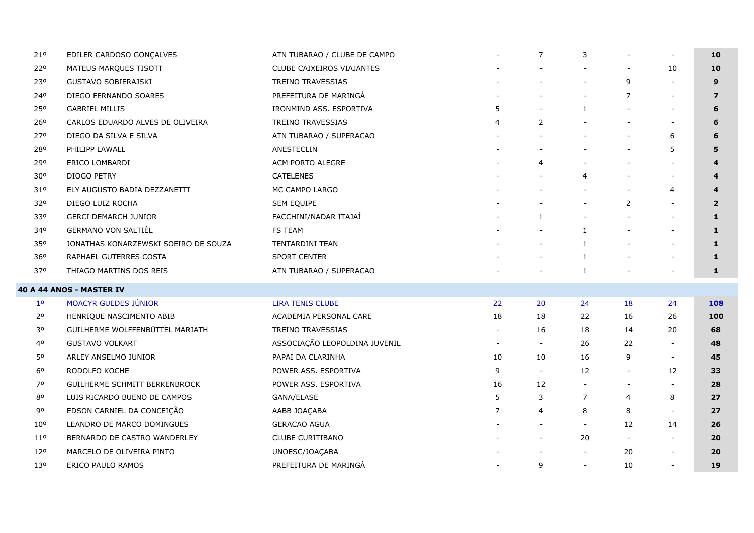| 21°             | EDILER CARDOSO GONÇALVES             | ATN TUBARAO / CLUBE DE CAMPO  |                          |                          | 3                        |                          | $\sim$                   | 10             |
|-----------------|--------------------------------------|-------------------------------|--------------------------|--------------------------|--------------------------|--------------------------|--------------------------|----------------|
| 220             | MATEUS MARQUES TISOTT                | CLUBE CAIXEIROS VIAJANTES     |                          |                          |                          |                          | 10                       | 10             |
| 230             | <b>GUSTAVO SOBIERAJSKI</b>           | <b>TREINO TRAVESSIAS</b>      |                          |                          | $\blacksquare$           | 9                        |                          | 9              |
| 240             | DIEGO FERNANDO SOARES                | PREFEITURA DE MARINGÁ         |                          |                          | $\blacksquare$           | 7                        | $\overline{\phantom{a}}$ | $\overline{z}$ |
| 250             | <b>GABRIEL MILLIS</b>                | IRONMIND ASS. ESPORTIVA       | 5                        |                          | $\mathbf{1}$             | $\overline{\phantom{a}}$ | $\overline{\phantom{a}}$ | 6              |
| 26°             | CARLOS EDUARDO ALVES DE OLIVEIRA     | <b>TREINO TRAVESSIAS</b>      | 4                        | 2                        | $\overline{\phantom{a}}$ | $\overline{\phantom{a}}$ | $\overline{\phantom{a}}$ | 6              |
| 270             | DIEGO DA SILVA E SILVA               | ATN TUBARAO / SUPERACAO       |                          |                          |                          |                          | 6                        | 6              |
| 280             | PHILIPP LAWALL                       | ANESTECLIN                    |                          |                          |                          |                          | 5                        | 5              |
| 290             | ERICO LOMBARDI                       | <b>ACM PORTO ALEGRE</b>       |                          | 4                        |                          |                          |                          | 4              |
| 30°             | DIOGO PETRY                          | <b>CATELENES</b>              |                          |                          | 4                        |                          | $\overline{\phantom{a}}$ | 4              |
| 310             | ELY AUGUSTO BADIA DEZZANETTI         | MC CAMPO LARGO                |                          |                          |                          |                          | $\overline{4}$           | 4              |
| 32°             | DIEGO LUIZ ROCHA                     | SEM EQUIPE                    |                          |                          | $\blacksquare$           | $\overline{2}$           | $\overline{\phantom{a}}$ | $\overline{2}$ |
| 330             | <b>GERCI DEMARCH JUNIOR</b>          | FACCHINI/NADAR ITAJAÍ         |                          | $\mathbf{1}$             |                          |                          |                          | $\mathbf{1}$   |
| 340             | <b>GERMANO VON SALTIÉL</b>           | <b>FS TEAM</b>                |                          |                          | 1                        |                          | $\overline{\phantom{a}}$ | $\mathbf{1}$   |
| 350             | JONATHAS KONARZEWSKI SOEIRO DE SOUZA | <b>TENTARDINI TEAN</b>        |                          | $\overline{\phantom{a}}$ | $\mathbf{1}$             |                          | $\overline{a}$           | $\mathbf{1}$   |
| 36 <sup>o</sup> | RAPHAEL GUTERRES COSTA               | <b>SPORT CENTER</b>           |                          | $\overline{\phantom{0}}$ | $\mathbf{1}$             |                          | $\overline{\phantom{a}}$ | $\mathbf{1}$   |
| 370             | THIAGO MARTINS DOS REIS              | ATN TUBARAO / SUPERACAO       |                          |                          | $\mathbf{1}$             |                          | $\overline{a}$           | 1              |
|                 | <b>40 A 44 ANOS - MASTER IV</b>      |                               |                          |                          |                          |                          |                          |                |
| 1 <sup>0</sup>  | <b>MOACYR GUEDES JÚNIOR</b>          | <b>LIRA TENIS CLUBE</b>       | 22                       | 20                       | 24                       | 18                       | 24                       | 108            |
| 2 <sup>o</sup>  | HENRIQUE NASCIMENTO ABIB             | ACADEMIA PERSONAL CARE        | 18                       | 18                       | 22                       | 16                       | 26                       | 100            |
| 30              | GUILHERME WOLFFENBÜTTEL MARIATH      | <b>TREINO TRAVESSIAS</b>      | $\overline{\phantom{a}}$ | 16                       | 18                       | 14                       | 20                       | 68             |
| 40              | <b>GUSTAVO VOLKART</b>               | ASSOCIAÇÃO LEOPOLDINA JUVENIL | $\overline{\phantom{a}}$ | $\overline{\phantom{a}}$ | 26                       | 22                       | $\overline{\phantom{a}}$ | 48             |
| 50              | ARLEY ANSELMO JUNIOR                 | PAPAI DA CLARINHA             | 10                       | 10                       | 16                       | 9                        | $\overline{\phantom{a}}$ | 45             |
| 60              | RODOLFO KOCHE                        | POWER ASS. ESPORTIVA          | 9                        | $\blacksquare$           | 12                       | $\sim$                   | 12                       | 33             |
| 70              | GUILHERME SCHMITT BERKENBROCK        | POWER ASS. ESPORTIVA          | 16                       | 12                       | $\blacksquare$           | $\overline{\phantom{a}}$ | $\overline{\phantom{a}}$ | 28             |
| 80              | LUIS RICARDO BUENO DE CAMPOS         | GANA/ELASE                    | 5                        | 3                        | 7                        | 4                        | 8                        | 27             |
| 90              | EDSON CARNIEL DA CONCEIÇÃO           | AABB JOACABA                  | $\overline{7}$           | 4                        | 8                        | 8                        | $\overline{\phantom{a}}$ | 27             |
| 10 <sup>o</sup> | LEANDRO DE MARCO DOMINGUES           | <b>GERACAO AGUA</b>           |                          |                          | $\overline{\phantom{a}}$ | 12                       | 14                       | 26             |
| $11^{\circ}$    | BERNARDO DE CASTRO WANDERLEY         | <b>CLUBE CURITIBANO</b>       |                          |                          | 20                       | $\overline{\phantom{a}}$ | $\overline{\phantom{a}}$ | 20             |
| 120             | MARCELO DE OLIVEIRA PINTO            | UNOESC/JOAÇABA                |                          |                          | $\overline{\phantom{a}}$ | 20                       | $\overline{\phantom{a}}$ | 20             |
| 13 <sup>o</sup> | ERICO PAULO RAMOS                    | PREFEITURA DE MARINGÁ         |                          | 9                        | $\blacksquare$           | 10                       | $\overline{\phantom{a}}$ | 19             |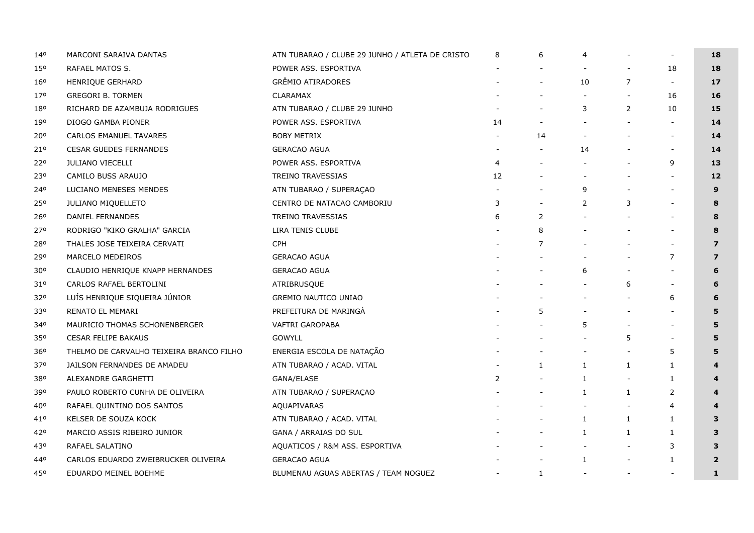| 140             | MARCONI SARAIVA DANTAS                   | ATN TUBARAO / CLUBE 29 JUNHO / ATLETA DE CRISTO | 8              | 6            | 4                        |                          |                | 18                      |
|-----------------|------------------------------------------|-------------------------------------------------|----------------|--------------|--------------------------|--------------------------|----------------|-------------------------|
| 15 <sup>o</sup> | RAFAEL MATOS S.                          | POWER ASS. ESPORTIVA                            |                |              |                          |                          | 18             | 18                      |
| 16°             | HENRIQUE GERHARD                         | <b>GRÊMIO ATIRADORES</b>                        |                |              | 10                       | 7                        | $\sim$         | 17                      |
| 170             | <b>GREGORI B. TORMEN</b>                 | <b>CLARAMAX</b>                                 |                |              |                          | $\overline{\phantom{a}}$ | 16             | 16                      |
| 180             | RICHARD DE AZAMBUJA RODRIGUES            | ATN TUBARAO / CLUBE 29 JUNHO                    |                |              | 3                        | $\overline{2}$           | 10             | 15                      |
| 190             | DIOGO GAMBA PIONER                       | POWER ASS. ESPORTIVA                            | 14             |              | $\overline{\phantom{a}}$ |                          |                | 14                      |
| 20°             | <b>CARLOS EMANUEL TAVARES</b>            | <b>BOBY METRIX</b>                              |                | 14           |                          |                          |                | 14                      |
| 21°             | <b>CESAR GUEDES FERNANDES</b>            | <b>GERACAO AGUA</b>                             |                |              | 14                       |                          |                | 14                      |
| 220             | JULIANO VIECELLI                         | POWER ASS. ESPORTIVA                            | $\overline{4}$ |              |                          |                          | 9              | 13                      |
| 230             | CAMILO BUSS ARAUJO                       | <b>TREINO TRAVESSIAS</b>                        | 12             |              |                          |                          |                | 12                      |
| 240             | LUCIANO MENESES MENDES                   | ATN TUBARAO / SUPERAÇAO                         |                |              | 9                        |                          |                | 9                       |
| 250             | JULIANO MIQUELLETO                       | CENTRO DE NATACAO CAMBORIU                      | 3              |              | 2                        | 3                        |                | 8                       |
| 26°             | DANIEL FERNANDES                         | TREINO TRAVESSIAS                               | 6              | 2            |                          |                          |                | 8                       |
| 270             | RODRIGO "KIKO GRALHA" GARCIA             | LIRA TENIS CLUBE                                |                | 8            |                          |                          |                | 8                       |
| 280             | THALES JOSE TEIXEIRA CERVATI             | <b>CPH</b>                                      |                | 7            |                          |                          |                | $\overline{z}$          |
| 290             | MARCELO MEDEIROS                         | <b>GERACAO AGUA</b>                             |                |              |                          |                          | $\overline{7}$ | $\overline{7}$          |
| 30 <sup>o</sup> | CLAUDIO HENRIQUE KNAPP HERNANDES         | <b>GERACAO AGUA</b>                             |                |              | 6                        |                          |                | 6                       |
| 31°             | CARLOS RAFAEL BERTOLINI                  | ATRIBRUSQUE                                     |                |              |                          | 6                        |                | 6                       |
| 320             | LUÍS HENRIQUE SIQUEIRA JÚNIOR            | <b>GREMIO NAUTICO UNIAO</b>                     |                |              |                          |                          | 6              | 6                       |
| 330             | RENATO EL MEMARI                         | PREFEITURA DE MARINGÁ                           |                | 5            |                          |                          |                | 5                       |
| 340             | MAURICIO THOMAS SCHONENBERGER            | VAFTRI GAROPABA                                 |                |              | 5                        |                          |                | 5                       |
| 350             | <b>CESAR FELIPE BAKAUS</b>               | <b>GOWYLL</b>                                   |                |              |                          | 5                        |                | 5                       |
| 36°             | THELMO DE CARVALHO TEIXEIRA BRANCO FILHO | ENERGIA ESCOLA DE NATAÇÃO                       |                |              | $\overline{\phantom{a}}$ |                          | 5              | 5                       |
| 370             | JAILSON FERNANDES DE AMADEU              | ATN TUBARAO / ACAD. VITAL                       |                | $\mathbf{1}$ | $\mathbf{1}$             | $\mathbf{1}$             | $\mathbf{1}$   | $\boldsymbol{4}$        |
| 380             | ALEXANDRE GARGHETTI                      | GANA/ELASE                                      | 2              |              | 1                        | $\overline{\phantom{a}}$ | $\mathbf{1}$   |                         |
| 390             | PAULO ROBERTO CUNHA DE OLIVEIRA          | ATN TUBARAO / SUPERAÇAO                         |                |              | 1                        | $\mathbf{1}$             | $\overline{2}$ | $\boldsymbol{4}$        |
| 40°             | RAFAEL QUINTINO DOS SANTOS               | AQUAPIVARAS                                     |                |              |                          | $\overline{\phantom{a}}$ | 4              |                         |
| 41°             | KELSER DE SOUZA KOCK                     | ATN TUBARAO / ACAD. VITAL                       |                |              | 1                        | 1                        | $\mathbf{1}$   | 3                       |
| 42°             | MARCIO ASSIS RIBEIRO JUNIOR              | GANA / ARRAIAS DO SUL                           |                |              | $\mathbf{1}$             | 1                        | $\mathbf{1}$   | 3                       |
| 430             | RAFAEL SALATINO                          | AQUATICOS / R&M ASS. ESPORTIVA                  |                |              |                          |                          | 3              | 3                       |
| 440             | CARLOS EDUARDO ZWEIBRUCKER OLIVEIRA      | <b>GERACAO AGUA</b>                             |                |              | 1                        | $\overline{\phantom{a}}$ | $\mathbf{1}$   | $\overline{\mathbf{2}}$ |
| 450             | EDUARDO MEINEL BOEHME                    | BLUMENAU AGUAS ABERTAS / TEAM NOGUEZ            |                | 1            | $\overline{\phantom{a}}$ | $\overline{\phantom{a}}$ |                | 1                       |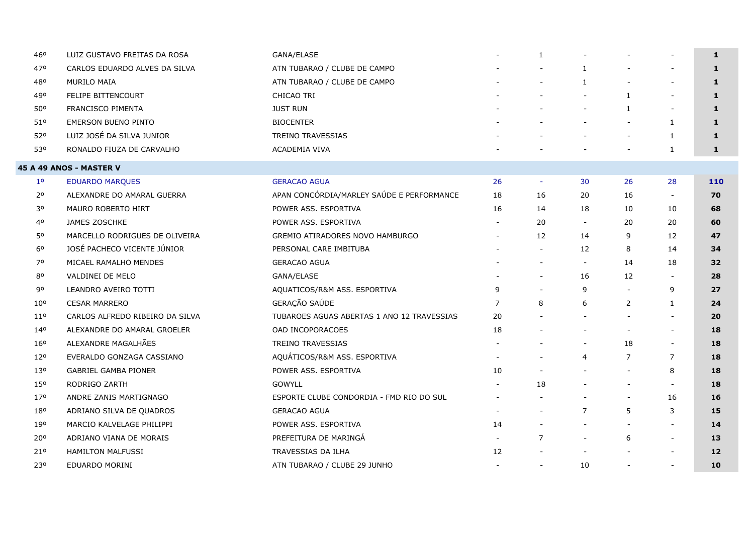| 460             | LUIZ GUSTAVO FREITAS DA ROSA    | GANA/ELASE                                 |                          | $\mathbf{1}$             |                          |                          | $\overline{\phantom{a}}$ | $\mathbf{1}$ |
|-----------------|---------------------------------|--------------------------------------------|--------------------------|--------------------------|--------------------------|--------------------------|--------------------------|--------------|
| 470             | CARLOS EDUARDO ALVES DA SILVA   | ATN TUBARAO / CLUBE DE CAMPO               |                          |                          | $\mathbf{1}$             |                          | $\overline{\phantom{a}}$ | $\mathbf{1}$ |
| 480             | MURILO MAIA                     | ATN TUBARAO / CLUBE DE CAMPO               |                          |                          | 1                        |                          |                          | $\mathbf{1}$ |
| 490             | <b>FELIPE BITTENCOURT</b>       | CHICAO TRI                                 |                          |                          | $\overline{\phantom{a}}$ | 1                        | $\overline{\phantom{a}}$ | $\mathbf{1}$ |
| 50°             | <b>FRANCISCO PIMENTA</b>        | <b>JUST RUN</b>                            |                          |                          | $\overline{\phantom{a}}$ | $\mathbf{1}$             | $\blacksquare$           | 1            |
| 510             | <b>EMERSON BUENO PINTO</b>      | <b>BIOCENTER</b>                           |                          |                          |                          |                          | $\mathbf{1}$             | 1            |
| 520             | LUIZ JOSÉ DA SILVA JUNIOR       | TREINO TRAVESSIAS                          |                          |                          |                          | $\sim$                   | 1                        | $\mathbf{1}$ |
| 530             | RONALDO FIUZA DE CARVALHO       | <b>ACADEMIA VIVA</b>                       |                          |                          |                          |                          | $\mathbf{1}$             | $\mathbf{1}$ |
|                 | 45 A 49 ANOS - MASTER V         |                                            |                          |                          |                          |                          |                          |              |
| 1 <sup>o</sup>  | <b>EDUARDO MARQUES</b>          | <b>GERACAO AGUA</b>                        | 26                       | $\sim$                   | 30                       | 26                       | 28                       | 110          |
| 2°              | ALEXANDRE DO AMARAL GUERRA      | APAN CONCÓRDIA/MARLEY SAÚDE E PERFORMANCE  | 18                       | 16                       | 20                       | 16                       | $\blacksquare$           | 70           |
| 30              | MAURO ROBERTO HIRT              | POWER ASS. ESPORTIVA                       | 16                       | 14                       | 18                       | 10                       | 10                       | 68           |
| 40              | JAMES ZOSCHKE                   | POWER ASS. ESPORTIVA                       |                          | 20                       | $\blacksquare$           | 20                       | 20                       | 60           |
| 50              | MARCELLO RODRIGUES DE OLIVEIRA  | GREMIO ATIRADORES NOVO HAMBURGO            |                          | 12                       | 14                       | 9                        | 12                       | 47           |
| 6 <sup>o</sup>  | JOSÉ PACHECO VICENTE JÚNIOR     | PERSONAL CARE IMBITUBA                     |                          | $\overline{\phantom{a}}$ | 12                       | 8                        | 14                       | 34           |
| 70              | MICAEL RAMALHO MENDES           | <b>GERACAO AGUA</b>                        |                          |                          | $\overline{\phantom{a}}$ | 14                       | 18                       | 32           |
| 80              | VALDINEI DE MELO                | GANA/ELASE                                 |                          |                          | 16                       | 12                       | $\blacksquare$           | 28           |
| 90              | LEANDRO AVEIRO TOTTI            | AQUATICOS/R&M ASS. ESPORTIVA               | 9                        |                          | 9                        | $\overline{\phantom{a}}$ | 9                        | 27           |
| 10 <sup>o</sup> | <b>CESAR MARRERO</b>            | GERAÇÃO SAÚDE                              | $\overline{7}$           | 8                        | 6                        | $\overline{2}$           | $\mathbf{1}$             | 24           |
| 110             | CARLOS ALFREDO RIBEIRO DA SILVA | TUBAROES AGUAS ABERTAS 1 ANO 12 TRAVESSIAS | 20                       |                          |                          |                          | $\blacksquare$           | 20           |
| 140             | ALEXANDRE DO AMARAL GROELER     | OAD INCOPORACOES                           | 18                       |                          |                          |                          | $\overline{\phantom{a}}$ | 18           |
| 160             | ALEXANDRE MAGALHÃES             | TREINO TRAVESSIAS                          |                          |                          |                          | 18                       | $\blacksquare$           | 18           |
| 12 <sup>o</sup> | EVERALDO GONZAGA CASSIANO       | AQUÁTICOS/R&M ASS. ESPORTIVA               |                          |                          | $\overline{4}$           | $\overline{7}$           | $\overline{7}$           | 18           |
| 130             | <b>GABRIEL GAMBA PIONER</b>     | POWER ASS. ESPORTIVA                       | 10                       |                          |                          |                          | 8                        | 18           |
| 150             | RODRIGO ZARTH                   | <b>GOWYLL</b>                              |                          | 18                       |                          | $\overline{\phantom{a}}$ | $\blacksquare$           | 18           |
| 170             | ANDRE ZANIS MARTIGNAGO          | ESPORTE CLUBE CONDORDIA - FMD RIO DO SUL   |                          |                          |                          | $\overline{\phantom{a}}$ | 16                       | 16           |
| 180             | ADRIANO SILVA DE QUADROS        | <b>GERACAO AGUA</b>                        |                          | $\blacksquare$           | $\overline{7}$           | 5                        | 3                        | 15           |
| 190             | MARCIO KALVELAGE PHILIPPI       | POWER ASS. ESPORTIVA                       | 14                       |                          | $\overline{\phantom{a}}$ |                          | $\blacksquare$           | 14           |
| 20°             | ADRIANO VIANA DE MORAIS         | PREFEITURA DE MARINGÁ                      |                          | $\overline{7}$           | $\blacksquare$           | 6                        | $\blacksquare$           | 13           |
| 210             | <b>HAMILTON MALFUSSI</b>        | TRAVESSIAS DA ILHA                         | 12                       |                          |                          |                          | $\blacksquare$           | 12           |
| 230             | EDUARDO MORINI                  | ATN TUBARAO / CLUBE 29 JUNHO               | $\overline{\phantom{a}}$ | $\overline{\phantom{a}}$ | 10                       | $\overline{\phantom{a}}$ | $\overline{\phantom{a}}$ | 10           |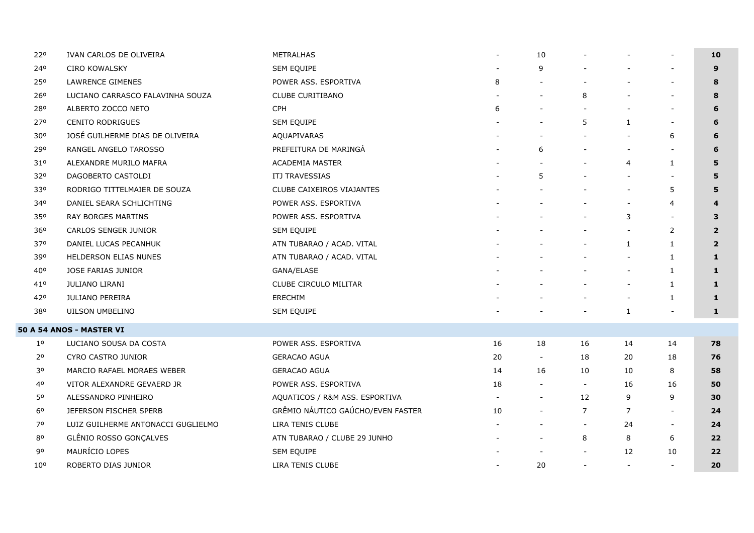| 220             | IVAN CARLOS DE OLIVEIRA            | METRALHAS                         | $\overline{\phantom{a}}$ | 10                       |                          |                          | $\overline{\phantom{a}}$ | 10             |
|-----------------|------------------------------------|-----------------------------------|--------------------------|--------------------------|--------------------------|--------------------------|--------------------------|----------------|
| 240             | CIRO KOWALSKY                      | SEM EQUIPE                        |                          | 9                        |                          |                          | $\overline{\phantom{a}}$ | 9              |
| 250             | LAWRENCE GIMENES                   | POWER ASS. ESPORTIVA              | 8                        |                          |                          |                          | $\overline{\phantom{a}}$ | 8              |
| 260             | LUCIANO CARRASCO FALAVINHA SOUZA   | <b>CLUBE CURITIBANO</b>           |                          |                          | 8                        |                          | $\blacksquare$           | 8              |
| 280             | ALBERTO ZOCCO NETO                 | CPH                               | 6                        |                          |                          |                          | $\overline{a}$           | 6              |
| 270             | <b>CENITO RODRIGUES</b>            | SEM EQUIPE                        |                          |                          | 5                        | $\mathbf{1}$             | $\overline{\phantom{a}}$ | 6              |
| 30°             | JOSÉ GUILHERME DIAS DE OLIVEIRA    | AQUAPIVARAS                       |                          |                          |                          | $\overline{\phantom{a}}$ | 6                        | 6              |
| 290             | RANGEL ANGELO TAROSSO              | PREFEITURA DE MARINGÁ             |                          | 6                        |                          |                          |                          | 6              |
| 31°             | ALEXANDRE MURILO MAFRA             | <b>ACADEMIA MASTER</b>            |                          |                          |                          | $\overline{4}$           | 1                        | 5              |
| 32 <sup>o</sup> | DAGOBERTO CASTOLDI                 | <b>ITJ TRAVESSIAS</b>             |                          | 5                        |                          |                          |                          | 5              |
| 330             | RODRIGO TITTELMAIER DE SOUZA       | CLUBE CAIXEIROS VIAJANTES         |                          |                          |                          |                          | 5                        | 5              |
| 340             | DANIEL SEARA SCHLICHTING           | POWER ASS. ESPORTIVA              |                          |                          |                          |                          | 4                        | 4              |
| 350             | RAY BORGES MARTINS                 | POWER ASS. ESPORTIVA              |                          |                          |                          | 3                        |                          | 3              |
| 360             | <b>CARLOS SENGER JUNIOR</b>        | <b>SEM EQUIPE</b>                 |                          |                          |                          | $\overline{\phantom{a}}$ | $\overline{2}$           | $\overline{2}$ |
| 370             | DANIEL LUCAS PECANHUK              | ATN TUBARAO / ACAD. VITAL         |                          |                          |                          | $\mathbf{1}$             | $\mathbf{1}$             | $\overline{2}$ |
| 390             | HELDERSON ELIAS NUNES              | ATN TUBARAO / ACAD. VITAL         |                          |                          |                          |                          | $\mathbf{1}$             | 1              |
| 40°             | JOSE FARIAS JUNIOR                 | GANA/ELASE                        |                          |                          |                          |                          | 1                        | $\mathbf{1}$   |
| 41°             | <b>JULIANO LIRANI</b>              | CLUBE CIRCULO MILITAR             |                          |                          |                          | $\overline{\phantom{a}}$ | $\mathbf{1}$             | 1              |
| 420             | <b>JULIANO PEREIRA</b>             | ERECHIM                           |                          |                          |                          | $\overline{\phantom{a}}$ | 1                        | $\mathbf{1}$   |
| 380             | UILSON UMBELINO                    | SEM EQUIPE                        |                          |                          |                          | $\mathbf{1}$             | $\overline{\phantom{a}}$ | $\mathbf{1}$   |
|                 | 50 A 54 ANOS - MASTER VI           |                                   |                          |                          |                          |                          |                          |                |
| $1^{\circ}$     | LUCIANO SOUSA DA COSTA             | POWER ASS. ESPORTIVA              | 16                       | 18                       | 16                       | 14                       | 14                       | 78             |
| 2 <sup>o</sup>  | CYRO CASTRO JUNIOR                 | <b>GERACAO AGUA</b>               | 20                       | $\sim$                   | 18                       | 20                       | 18                       | 76             |
| 30              | MARCIO RAFAEL MORAES WEBER         | <b>GERACAO AGUA</b>               | 14                       | 16                       | 10                       | 10                       | 8                        | 58             |
| 40              | VITOR ALEXANDRE GEVAERD JR         | POWER ASS. ESPORTIVA              | 18                       | $\overline{\phantom{a}}$ | $\blacksquare$           | 16                       | 16                       | 50             |
| 50              | ALESSANDRO PINHEIRO                | AQUATICOS / R&M ASS. ESPORTIVA    |                          | $\blacksquare$           | 12                       | 9                        | 9                        | 30             |
| 6 <sup>o</sup>  | JEFERSON FISCHER SPERB             | GRÊMIO NÁUTICO GAÚCHO/EVEN FASTER | 10                       | $\overline{\phantom{a}}$ | $\overline{7}$           | $\overline{7}$           | $\overline{\phantom{a}}$ | 24             |
| 70              | LUIZ GUILHERME ANTONACCI GUGLIELMO | LIRA TENIS CLUBE                  |                          |                          | $\blacksquare$           | 24                       | $\blacksquare$           | 24             |
| 80              | GLÊNIO ROSSO GONÇALVES             | ATN TUBARAO / CLUBE 29 JUNHO      |                          |                          | 8                        | 8                        | 6                        | 22             |
| 90              | MAURÍCIO LOPES                     | SEM EQUIPE                        |                          |                          |                          | 12                       | 10                       | 22             |
| 10 <sup>o</sup> | ROBERTO DIAS JUNIOR                | LIRA TENIS CLUBE                  |                          | 20                       | $\overline{\phantom{a}}$ | $\sim$                   | $\overline{\phantom{a}}$ | 20             |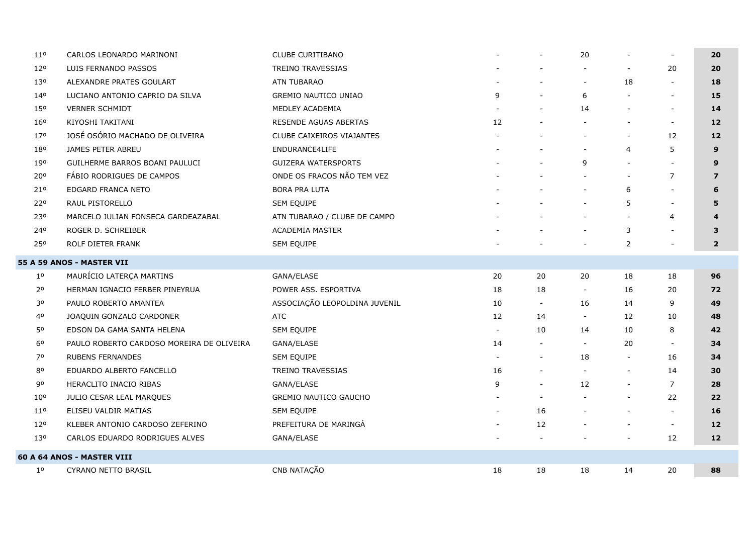| $11^{\circ}$    | CARLOS LEONARDO MARINONI                  | CLUBE CURITIBANO                 |    |                          | 20                       |                          | $\overline{\phantom{a}}$ | 20             |
|-----------------|-------------------------------------------|----------------------------------|----|--------------------------|--------------------------|--------------------------|--------------------------|----------------|
| 120             | LUIS FERNANDO PASSOS                      | TREINO TRAVESSIAS                |    |                          |                          |                          | 20                       | 20             |
| 130             | ALEXANDRE PRATES GOULART                  | ATN TUBARAO                      |    |                          | $\overline{\phantom{a}}$ | 18                       |                          | 18             |
| 140             | LUCIANO ANTONIO CAPRIO DA SILVA           | <b>GREMIO NAUTICO UNIAO</b>      | 9  |                          | 6                        | $\blacksquare$           | $\overline{\phantom{a}}$ | 15             |
| 150             | <b>VERNER SCHMIDT</b>                     | MEDLEY ACADEMIA                  |    |                          | 14                       | $\blacksquare$           | $\overline{\phantom{a}}$ | 14             |
| 16°             | KIYOSHI TAKITANI                          | RESENDE AGUAS ABERTAS            | 12 |                          | $\blacksquare$           | $\overline{a}$           | $\overline{\phantom{a}}$ | 12             |
| 170             | JOSÉ OSÓRIO MACHADO DE OLIVEIRA           | <b>CLUBE CAIXEIROS VIAJANTES</b> |    |                          |                          | $\blacksquare$           | 12                       | 12             |
| 180             | JAMES PETER ABREU                         | ENDURANCE4LIFE                   |    |                          | $\blacksquare$           | $\overline{4}$           | 5                        | 9              |
| 190             | GUILHERME BARROS BOANI PAULUCI            | <b>GUIZERA WATERSPORTS</b>       |    |                          | 9                        | $\overline{a}$           | $\sim$                   | 9              |
| 20°             | FÁBIO RODRIGUES DE CAMPOS                 | ONDE OS FRACOS NÃO TEM VEZ       |    |                          |                          | $\blacksquare$           | $\overline{7}$           | $\overline{7}$ |
| 21°             | EDGARD FRANCA NETO                        | <b>BORA PRA LUTA</b>             |    |                          | $\blacksquare$           | 6                        | $\overline{\phantom{a}}$ | 6              |
| 220             | RAUL PISTORELLO                           | SEM EQUIPE                       |    |                          |                          | 5                        | $\overline{\phantom{a}}$ | 5              |
| 230             | MARCELO JULIAN FONSECA GARDEAZABAL        | ATN TUBARAO / CLUBE DE CAMPO     |    |                          |                          | $\blacksquare$           | $\overline{4}$           | 4              |
| 240             | ROGER D. SCHREIBER                        | <b>ACADEMIA MASTER</b>           |    |                          | $\overline{\phantom{a}}$ | 3                        | $\overline{\phantom{a}}$ | 3              |
| 250             | ROLF DIETER FRANK                         | SEM EQUIPE                       |    |                          |                          | $\overline{2}$           |                          | $\overline{2}$ |
|                 | <b>55 A 59 ANOS - MASTER VII</b>          |                                  |    |                          |                          |                          |                          |                |
| $1^{\circ}$     | MAURÍCIO LATERÇA MARTINS                  | GANA/ELASE                       | 20 | 20                       | 20                       | 18                       | 18                       | 96             |
| 2 <sup>o</sup>  | HERMAN IGNACIO FERBER PINEYRUA            | POWER ASS. ESPORTIVA             | 18 | 18                       | $\overline{\phantom{a}}$ | 16                       | 20                       | 72             |
| 30              | PAULO ROBERTO AMANTEA                     | ASSOCIAÇÃO LEOPOLDINA JUVENIL    | 10 | $\sim$                   | 16                       | 14                       | 9                        | 49             |
| 40              | JOAQUIN GONZALO CARDONER                  | <b>ATC</b>                       | 12 | 14                       | $\sim$                   | 12                       | 10                       | 48             |
| 50              | EDSON DA GAMA SANTA HELENA                | SEM EQUIPE                       |    | 10                       | 14                       | 10                       | 8                        | 42             |
| 60              | PAULO ROBERTO CARDOSO MOREIRA DE OLIVEIRA | GANA/ELASE                       | 14 | $\sim$                   | $\overline{\phantom{a}}$ | 20                       | $\overline{\phantom{a}}$ | 34             |
| 70              | <b>RUBENS FERNANDES</b>                   | SEM EQUIPE                       |    | $\overline{\phantom{a}}$ | 18                       | $\overline{\phantom{a}}$ | 16                       | 34             |
| 80              | EDUARDO ALBERTO FANCELLO                  | TREINO TRAVESSIAS                | 16 | $\sim$                   | $\blacksquare$           | $\blacksquare$           | 14                       | 30             |
| 90              | HERACLITO INACIO RIBAS                    | GANA/ELASE                       | 9  | $\overline{\phantom{a}}$ | 12                       | $\overline{\phantom{a}}$ | $\overline{7}$           | 28             |
| 10 <sup>o</sup> | JULIO CESAR LEAL MARQUES                  | <b>GREMIO NAUTICO GAUCHO</b>     |    | $\overline{\phantom{a}}$ |                          | $\blacksquare$           | 22                       | 22             |
| 11 <sup>o</sup> | ELISEU VALDIR MATIAS                      | SEM EQUIPE                       |    | 16                       |                          | $\overline{\phantom{a}}$ |                          | 16             |
| 12°             | KLEBER ANTONIO CARDOSO ZEFERINO           | PREFEITURA DE MARINGÁ            |    | 12                       |                          | $\blacksquare$           | $\overline{\phantom{a}}$ | 12             |
| 130             | CARLOS EDUARDO RODRIGUES ALVES            | GANA/ELASE                       |    |                          |                          |                          | 12                       | $12$           |
|                 | <b>60 A 64 ANOS - MASTER VIII</b>         |                                  |    |                          |                          |                          |                          |                |
| $1^{\circ}$     | CYRANO NETTO BRASIL                       | CNB NATAÇÃO                      | 18 | 18                       | 18                       | 14                       | 20                       | 88             |
|                 |                                           |                                  |    |                          |                          |                          |                          |                |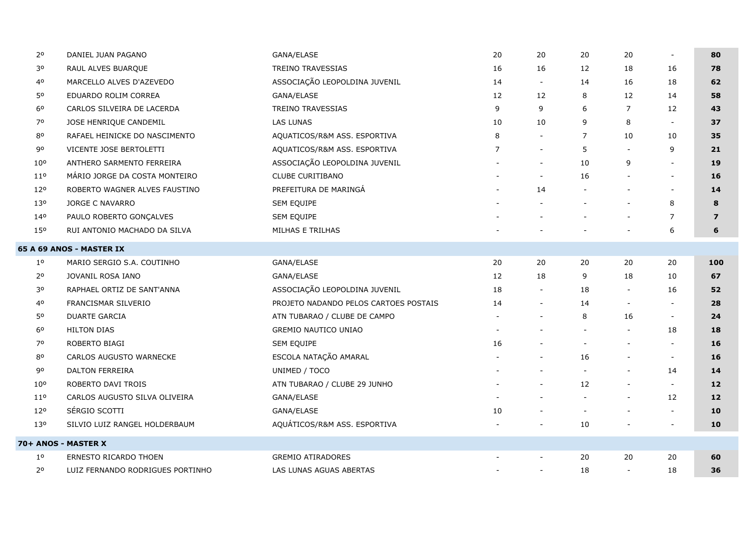| 20              | DANIEL JUAN PAGANO               | GANA/ELASE                            | 20             | 20                       | 20                       | 20                       | $\overline{\phantom{a}}$ | 80             |
|-----------------|----------------------------------|---------------------------------------|----------------|--------------------------|--------------------------|--------------------------|--------------------------|----------------|
| 30              | RAUL ALVES BUARQUE               | TREINO TRAVESSIAS                     | 16             | 16                       | 12                       | 18                       | 16                       | 78             |
| 40              | MARCELLO ALVES D'AZEVEDO         | ASSOCIAÇÃO LEOPOLDINA JUVENIL         | 14             | $\overline{\phantom{a}}$ | 14                       | 16                       | 18                       | 62             |
| 50              | EDUARDO ROLIM CORREA             | GANA/ELASE                            | 12             | 12                       | 8                        | 12                       | 14                       | 58             |
| 6 <sup>o</sup>  | CARLOS SILVEIRA DE LACERDA       | <b>TREINO TRAVESSIAS</b>              | 9              | 9                        | 6                        | $\overline{7}$           | 12                       | 43             |
| 70              | JOSE HENRIQUE CANDEMIL           | <b>LAS LUNAS</b>                      | 10             | 10                       | 9                        | 8                        | $\sim$                   | 37             |
| 80              | RAFAEL HEINICKE DO NASCIMENTO    | AQUATICOS/R&M ASS. ESPORTIVA          | 8              |                          | $\overline{7}$           | 10                       | 10                       | 35             |
| 90              | VICENTE JOSE BERTOLETTI          | AQUATICOS/R&M ASS. ESPORTIVA          | $\overline{7}$ | $\overline{\phantom{a}}$ | 5                        |                          | 9                        | 21             |
| 10 <sup>o</sup> | ANTHERO SARMENTO FERREIRA        | ASSOCIAÇÃO LEOPOLDINA JUVENIL         |                | $\overline{\phantom{a}}$ | 10                       | 9                        | $\overline{\phantom{a}}$ | 19             |
| 11 <sup>o</sup> | MÁRIO JORGE DA COSTA MONTEIRO    | CLUBE CURITIBANO                      |                | $\overline{\phantom{a}}$ | 16                       |                          | $\blacksquare$           | 16             |
| 12°             | ROBERTO WAGNER ALVES FAUSTINO    | PREFEITURA DE MARINGÁ                 |                | 14                       | $\overline{\phantom{a}}$ |                          | $\overline{\phantom{a}}$ | 14             |
| 13 <sup>o</sup> | <b>JORGE C NAVARRO</b>           | SEM EQUIPE                            |                |                          |                          |                          | 8                        | 8              |
| 140             | PAULO ROBERTO GONÇALVES          | SEM EQUIPE                            |                |                          |                          |                          | $\overline{7}$           | $\overline{7}$ |
| 15 <sup>o</sup> | RUI ANTONIO MACHADO DA SILVA     | MILHAS E TRILHAS                      |                |                          |                          |                          | 6                        | 6              |
|                 | <b>65 A 69 ANOS - MASTER IX</b>  |                                       |                |                          |                          |                          |                          |                |
| $1^{\circ}$     | MARIO SERGIO S.A. COUTINHO       | GANA/ELASE                            | 20             | 20                       | 20                       | 20                       | 20                       | 100            |
| 2 <sup>o</sup>  | JOVANIL ROSA IANO                | GANA/ELASE                            | 12             | 18                       | 9                        | 18                       | 10                       | 67             |
| 30              | RAPHAEL ORTIZ DE SANT'ANNA       | ASSOCIAÇÃO LEOPOLDINA JUVENIL         | 18             | $\overline{\phantom{a}}$ | 18                       |                          | 16                       | 52             |
| 40              | FRANCISMAR SILVERIO              | PROJETO NADANDO PELOS CARTOES POSTAIS | 14             | $\overline{\phantom{a}}$ | 14                       | $\overline{\phantom{a}}$ | $\overline{\phantom{a}}$ | 28             |
| 50              | <b>DUARTE GARCIA</b>             | ATN TUBARAO / CLUBE DE CAMPO          |                |                          | 8                        | 16                       | $\overline{\phantom{a}}$ | 24             |
| 60              | <b>HILTON DIAS</b>               | <b>GREMIO NAUTICO UNIAO</b>           |                |                          |                          |                          | 18                       | 18             |
| 70              | ROBERTO BIAGI                    | SEM EQUIPE                            | 16             |                          | $\overline{\phantom{a}}$ |                          | $\overline{\phantom{a}}$ | 16             |
| 80              | CARLOS AUGUSTO WARNECKE          | ESCOLA NATAÇÃO AMARAL                 |                |                          | 16                       |                          | $\overline{\phantom{a}}$ | 16             |
| 90              | <b>DALTON FERREIRA</b>           | UNIMED / TOCO                         |                |                          |                          |                          | 14                       | 14             |
| 10 <sup>o</sup> | ROBERTO DAVI TROIS               | ATN TUBARAO / CLUBE 29 JUNHO          |                |                          | 12                       |                          | $\overline{\phantom{a}}$ | 12             |
| 11 <sup>o</sup> | CARLOS AUGUSTO SILVA OLIVEIRA    | GANA/ELASE                            |                |                          | $\sim$                   |                          | 12                       | 12             |
| 120             | SÉRGIO SCOTTI                    | GANA/ELASE                            | 10             |                          | $\overline{\phantom{a}}$ |                          | $\overline{\phantom{a}}$ | 10             |
| 130             | SILVIO LUIZ RANGEL HOLDERBAUM    | AQUÁTICOS/R&M ASS. ESPORTIVA          |                |                          | 10                       |                          | $\blacksquare$           | 10             |
|                 | 70+ ANOS - MASTER X              |                                       |                |                          |                          |                          |                          |                |
| $1^{\circ}$     | ERNESTO RICARDO THOEN            | <b>GREMIO ATIRADORES</b>              |                | $\overline{\phantom{a}}$ | 20                       | 20                       | 20                       | 60             |
| 20              | LUIZ FERNANDO RODRIGUES PORTINHO | LAS LUNAS AGUAS ABERTAS               |                | $\overline{\phantom{a}}$ | 18                       |                          | 18                       | 36             |
|                 |                                  |                                       |                |                          |                          |                          |                          |                |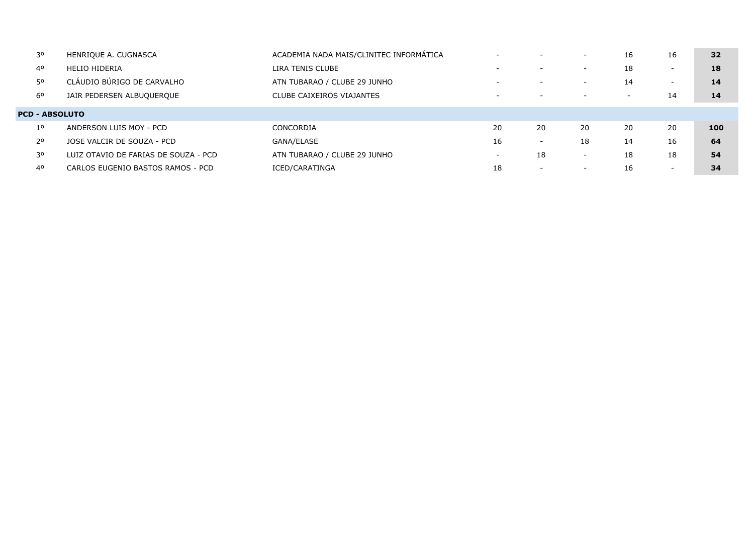| 30                    | HENRIQUE A. CUGNASCA                 | ACADEMIA NADA MAIS/CLINITEC INFORMATICA | $\overline{\phantom{0}}$ | $\overline{\phantom{0}}$ | $\overline{\phantom{a}}$ | 16                       | 16                       | 32  |  |
|-----------------------|--------------------------------------|-----------------------------------------|--------------------------|--------------------------|--------------------------|--------------------------|--------------------------|-----|--|
| 40                    | <b>HELIO HIDERIA</b>                 | LIRA TENIS CLUBE                        | $\overline{\phantom{a}}$ | $\overline{\phantom{a}}$ | $\overline{\phantom{0}}$ | 18                       | $\overline{\phantom{0}}$ | 18  |  |
| 50                    | CLÁUDIO BÚRIGO DE CARVALHO           | ATN TUBARAO / CLUBE 29 JUNHO            | $\overline{\phantom{a}}$ | $\overline{\phantom{a}}$ | $\overline{\phantom{0}}$ | 14                       | $\overline{\phantom{0}}$ | 14  |  |
| 60                    | JAIR PEDERSEN ALBUQUERQUE            | CLUBE CAIXEIROS VIAJANTES               | $\overline{\phantom{0}}$ |                          | $\overline{\phantom{0}}$ | $\overline{\phantom{0}}$ | 14                       | 14  |  |
| <b>PCD - ABSOLUTO</b> |                                      |                                         |                          |                          |                          |                          |                          |     |  |
| 1 <sup>o</sup>        | ANDERSON LUIS MOY - PCD              | CONCORDIA                               | 20                       | 20                       | 20                       | 20                       | 20                       | 100 |  |
| 2 <sup>o</sup>        | JOSE VALCIR DE SOUZA - PCD           | GANA/ELASE                              | 16                       | $\overline{\phantom{a}}$ | 18                       | 14                       | 16                       | 64  |  |
| 30                    | LUIZ OTAVIO DE FARIAS DE SOUZA - PCD | ATN TUBARAO / CLUBE 29 JUNHO            | $\overline{\phantom{0}}$ | 18                       | $\overline{\phantom{0}}$ | 18                       | 18                       | 54  |  |
| 40                    | CARLOS EUGENIO BASTOS RAMOS - PCD    | ICED/CARATINGA                          | 18                       | $\overline{\phantom{a}}$ | $\overline{\phantom{0}}$ | 16                       | $\overline{\phantom{0}}$ | 34  |  |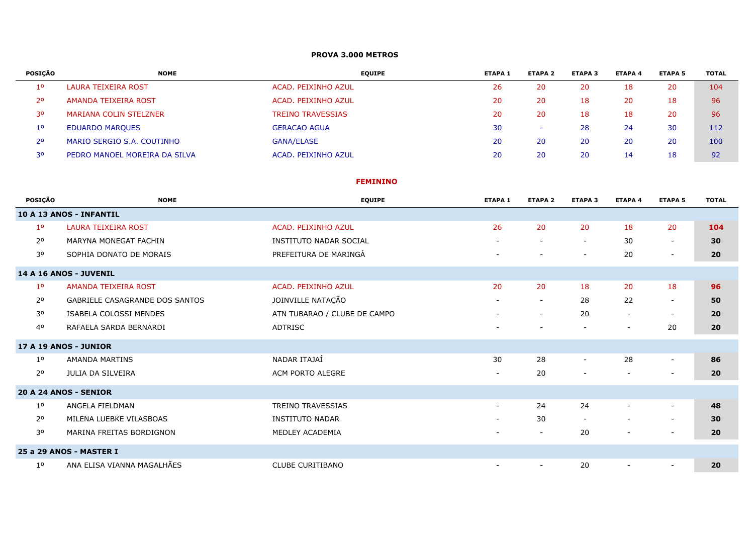#### **PROVA 3.000 METROS**

| <b>POSICÃO</b> | <b>NOME</b>                   | <b>EQUIPE</b>            | <b>ETAPA 1</b> | <b>ETAPA 2</b>           | <b>ETAPA 3</b> | <b>ETAPA 4</b> | <b>ETAPA 5</b> | <b>TOTAL</b> |
|----------------|-------------------------------|--------------------------|----------------|--------------------------|----------------|----------------|----------------|--------------|
| 10             | LAURA TEIXEIRA ROST           | ACAD. PEIXINHO AZUL      | 26             | 20                       | 20             | 18             | 20             | 104          |
| 2 <sup>o</sup> | AMANDA TEIXEIRA ROST          | ACAD. PEIXINHO AZUL      | 20             | 20                       | 18             | 20             | 18             | 96           |
| 30             | MARIANA COLIN STELZNER        | <b>TREINO TRAVESSIAS</b> | 20             | 20                       | 18             | 18             | 20             | 96           |
| $1^{\circ}$    | <b>EDUARDO MARQUES</b>        | <b>GERACAO AGUA</b>      | 30             | $\overline{\phantom{a}}$ | 28             | 24             | 30             | 112          |
| 2 <sup>o</sup> | MARIO SERGIO S.A. COUTINHO    | <b>GANA/ELASE</b>        | 20             | 20                       | 20             | 20             | 20             | 100          |
| 30             | PEDRO MANOEL MOREIRA DA SILVA | ACAD. PEIXINHO AZUL      | 20             | 20                       | 20             | 14             | 18             | 92           |

#### **FEMININO**

| <b>POSICÃO</b> | <b>NOME</b>                           | <b>EQUIPE</b>                 | <b>ETAPA 1</b>           | <b>ETAPA 2</b>           | <b>ETAPA 3</b>           | <b>ETAPA 4</b>           | <b>ETAPA 5</b>           | <b>TOTAL</b> |
|----------------|---------------------------------------|-------------------------------|--------------------------|--------------------------|--------------------------|--------------------------|--------------------------|--------------|
|                | 10 A 13 ANOS - INFANTIL               |                               |                          |                          |                          |                          |                          |              |
| 1 <sup>o</sup> | <b>LAURA TEIXEIRA ROST</b>            | ACAD. PEIXINHO AZUL           | 26                       | 20                       | 20                       | 18                       | 20                       | 104          |
| 2 <sup>o</sup> | MARYNA MONEGAT FACHIN                 | <b>INSTITUTO NADAR SOCIAL</b> | $\overline{\phantom{a}}$ | $\overline{\phantom{a}}$ | $\overline{\phantom{a}}$ | 30                       | $\overline{\phantom{a}}$ | 30           |
| 30             | SOPHIA DONATO DE MORAIS               | PREFEITURA DE MARINGÁ         | $\overline{\phantom{a}}$ | $\overline{\phantom{a}}$ | $\overline{\phantom{a}}$ | 20                       | $\overline{\phantom{a}}$ | 20           |
|                | 14 A 16 ANOS - JUVENIL                |                               |                          |                          |                          |                          |                          |              |
| 1 <sup>o</sup> | AMANDA TEIXEIRA ROST                  | <b>ACAD. PEIXINHO AZUL</b>    | 20                       | 20                       | 18                       | 20                       | 18                       | 96           |
| 2 <sup>o</sup> | <b>GABRIELE CASAGRANDE DOS SANTOS</b> | JOINVILLE NATAÇÃO             | $\overline{\phantom{a}}$ | $\overline{\phantom{a}}$ | 28                       | 22                       | $\overline{\phantom{a}}$ | 50           |
| 30             | <b>ISABELA COLOSSI MENDES</b>         | ATN TUBARAO / CLUBE DE CAMPO  | $\overline{\phantom{a}}$ | $\overline{\phantom{a}}$ | 20                       | $\overline{\phantom{a}}$ | $\overline{\phantom{a}}$ | 20           |
| 40             | RAFAELA SARDA BERNARDI                | <b>ADTRISC</b>                | $\overline{\phantom{a}}$ |                          | $\overline{\phantom{a}}$ | $\overline{\phantom{a}}$ | 20                       | 20           |
|                | 17 A 19 ANOS - JUNIOR                 |                               |                          |                          |                          |                          |                          |              |
| 1 <sup>o</sup> | AMANDA MARTINS                        | NADAR ITAJAÍ                  | 30                       | 28                       | $\sim$                   | 28                       | $\sim$                   | 86           |
| 2 <sup>o</sup> | JULIA DA SILVEIRA                     | ACM PORTO ALEGRE              | $\overline{\phantom{a}}$ | 20                       |                          | $\overline{\phantom{a}}$ | $\overline{\phantom{a}}$ | 20           |
|                | 20 A 24 ANOS - SENIOR                 |                               |                          |                          |                          |                          |                          |              |
| $1^{\circ}$    | ANGELA FIELDMAN                       | <b>TREINO TRAVESSIAS</b>      | $\sim$                   | 24                       | 24                       | $\overline{\phantom{a}}$ | $\overline{\phantom{a}}$ | 48           |
| 2 <sup>o</sup> | MILENA LUEBKE VILASBOAS               | <b>INSTITUTO NADAR</b>        | $\sim$                   | 30                       | $\overline{\phantom{a}}$ |                          | $\sim$                   | 30           |
| 30             | MARINA FREITAS BORDIGNON              | MEDLEY ACADEMIA               | $\overline{\phantom{a}}$ | $\overline{\phantom{a}}$ | 20                       | $\overline{\phantom{a}}$ | $\overline{\phantom{a}}$ | 20           |
|                | 25 a 29 ANOS - MASTER I               |                               |                          |                          |                          |                          |                          |              |
| $1^{\circ}$    | ANA ELISA VIANNA MAGALHÃES            | <b>CLUBE CURITIBANO</b>       | $\sim$                   | $\overline{\phantom{a}}$ | 20                       |                          | $\sim$                   | 20           |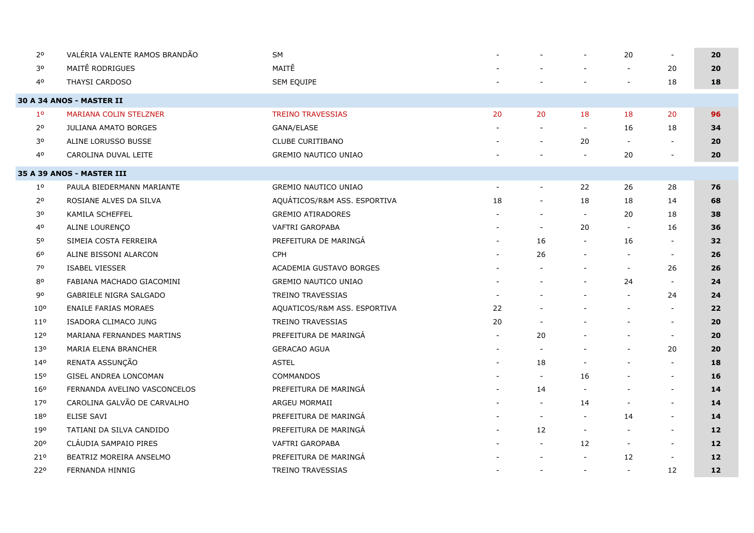| 2 <sup>o</sup>  | VALÉRIA VALENTE RAMOS BRANDÃO    | SM                           |                          |                          | $\blacksquare$           | 20                       | $\sim$                   | 20   |
|-----------------|----------------------------------|------------------------------|--------------------------|--------------------------|--------------------------|--------------------------|--------------------------|------|
| 30              | MAITÊ RODRIGUES                  | MAITÊ                        |                          |                          |                          |                          | 20                       | 20   |
| 40              | THAYSI CARDOSO                   | SEM EQUIPE                   |                          |                          |                          | $\overline{\phantom{a}}$ | 18                       | 18   |
|                 | <b>30 A 34 ANOS - MASTER II</b>  |                              |                          |                          |                          |                          |                          |      |
| 1 <sup>o</sup>  | <b>MARIANA COLIN STELZNER</b>    | <b>TREINO TRAVESSIAS</b>     | 20                       | 20                       | 18                       | 18                       | 20                       | 96   |
| $2^{\circ}$     | <b>JULIANA AMATO BORGES</b>      | GANA/ELASE                   |                          |                          | $\sim$                   | 16                       | 18                       | 34   |
| 30              | ALINE LORUSSO BUSSE              | <b>CLUBE CURITIBANO</b>      |                          |                          | 20                       | $\overline{\phantom{a}}$ | $\overline{\phantom{a}}$ | 20   |
| 40              | CAROLINA DUVAL LEITE             | <b>GREMIO NAUTICO UNIAO</b>  |                          |                          | $\overline{\phantom{a}}$ | 20                       |                          | 20   |
|                 | <b>35 A 39 ANOS - MASTER III</b> |                              |                          |                          |                          |                          |                          |      |
| $1^{\circ}$     | PAULA BIEDERMANN MARIANTE        | GREMIO NAUTICO UNIAO         | $\overline{\phantom{a}}$ | $\overline{\phantom{a}}$ | 22                       | 26                       | 28                       | 76   |
| 2 <sup>o</sup>  | ROSIANE ALVES DA SILVA           | AQUÁTICOS/R&M ASS. ESPORTIVA | 18                       | $\overline{\phantom{a}}$ | 18                       | 18                       | 14                       | 68   |
| 30              | KAMILA SCHEFFEL                  | <b>GREMIO ATIRADORES</b>     |                          |                          | $\sim$                   | 20                       | 18                       | 38   |
| 40              | ALINE LOURENÇO                   | <b>VAFTRI GAROPABA</b>       |                          | $\sim$                   | 20                       | $\overline{\phantom{a}}$ | 16                       | 36   |
| 50              | SIMEIA COSTA FERREIRA            | PREFEITURA DE MARINGÁ        |                          | 16                       | $\overline{\phantom{a}}$ | 16                       | $\overline{\phantom{a}}$ | 32   |
| 6 <sup>o</sup>  | ALINE BISSONI ALARCON            | <b>CPH</b>                   |                          | 26                       | $\overline{a}$           |                          | $\overline{\phantom{a}}$ | 26   |
| 70              | <b>ISABEL VIESSER</b>            | ACADEMIA GUSTAVO BORGES      |                          |                          | $\overline{\phantom{a}}$ | $\overline{\phantom{a}}$ | 26                       | 26   |
| 80              | FABIANA MACHADO GIACOMINI        | <b>GREMIO NAUTICO UNIAO</b>  |                          |                          | $\overline{\phantom{a}}$ | 24                       | $\overline{\phantom{a}}$ | 24   |
| 90              | <b>GABRIELE NIGRA SALGADO</b>    | <b>TREINO TRAVESSIAS</b>     |                          |                          |                          |                          | 24                       | 24   |
| 10 <sup>o</sup> | <b>ENAILE FARIAS MORAES</b>      | AQUATICOS/R&M ASS. ESPORTIVA | 22                       |                          |                          |                          | $\sim$                   | 22   |
| 11 <sup>o</sup> | ISADORA CLIMACO JUNG             | <b>TREINO TRAVESSIAS</b>     | 20                       |                          |                          |                          | $\overline{\phantom{a}}$ | 20   |
| 120             | MARIANA FERNANDES MARTINS        | PREFEITURA DE MARINGÁ        |                          | 20                       |                          |                          | $\overline{\phantom{a}}$ | 20   |
| 130             | MARIA ELENA BRANCHER             | <b>GERACAO AGUA</b>          |                          |                          |                          | $\overline{\phantom{a}}$ | 20                       | 20   |
| 140             | RENATA ASSUNÇÃO                  | <b>ASTEL</b>                 |                          | 18                       |                          |                          | $\overline{\phantom{a}}$ | 18   |
| 150             | GISEL ANDREA LONCOMAN            | COMMANDOS                    |                          | $\overline{\phantom{a}}$ | 16                       |                          | $\overline{\phantom{a}}$ | 16   |
| 160             | FERNANDA AVELINO VASCONCELOS     | PREFEITURA DE MARINGÁ        |                          | 14                       |                          |                          | $\overline{\phantom{a}}$ | 14   |
| 17°             | CAROLINA GALVÃO DE CARVALHO      | ARGEU MORMAII                |                          | $\sim$                   | 14                       |                          | $\sim$                   | 14   |
| 180             | <b>ELISE SAVI</b>                | PREFEITURA DE MARINGÁ        |                          | $\overline{\phantom{a}}$ | $\overline{\phantom{a}}$ | 14                       | $\overline{\phantom{a}}$ | 14   |
| 190             | TATIANI DA SILVA CANDIDO         | PREFEITURA DE MARINGÁ        |                          | 12                       | $\blacksquare$           | $\overline{\phantom{a}}$ | $\sim$                   | 12   |
| 20°             | CLÁUDIA SAMPAIO PIRES            | VAFTRI GAROPABA              |                          |                          | 12                       | $\overline{\phantom{a}}$ | $\overline{\phantom{a}}$ | 12   |
| 210             | BEATRIZ MOREIRA ANSELMO          | PREFEITURA DE MARINGÁ        |                          |                          | $\overline{\phantom{a}}$ | 12                       | $\overline{\phantom{a}}$ | 12   |
| 220             | FERNANDA HINNIG                  | TREINO TRAVESSIAS            |                          | $\overline{\phantom{a}}$ | $\overline{\phantom{a}}$ | $\overline{\phantom{a}}$ | 12                       | $12$ |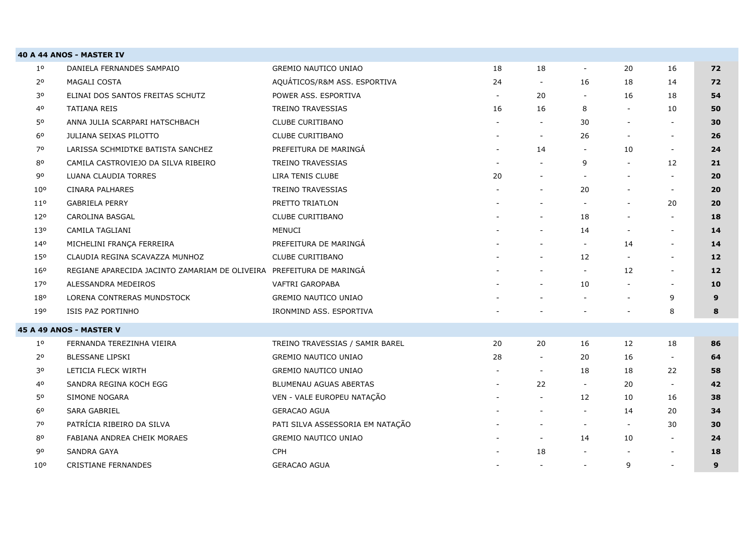|                 | 40 A 44 ANOS - MASTER IV                       |                                  |                          |                          |                          |                          |                          |    |
|-----------------|------------------------------------------------|----------------------------------|--------------------------|--------------------------|--------------------------|--------------------------|--------------------------|----|
| 10              | DANIELA FERNANDES SAMPAIO                      | <b>GREMIO NAUTICO UNIAO</b>      | 18                       | 18                       | $\sim$                   | 20                       | 16                       | 72 |
| $2^{\circ}$     | MAGALI COSTA                                   | AQUÁTICOS/R&M ASS. ESPORTIVA     | 24                       | $\overline{\phantom{a}}$ | 16                       | 18                       | 14                       | 72 |
| 30              | ELINAI DOS SANTOS FREITAS SCHUTZ               | POWER ASS. ESPORTIVA             | $\overline{\phantom{a}}$ | 20                       |                          | 16                       | 18                       | 54 |
| 40              | <b>TATIANA REIS</b>                            | <b>TREINO TRAVESSIAS</b>         | 16                       | 16                       | 8                        | $\overline{\phantom{a}}$ | 10                       | 50 |
| 50              | ANNA JULIA SCARPARI HATSCHBACH                 | <b>CLUBE CURITIBANO</b>          |                          | $\overline{\phantom{a}}$ | 30                       | $\blacksquare$           | $\overline{\phantom{a}}$ | 30 |
| 6 <sup>o</sup>  | JULIANA SEIXAS PILOTTO                         | CLUBE CURITIBANO                 |                          | $\overline{\phantom{a}}$ | 26                       | $\overline{\phantom{a}}$ | $\sim$                   | 26 |
| 70              | LARISSA SCHMIDTKE BATISTA SANCHEZ              | PREFEITURA DE MARINGA            |                          | 14                       |                          | 10                       | $\overline{\phantom{a}}$ | 24 |
| 80              | CAMILA CASTROVIEJO DA SILVA RIBEIRO            | TREINO TRAVESSIAS                |                          |                          | 9                        | $\overline{\phantom{a}}$ | 12                       | 21 |
| 90              | LUANA CLAUDIA TORRES                           | LIRA TENIS CLUBE                 | 20                       | $\overline{\phantom{a}}$ | $\overline{\phantom{a}}$ | $\overline{\phantom{a}}$ | $\overline{\phantom{a}}$ | 20 |
| 10 <sup>o</sup> | CINARA PALHARES                                | TREINO TRAVESSIAS                |                          | $\overline{\phantom{a}}$ | 20                       | $\overline{\phantom{a}}$ | $\sim$                   | 20 |
| 11 <sup>o</sup> | <b>GABRIELA PERRY</b>                          | PRETTO TRIATLON                  |                          | $\blacksquare$           |                          | $\blacksquare$           | 20                       | 20 |
| 12 <sup>o</sup> | CAROLINA BASGAL                                | <b>CLUBE CURITIBANO</b>          |                          |                          | 18                       | $\overline{\phantom{a}}$ | $\overline{\phantom{a}}$ | 18 |
| 13 <sup>o</sup> | CAMILA TAGLIANI                                | <b>MENUCI</b>                    |                          |                          | 14                       | $\overline{\phantom{a}}$ | $\overline{\phantom{a}}$ | 14 |
| 140             | MICHELINI FRANÇA FERREIRA                      | PREFEITURA DE MARINGÁ            |                          | $\overline{\phantom{a}}$ | $\overline{\phantom{a}}$ | 14                       | $\blacksquare$           | 14 |
| 150             | CLAUDIA REGINA SCAVAZZA MUNHOZ                 | <b>CLUBE CURITIBANO</b>          |                          |                          | 12                       |                          | $\blacksquare$           | 12 |
| 16°             | REGIANE APARECIDA JACINTO ZAMARIAM DE OLIVEIRA | PREFEITURA DE MARINGA            |                          |                          | $\sim$                   | 12                       | $\overline{\phantom{a}}$ | 12 |
| 170             | ALESSANDRA MEDEIROS                            | VAFTRI GAROPABA                  |                          | $\overline{\phantom{a}}$ | 10                       | $\overline{\phantom{a}}$ | $\overline{\phantom{a}}$ | 10 |
| 180             | LORENA CONTRERAS MUNDSTOCK                     | <b>GREMIO NAUTICO UNIAO</b>      |                          |                          |                          | $\overline{\phantom{a}}$ | 9                        | 9  |
| 190             | ISIS PAZ PORTINHO                              | IRONMIND ASS. ESPORTIVA          |                          |                          |                          |                          | 8                        | 8  |
|                 | <b>45 A 49 ANOS - MASTER V</b>                 |                                  |                          |                          |                          |                          |                          |    |
| $1^{\circ}$     | FERNANDA TEREZINHA VIEIRA                      | TREINO TRAVESSIAS / SAMIR BAREL  | 20                       | 20                       | 16                       | 12                       | 18                       | 86 |
| 2 <sup>o</sup>  | BLESSANE LIPSKI                                | <b>GREMIO NAUTICO UNIAO</b>      | 28                       | $\overline{\phantom{a}}$ | 20                       | 16                       | $\overline{\phantom{a}}$ | 64 |
| 30              | LETICIA FLECK WIRTH                            | GREMIO NAUTICO UNIAO             |                          | $\overline{\phantom{a}}$ | 18                       | 18                       | 22                       | 58 |
| 40              | SANDRA REGINA KOCH EGG                         | <b>BLUMENAU AGUAS ABERTAS</b>    |                          | 22                       | $\overline{\phantom{a}}$ | 20                       | $\overline{\phantom{a}}$ | 42 |
| 50              | SIMONE NOGARA                                  | VEN - VALE EUROPEU NATAÇÃO       |                          | $\overline{\phantom{a}}$ | 12                       | 10                       | 16                       | 38 |
| 60              | <b>SARA GABRIEL</b>                            | <b>GERACAO AGUA</b>              |                          | $\sim$                   | $\overline{\phantom{a}}$ | 14                       | 20                       | 34 |
| 70              | PATRÍCIA RIBEIRO DA SILVA                      | PATI SILVA ASSESSORIA EM NATAÇÃO |                          | $\overline{\phantom{a}}$ | $\overline{\phantom{a}}$ | $\overline{\phantom{a}}$ | 30                       | 30 |
| 80              | FABIANA ANDREA CHEIK MORAES                    | <b>GREMIO NAUTICO UNIAO</b>      |                          | $\overline{\phantom{a}}$ | 14                       | 10                       | $\overline{\phantom{a}}$ | 24 |
| 90              | SANDRA GAYA                                    | <b>CPH</b>                       |                          | 18                       |                          |                          | $\overline{\phantom{a}}$ | 18 |
| 10 <sup>o</sup> | <b>CRISTIANE FERNANDES</b>                     | <b>GERACAO AGUA</b>              |                          | $\overline{\phantom{a}}$ |                          | 9                        | $\overline{\phantom{a}}$ | 9  |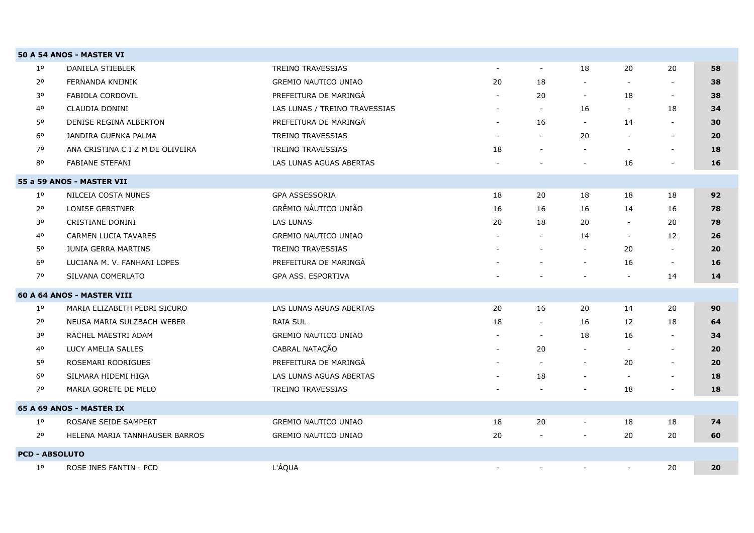|                       | 50 A 54 ANOS - MASTER VI         |                               |                          |                          |                          |                          |                          |    |
|-----------------------|----------------------------------|-------------------------------|--------------------------|--------------------------|--------------------------|--------------------------|--------------------------|----|
| 1 <sup>0</sup>        | <b>DANIELA STIEBLER</b>          | <b>TREINO TRAVESSIAS</b>      | $\overline{\phantom{a}}$ | $\overline{\phantom{a}}$ | 18                       | 20                       | 20                       | 58 |
| 2 <sup>o</sup>        | FERNANDA KNIJNIK                 | <b>GREMIO NAUTICO UNIAO</b>   | 20                       | 18                       | $\blacksquare$           |                          | $\sim$                   | 38 |
| 30                    | FABIOLA CORDOVIL                 | PREFEITURA DE MARINGA         | $\blacksquare$           | 20                       | $\sim$                   | 18                       | $\overline{\phantom{a}}$ | 38 |
| 40                    | CLAUDIA DONINI                   | LAS LUNAS / TREINO TRAVESSIAS | $\overline{\phantom{a}}$ | $\overline{\phantom{a}}$ | 16                       | $\overline{\phantom{a}}$ | 18                       | 34 |
| 50                    | DENISE REGINA ALBERTON           | PREFEITURA DE MARINGÁ         | $\overline{\phantom{a}}$ | 16                       | $\overline{\phantom{a}}$ | 14                       | $\overline{\phantom{a}}$ | 30 |
| 60                    | JANDIRA GUENKA PALMA             | <b>TREINO TRAVESSIAS</b>      | $\blacksquare$           | $\overline{\phantom{a}}$ | 20                       |                          | $\overline{\phantom{a}}$ | 20 |
| 70                    | ANA CRISTINA C I Z M DE OLIVEIRA | TREINO TRAVESSIAS             | 18                       | $\overline{\phantom{a}}$ | $\overline{\phantom{a}}$ | $\overline{\phantom{a}}$ | $\overline{\phantom{a}}$ | 18 |
| 80                    | <b>FABIANE STEFANI</b>           | LAS LUNAS AGUAS ABERTAS       |                          |                          | $\overline{\phantom{a}}$ | 16                       |                          | 16 |
|                       | 55 a 59 ANOS - MASTER VII        |                               |                          |                          |                          |                          |                          |    |
| $1^{\circ}$           | NILCEIA COSTA NUNES              | GPA ASSESSORIA                | 18                       | 20                       | 18                       | 18                       | 18                       | 92 |
| 2 <sup>o</sup>        | <b>LONISE GERSTNER</b>           | GRÊMIO NÁUTICO UNIÃO          | 16                       | 16                       | 16                       | 14                       | 16                       | 78 |
| 30                    | CRISTIANE DONINI                 | <b>LAS LUNAS</b>              | 20                       | 18                       | 20                       | $\overline{\phantom{a}}$ | 20                       | 78 |
| 40                    | CARMEN LUCIA TAVARES             | <b>GREMIO NAUTICO UNIAO</b>   |                          | $\blacksquare$           | 14                       | $\blacksquare$           | 12                       | 26 |
| 50                    | JUNIA GERRA MARTINS              | <b>TREINO TRAVESSIAS</b>      |                          | $\overline{a}$           | $\overline{\phantom{a}}$ | 20                       | $\blacksquare$           | 20 |
| 6 <sup>o</sup>        | LUCIANA M. V. FANHANI LOPES      | PREFEITURA DE MARINGÁ         |                          |                          | $\overline{\phantom{a}}$ | 16                       | $\overline{\phantom{a}}$ | 16 |
| 70                    | SILVANA COMERLATO                | GPA ASS. ESPORTIVA            |                          |                          |                          |                          | 14                       | 14 |
|                       |                                  |                               |                          |                          |                          |                          |                          |    |
|                       | 60 A 64 ANOS - MASTER VIII       |                               |                          |                          |                          |                          |                          |    |
| $1^{\circ}$           | MARIA ELIZABETH PEDRI SICURO     | LAS LUNAS AGUAS ABERTAS       | 20                       | 16                       | 20                       | 14                       | 20                       | 90 |
| 2 <sup>o</sup>        | NEUSA MARIA SULZBACH WEBER       | <b>RAIA SUL</b>               | 18                       | $\overline{\phantom{a}}$ | 16                       | 12                       | 18                       | 64 |
| 30                    | RACHEL MAESTRI ADAM              | <b>GREMIO NAUTICO UNIAO</b>   |                          | $\sim$                   | 18                       | 16                       | $\overline{\phantom{a}}$ | 34 |
| 40                    | LUCY AMELIA SALLES               | CABRAL NATAÇÃO                |                          | 20                       | $\overline{\phantom{a}}$ |                          |                          | 20 |
| 50                    | ROSEMARI RODRIGUES               | PREFEITURA DE MARINGÁ         |                          | $\blacksquare$           | $\overline{\phantom{a}}$ | 20                       | $\sim$                   | 20 |
| 60                    | SILMARA HIDEMI HIGA              | LAS LUNAS AGUAS ABERTAS       |                          | 18                       | $\overline{\phantom{a}}$ | $\overline{\phantom{a}}$ | $\overline{\phantom{a}}$ | 18 |
| 70                    | MARIA GORETE DE MELO             | TREINO TRAVESSIAS             |                          |                          |                          | 18                       | $\overline{\phantom{a}}$ | 18 |
|                       | 65 A 69 ANOS - MASTER IX         |                               |                          |                          |                          |                          |                          |    |
| $1^{\circ}$           | ROSANE SEIDE SAMPERT             | <b>GREMIO NAUTICO UNIAO</b>   | 18                       | 20                       | $\overline{\phantom{a}}$ | 18                       | 18                       | 74 |
| 2 <sup>o</sup>        | HELENA MARIA TANNHAUSER BARROS   | <b>GREMIO NAUTICO UNIAO</b>   | 20                       |                          |                          | 20                       | 20                       | 60 |
| <b>PCD - ABSOLUTO</b> |                                  |                               |                          |                          |                          |                          |                          |    |
| 1 <sup>0</sup>        | ROSE INES FANTIN - PCD           | L'ÁQUA                        | $\overline{\phantom{a}}$ |                          |                          |                          | 20                       | 20 |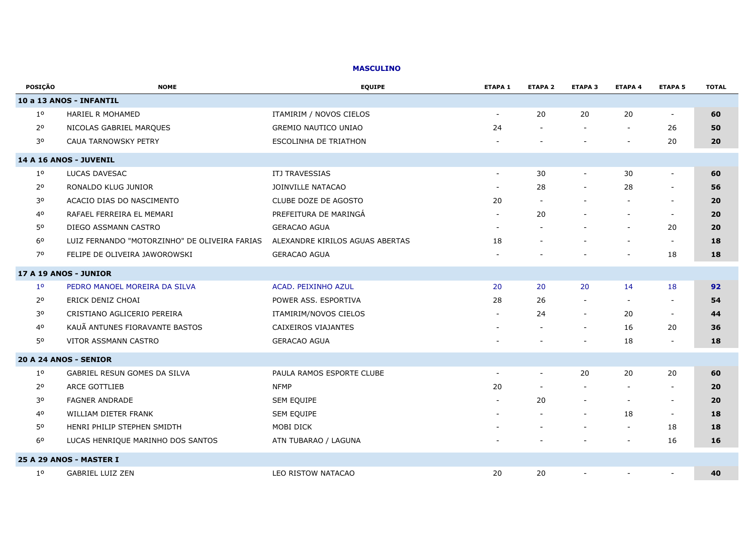#### **MASCULINO**

| <b>POSIÇÃO</b> | <b>NOME</b>                                   | <b>EQUIPE</b>                   | <b>ETAPA 1</b>           | <b>ETAPA 2</b>           | <b>ETAPA 3</b>           | <b>ETAPA 4</b>           | <b>ETAPA 5</b>           | <b>TOTAL</b> |
|----------------|-----------------------------------------------|---------------------------------|--------------------------|--------------------------|--------------------------|--------------------------|--------------------------|--------------|
|                | 10 a 13 ANOS - INFANTIL                       |                                 |                          |                          |                          |                          |                          |              |
| $1^{\circ}$    | <b>HARIEL R MOHAMED</b>                       | ITAMIRIM / NOVOS CIELOS         | $\sim$                   | 20                       | 20                       | 20                       | $\overline{\phantom{a}}$ | 60           |
| 2 <sup>o</sup> | NICOLAS GABRIEL MARQUES                       | <b>GREMIO NAUTICO UNIAO</b>     | 24                       |                          |                          |                          | 26                       | 50           |
| 30             | <b>CAUA TARNOWSKY PETRY</b>                   | <b>ESCOLINHA DE TRIATHON</b>    |                          |                          |                          | $\overline{\phantom{a}}$ | 20                       | 20           |
|                | 14 A 16 ANOS - JUVENIL                        |                                 |                          |                          |                          |                          |                          |              |
| $1^{\circ}$    | LUCAS DAVESAC                                 | ITJ TRAVESSIAS                  |                          | 30                       | $\overline{\phantom{a}}$ | 30                       | $\overline{\phantom{a}}$ | 60           |
| 2 <sup>o</sup> | RONALDO KLUG JUNIOR                           | JOINVILLE NATACAO               |                          | 28                       | $\blacksquare$           | 28                       | $\blacksquare$           | 56           |
| 30             | ACACIO DIAS DO NASCIMENTO                     | CLUBE DOZE DE AGOSTO            | 20                       |                          | $\blacksquare$           | $\overline{\phantom{a}}$ | $\overline{\phantom{a}}$ | 20           |
| 40             | RAFAEL FERREIRA EL MEMARI                     | PREFEITURA DE MARINGÁ           |                          | 20                       |                          |                          | $\blacksquare$           | 20           |
| 50             | DIEGO ASSMANN CASTRO                          | <b>GERACAO AGUA</b>             |                          |                          |                          | $\overline{\phantom{a}}$ | 20                       | 20           |
| 60             | LUIZ FERNANDO "MOTORZINHO" DE OLIVEIRA FARIAS | ALEXANDRE KIRILOS AGUAS ABERTAS | 18                       |                          |                          |                          | $\overline{\phantom{a}}$ | 18           |
| 70             | FELIPE DE OLIVEIRA JAWOROWSKI                 | <b>GERACAO AGUA</b>             |                          |                          |                          | $\overline{\phantom{a}}$ | 18                       | 18           |
|                | 17 A 19 ANOS - JUNIOR                         |                                 |                          |                          |                          |                          |                          |              |
| 1 <sup>o</sup> | PEDRO MANOEL MOREIRA DA SILVA                 | <b>ACAD. PEIXINHO AZUL</b>      | 20                       | 20                       | 20                       | 14                       | 18                       | 92           |
| $2^{\circ}$    | ERICK DENIZ CHOAI                             | POWER ASS. ESPORTIVA            | 28                       | 26                       | $\blacksquare$           |                          | $\blacksquare$           | 54           |
| 30             | CRISTIANO AGLICERIO PEREIRA                   | ITAMIRIM/NOVOS CIELOS           | $\overline{\phantom{a}}$ | 24                       | $\blacksquare$           | 20                       | $\overline{\phantom{a}}$ | 44           |
| 40             | KAUÃ ANTUNES FIORAVANTE BASTOS                | CAIXEIROS VIAJANTES             |                          |                          | $\overline{\phantom{a}}$ | 16                       | 20                       | 36           |
| 50             | VITOR ASSMANN CASTRO                          | <b>GERACAO AGUA</b>             |                          |                          | $\overline{\phantom{a}}$ | 18                       | $\sim$                   | 18           |
|                | 20 A 24 ANOS - SENIOR                         |                                 |                          |                          |                          |                          |                          |              |
| $1^{\circ}$    | GABRIEL RESUN GOMES DA SILVA                  | PAULA RAMOS ESPORTE CLUBE       |                          | $\overline{\phantom{a}}$ | 20                       | 20                       | 20                       | 60           |
| 2 <sup>o</sup> | <b>ARCE GOTTLIEB</b>                          | <b>NFMP</b>                     | 20                       |                          | $\overline{a}$           |                          | $\sim$                   | 20           |
| 30             | <b>FAGNER ANDRADE</b>                         | SEM EQUIPE                      |                          | 20                       | $\blacksquare$           | $\blacksquare$           | $\overline{\phantom{a}}$ | 20           |
| 40             | <b>WILLIAM DIETER FRANK</b>                   | SEM EQUIPE                      |                          |                          | $\blacksquare$           | 18                       | $\sim$                   | 18           |
| 50             | HENRI PHILIP STEPHEN SMIDTH                   | MOBI DICK                       |                          |                          |                          | $\blacksquare$           | 18                       | 18           |
| 60             | LUCAS HENRIQUE MARINHO DOS SANTOS             | ATN TUBARAO / LAGUNA            |                          |                          |                          | -                        | 16                       | 16           |
|                | 25 A 29 ANOS - MASTER I                       |                                 |                          |                          |                          |                          |                          |              |
| $1^{\circ}$    | GABRIEL LUIZ ZEN                              | LEO RISTOW NATACAO              | 20                       | 20                       | $\overline{\phantom{0}}$ |                          | $\overline{\phantom{a}}$ | 40           |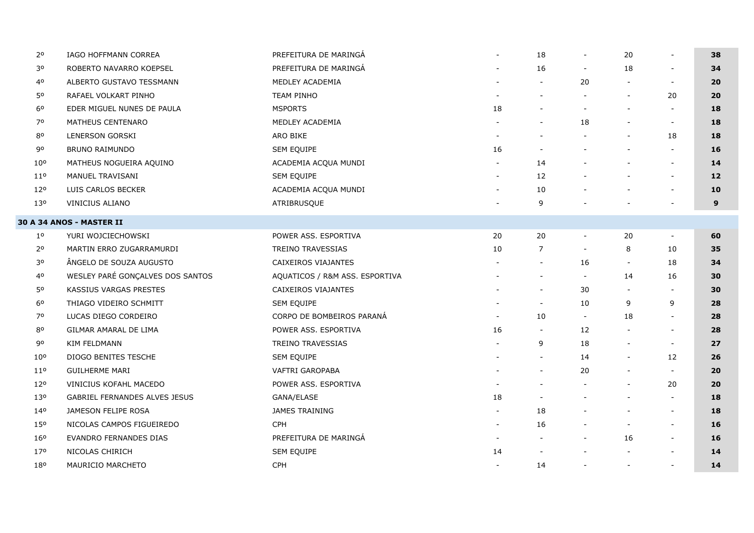| 2٥              | IAGO HOFFMANN CORREA                 | PREFEITURA DE MARINGÁ          | $\sim$                   | 18                       | $\overline{\phantom{a}}$ | 20                       |                          | 38 |
|-----------------|--------------------------------------|--------------------------------|--------------------------|--------------------------|--------------------------|--------------------------|--------------------------|----|
| 30              | ROBERTO NAVARRO KOEPSEL              | PREFEITURA DE MARINGÁ          |                          | 16                       |                          | 18                       |                          | 34 |
| 40              | ALBERTO GUSTAVO TESSMANN             | MEDLEY ACADEMIA                |                          | $\blacksquare$           | 20                       | $\overline{\phantom{a}}$ | $\overline{\phantom{a}}$ | 20 |
| 50              | RAFAEL VOLKART PINHO                 | <b>TEAM PINHO</b>              |                          | $\overline{a}$           |                          | $\overline{\phantom{a}}$ | 20                       | 20 |
| 6 <sup>o</sup>  | EDER MIGUEL NUNES DE PAULA           | <b>MSPORTS</b>                 | 18                       | $\blacksquare$           |                          |                          |                          | 18 |
| 70              | MATHEUS CENTENARO                    | MEDLEY ACADEMIA                |                          | $\blacksquare$           | 18                       | $\overline{\phantom{a}}$ | $\sim$                   | 18 |
| 80              | LENERSON GORSKI                      | ARO BIKE                       |                          |                          |                          |                          | 18                       | 18 |
| 90              | BRUNO RAIMUNDO                       | SEM EQUIPE                     | 16                       | $\blacksquare$           |                          |                          | $\overline{\phantom{a}}$ | 16 |
| $10^{\circ}$    | MATHEUS NOGUEIRA AQUINO              | ACADEMIA ACQUA MUNDI           |                          | 14                       |                          | $\overline{\phantom{a}}$ | $\overline{\phantom{a}}$ | 14 |
| 110             | MANUEL TRAVISANI                     | SEM EQUIPE                     | $\sim$                   | 12                       |                          | $\overline{\phantom{0}}$ | $\overline{\phantom{a}}$ | 12 |
| 12°             | LUIS CARLOS BECKER                   | ACADEMIA ACQUA MUNDI           |                          | 10                       |                          |                          |                          | 10 |
| 130             | VINICIUS ALIANO                      | ATRIBRUSQUE                    |                          | 9                        |                          |                          |                          | 9  |
|                 | <b>30 A 34 ANOS - MASTER II</b>      |                                |                          |                          |                          |                          |                          |    |
| $1^{\circ}$     | YURI WOJCIECHOWSKI                   | POWER ASS. ESPORTIVA           | 20                       | 20                       | $\overline{\phantom{a}}$ | 20                       | $\overline{\phantom{a}}$ | 60 |
| 2 <sup>o</sup>  | MARTIN ERRO ZUGARRAMURDI             | <b>TREINO TRAVESSIAS</b>       | 10                       | $\overline{7}$           |                          | 8                        | 10                       | 35 |
| 30              | ÂNGELO DE SOUZA AUGUSTO              | CAIXEIROS VIAJANTES            |                          | $\blacksquare$           | 16                       | $\sim$                   | 18                       | 34 |
| 40              | WESLEY PARÉ GONÇALVES DOS SANTOS     | AQUATICOS / R&M ASS. ESPORTIVA |                          | $\overline{\phantom{a}}$ | $\sim$                   | 14                       | 16                       | 30 |
| 50              | KASSIUS VARGAS PRESTES               | CAIXEIROS VIAJANTES            |                          | $\overline{\phantom{a}}$ | 30                       | $\overline{\phantom{a}}$ | $\overline{\phantom{a}}$ | 30 |
| 60              | THIAGO VIDEIRO SCHMITT               | <b>SEM EQUIPE</b>              |                          | $\overline{\phantom{a}}$ | 10                       | 9                        | 9                        | 28 |
| 70              | LUCAS DIEGO CORDEIRO                 | CORPO DE BOMBEIROS PARANÁ      |                          | 10                       | $\overline{\phantom{a}}$ | 18                       | $\overline{\phantom{a}}$ | 28 |
| 80              | GILMAR AMARAL DE LIMA                | POWER ASS. ESPORTIVA           | 16                       | $\overline{\phantom{a}}$ | 12                       | $\sim$                   | $\overline{\phantom{a}}$ | 28 |
| 90              | KIM FELDMANN                         | TREINO TRAVESSIAS              |                          | 9                        | 18                       | $\blacksquare$           | $\overline{\phantom{a}}$ | 27 |
| 10 <sup>o</sup> | DIOGO BENITES TESCHE                 | SEM EQUIPE                     |                          | $\overline{\phantom{a}}$ | 14                       | $\overline{\phantom{a}}$ | 12                       | 26 |
| 11 <sup>o</sup> | <b>GUILHERME MARI</b>                | VAFTRI GAROPABA                |                          | $\overline{\phantom{a}}$ | 20                       | $\overline{\phantom{a}}$ | $\sim$                   | 20 |
| 12°             | <b>VINICIUS KOFAHL MACEDO</b>        | POWER ASS. ESPORTIVA           |                          |                          |                          | $\overline{\phantom{a}}$ | 20                       | 20 |
| 13 <sup>o</sup> | <b>GABRIEL FERNANDES ALVES JESUS</b> | GANA/ELASE                     | 18                       | $\overline{\phantom{a}}$ |                          | $\overline{\phantom{a}}$ | $\sim$                   | 18 |
| 140             | JAMESON FELIPE ROSA                  | <b>JAMES TRAINING</b>          |                          | 18                       |                          | $\blacksquare$           | $\overline{\phantom{a}}$ | 18 |
| 15°             | NICOLAS CAMPOS FIGUEIREDO            | <b>CPH</b>                     | $\overline{\phantom{a}}$ | 16                       |                          | $\overline{\phantom{a}}$ | $\sim$                   | 16 |
| 16°             | EVANDRO FERNANDES DIAS               | PREFEITURA DE MARINGA          |                          | $\overline{a}$           |                          | 16                       | $\overline{\phantom{a}}$ | 16 |
| 17 <sup>o</sup> | NICOLAS CHIRICH                      | <b>SEM EQUIPE</b>              | 14                       |                          |                          | $\blacksquare$           |                          | 14 |
| 180             | MAURICIO MARCHETO                    | CPH                            | $\overline{\phantom{a}}$ | 14                       |                          | $\overline{\phantom{a}}$ | $\overline{\phantom{a}}$ | 14 |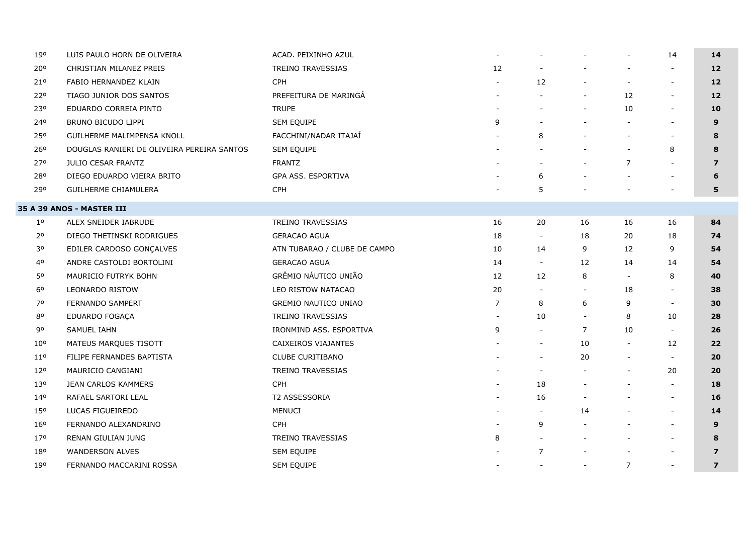| 190             | LUIS PAULO HORN DE OLIVEIRA                | ACAD. PEIXINHO AZUL          | $\blacksquare$ |                          |                          | $\blacksquare$           | 14                       | 14                |
|-----------------|--------------------------------------------|------------------------------|----------------|--------------------------|--------------------------|--------------------------|--------------------------|-------------------|
| 20°             | CHRISTIAN MILANEZ PREIS                    | TREINO TRAVESSIAS            | 12             |                          |                          |                          | $\overline{\phantom{a}}$ | 12                |
| 21°             | FABIO HERNANDEZ KLAIN                      | <b>CPH</b>                   |                | 12                       |                          | $\overline{\phantom{a}}$ | $\overline{\phantom{a}}$ | $12 \overline{ }$ |
| 220             | TIAGO JUNIOR DOS SANTOS                    | PREFEITURA DE MARINGÁ        |                | $\blacksquare$           | $\overline{\phantom{a}}$ | 12                       | $\overline{\phantom{a}}$ | $12$              |
| 230             | EDUARDO CORREIA PINTO                      | <b>TRUPE</b>                 |                |                          |                          | 10                       | $\overline{\phantom{a}}$ | 10                |
| 240             | BRUNO BICUDO LIPPI                         | SEM EQUIPE                   | 9              |                          |                          | $\sim$                   |                          | 9                 |
| 250             | GUILHERME MALIMPENSA KNOLL                 | FACCHINI/NADAR ITAJAÍ        |                | 8                        |                          | $\blacksquare$           |                          | 8                 |
| 26 <sup>o</sup> | DOUGLAS RANIERI DE OLIVEIRA PEREIRA SANTOS | SEM EQUIPE                   |                |                          |                          | $\overline{\phantom{a}}$ | 8                        | 8                 |
| 270             | JULIO CESAR FRANTZ                         | <b>FRANTZ</b>                |                | $\blacksquare$           |                          | $\overline{7}$           | $\blacksquare$           | $\overline{7}$    |
| 280             | DIEGO EDUARDO VIEIRA BRITO                 | GPA ASS. ESPORTIVA           |                | 6                        |                          | $\overline{\phantom{a}}$ | $\overline{\phantom{a}}$ | 6                 |
| 290             | GUILHERME CHIAMULERA                       | <b>CPH</b>                   |                | 5                        |                          |                          |                          | 5                 |
|                 | 35 A 39 ANOS - MASTER III                  |                              |                |                          |                          |                          |                          |                   |
| $1^{\circ}$     | ALEX SNEIDER IABRUDE                       | TREINO TRAVESSIAS            | 16             | 20                       | 16                       | 16                       | 16                       | 84                |
| 2 <sup>o</sup>  | DIEGO THETINSKI RODRIGUES                  | <b>GERACAO AGUA</b>          | 18             | $\overline{\phantom{a}}$ | 18                       | 20                       | 18                       | 74                |
| 30              | EDILER CARDOSO GONÇALVES                   | ATN TUBARAO / CLUBE DE CAMPO | 10             | 14                       | 9                        | 12                       | 9                        | 54                |
| 40              | ANDRE CASTOLDI BORTOLINI                   | <b>GERACAO AGUA</b>          | 14             | $\overline{\phantom{a}}$ | 12                       | 14                       | 14                       | 54                |
| 50              | MAURICIO FUTRYK BOHN                       | GRÊMIO NÁUTICO UNIÃO         | 12             | 12                       | 8                        | $\overline{\phantom{a}}$ | 8                        | 40                |
| 60              | <b>LEONARDO RISTOW</b>                     | LEO RISTOW NATACAO           | 20             | $\overline{\phantom{a}}$ | $\overline{\phantom{a}}$ | 18                       | $\blacksquare$           | 38                |
| 70              | FERNANDO SAMPERT                           | <b>GREMIO NAUTICO UNIAO</b>  | $\overline{7}$ | 8                        | 6                        | 9                        | $\overline{\phantom{a}}$ | 30                |
| 80              | EDUARDO FOGAÇA                             | TREINO TRAVESSIAS            |                | 10                       |                          | 8                        | 10                       | 28                |
| 90              | SAMUEL IAHN                                | IRONMIND ASS. ESPORTIVA      | 9              | $\blacksquare$           | 7                        | 10                       | $\overline{\phantom{a}}$ | 26                |
| 10 <sup>o</sup> | MATEUS MARQUES TISOTT                      | CAIXEIROS VIAJANTES          |                | $\overline{\phantom{a}}$ | 10                       | $\overline{\phantom{a}}$ | 12                       | 22                |
| 11 <sup>o</sup> | FILIPE FERNANDES BAPTISTA                  | CLUBE CURITIBANO             |                | $\blacksquare$           | 20                       | $\overline{\phantom{a}}$ | $\overline{\phantom{a}}$ | 20                |
| 120             | MAURICIO CANGIANI                          | TREINO TRAVESSIAS            |                | $\overline{\phantom{a}}$ |                          | $\overline{\phantom{a}}$ | 20                       | 20                |
| 13 <sup>o</sup> | JEAN CARLOS KAMMERS                        | <b>CPH</b>                   |                | 18                       |                          | $\overline{\phantom{a}}$ | $\overline{\phantom{a}}$ | 18                |
| 140             | RAFAEL SARTORI LEAL                        | T2 ASSESSORIA                |                | 16                       |                          |                          | $\overline{\phantom{a}}$ | 16                |
| 150             | LUCAS FIGUEIREDO                           | <b>MENUCI</b>                |                | $\sim$                   | 14                       |                          | $\overline{\phantom{a}}$ | 14                |
| 16 <sup>o</sup> | FERNANDO ALEXANDRINO                       | <b>CPH</b>                   |                | 9                        |                          |                          | $\blacksquare$           | 9                 |
| 17 <sup>o</sup> | RENAN GIULIAN JUNG                         | TREINO TRAVESSIAS            | 8              |                          |                          |                          |                          | 8                 |
| 180             | WANDERSON ALVES                            | SEM EQUIPE                   |                | $\overline{7}$           |                          |                          | $\blacksquare$           | $\boldsymbol{7}$  |
| 190             | FERNANDO MACCARINI ROSSA                   | <b>SEM EQUIPE</b>            |                | $\overline{\phantom{a}}$ |                          | $\overline{7}$           | $\overline{\phantom{a}}$ | $\boldsymbol{7}$  |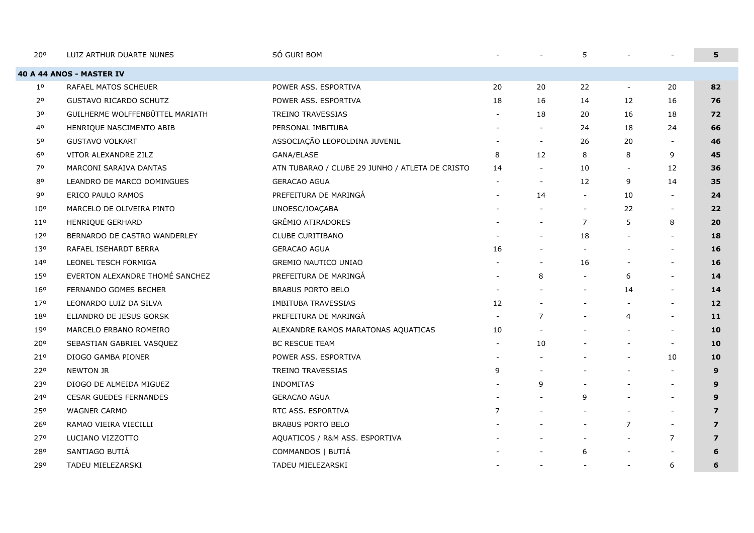| 20°             | LUIZ ARTHUR DUARTE NUNES        | SÓ GURI BOM                                     |                          |                          | 5                        |                          |                          | 5              |
|-----------------|---------------------------------|-------------------------------------------------|--------------------------|--------------------------|--------------------------|--------------------------|--------------------------|----------------|
|                 | <b>40 A 44 ANOS - MASTER IV</b> |                                                 |                          |                          |                          |                          |                          |                |
| $1^{\circ}$     | RAFAEL MATOS SCHEUER            | POWER ASS. ESPORTIVA                            | 20                       | 20                       | 22                       | $\overline{\phantom{a}}$ | 20                       | 82             |
| $2^{\circ}$     | <b>GUSTAVO RICARDO SCHUTZ</b>   | POWER ASS. ESPORTIVA                            | 18                       | 16                       | 14                       | 12                       | 16                       | 76             |
| 30              | GUILHERME WOLFFENBÜTTEL MARIATH | TREINO TRAVESSIAS                               |                          | 18                       | 20                       | 16                       | 18                       | 72             |
| 40              | HENRIQUE NASCIMENTO ABIB        | PERSONAL IMBITUBA                               |                          |                          | 24                       | 18                       | 24                       | 66             |
| 50              | <b>GUSTAVO VOLKART</b>          | ASSOCIAÇÃO LEOPOLDINA JUVENIL                   |                          | $\sim$                   | 26                       | 20                       | $\blacksquare$           | 46             |
| 6 <sup>o</sup>  | VITOR ALEXANDRE ZILZ            | GANA/ELASE                                      | 8                        | 12                       | 8                        | 8                        | 9                        | 45             |
| 70              | MARCONI SARAIVA DANTAS          | ATN TUBARAO / CLUBE 29 JUNHO / ATLETA DE CRISTO | 14                       |                          | 10                       | $\overline{\phantom{a}}$ | 12                       | 36             |
| 80              | LEANDRO DE MARCO DOMINGUES      | <b>GERACAO AGUA</b>                             |                          |                          | 12                       | 9                        | 14                       | 35             |
| 90              | ERICO PAULO RAMOS               | PREFEITURA DE MARINGÁ                           |                          | 14                       | $\blacksquare$           | 10                       | $\overline{a}$           | 24             |
| 10 <sup>o</sup> | MARCELO DE OLIVEIRA PINTO       | UNOESC/JOAÇABA                                  |                          |                          | $\overline{\phantom{a}}$ | 22                       | $\overline{\phantom{a}}$ | 22             |
| 11 <sup>°</sup> | HENRIQUE GERHARD                | <b>GRÊMIO ATIRADORES</b>                        |                          |                          | $\overline{7}$           | 5                        | 8                        | 20             |
| 120             | BERNARDO DE CASTRO WANDERLEY    | CLUBE CURITIBANO                                |                          |                          | 18                       |                          |                          | 18             |
| 130             | RAFAEL ISEHARDT BERRA           | <b>GERACAO AGUA</b>                             | 16                       |                          | $\overline{\phantom{a}}$ |                          | $\overline{\phantom{0}}$ | 16             |
| 140             | LEONEL TESCH FORMIGA            | GREMIO NAUTICO UNIAO                            |                          |                          | 16                       | $\overline{\phantom{a}}$ | $\blacksquare$           | 16             |
| 150             | EVERTON ALEXANDRE THOMÉ SANCHEZ | PREFEITURA DE MARINGÁ                           | $\overline{\phantom{a}}$ | 8                        |                          | 6                        | $\overline{\phantom{0}}$ | 14             |
| 16 <sup>o</sup> | FERNANDO GOMES BECHER           | <b>BRABUS PORTO BELO</b>                        |                          |                          | $\overline{\phantom{a}}$ | 14                       | $\blacksquare$           | 14             |
| 170             | LEONARDO LUIZ DA SILVA          | IMBITUBA TRAVESSIAS                             | 12                       |                          |                          |                          |                          | 12             |
| 180             | ELIANDRO DE JESUS GORSK         | PREFEITURA DE MARINGÁ                           |                          | $\overline{7}$           | $\overline{\phantom{a}}$ | 4                        | $\sim$                   | 11             |
| 190             | MARCELO ERBANO ROMEIRO          | ALEXANDRE RAMOS MARATONAS AQUATICAS             | 10                       |                          |                          | $\overline{\phantom{a}}$ | $\blacksquare$           | 10             |
| 20°             | SEBASTIAN GABRIEL VASQUEZ       | <b>BC RESCUE TEAM</b>                           | $\overline{\phantom{0}}$ | 10                       |                          | $\overline{\phantom{a}}$ | $\sim$                   | 10             |
| 210             | DIOGO GAMBA PIONER              | POWER ASS. ESPORTIVA                            |                          |                          |                          | $\overline{\phantom{a}}$ | 10                       | 10             |
| 220             | NEWTON JR                       | <b>TREINO TRAVESSIAS</b>                        | 9                        |                          |                          |                          |                          | 9              |
| 230             | DIOGO DE ALMEIDA MIGUEZ         | <b>INDOMITAS</b>                                |                          | 9                        |                          | $\overline{\phantom{a}}$ | $\overline{a}$           | 9              |
| 240             | <b>CESAR GUEDES FERNANDES</b>   | <b>GERACAO AGUA</b>                             |                          |                          | 9                        | $\overline{\phantom{a}}$ | $\blacksquare$           | 9              |
| 250             | <b>WAGNER CARMO</b>             | RTC ASS. ESPORTIVA                              | $\overline{7}$           |                          |                          | $\overline{\phantom{a}}$ | $\overline{a}$           | $\overline{7}$ |
| 260             | RAMAO VIEIRA VIECILLI           | <b>BRABUS PORTO BELO</b>                        |                          |                          | $\overline{\phantom{a}}$ | $\overline{7}$           | $\blacksquare$           | $\overline{z}$ |
| 270             | LUCIANO VIZZOTTO                | AQUATICOS / R&M ASS. ESPORTIVA                  |                          |                          | $\overline{\phantom{a}}$ | $\overline{\phantom{a}}$ | $\overline{7}$           | $\overline{z}$ |
| 280             | SANTIAGO BUTIÁ                  | COMMANDOS   BUTIÁ                               |                          |                          | 6                        |                          |                          | 6              |
| 290             | TADEU MIELEZARSKI               | TADEU MIELEZARSKI                               |                          | $\overline{\phantom{a}}$ | $\overline{\phantom{a}}$ | $\overline{\phantom{a}}$ | 6                        | 6              |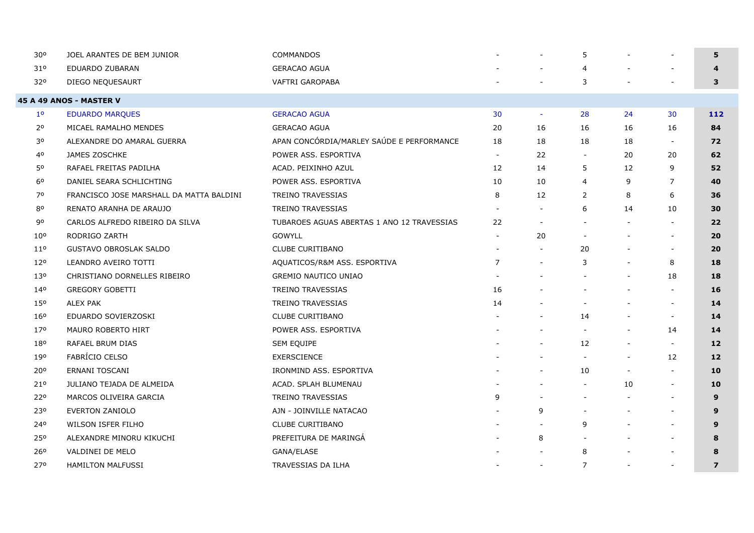| 30 <sup>o</sup> | JOEL ARANTES DE BEM JUNIOR               | <b>COMMANDOS</b>                           |                |    | 5                        |                          |                          | 5                       |
|-----------------|------------------------------------------|--------------------------------------------|----------------|----|--------------------------|--------------------------|--------------------------|-------------------------|
| 310             | EDUARDO ZUBARAN                          | <b>GERACAO AGUA</b>                        |                |    | 4                        |                          |                          | $\overline{\mathbf{4}}$ |
| 320             | DIEGO NEQUESAURT                         | VAFTRI GAROPABA                            |                |    | 3                        |                          |                          | 3                       |
|                 | 45 A 49 ANOS - MASTER V                  |                                            |                |    |                          |                          |                          |                         |
| $1^{\circ}$     | <b>EDUARDO MARQUES</b>                   | <b>GERACAO AGUA</b>                        | 30             |    | 28                       | 24                       | 30                       | 112                     |
| $2^{\circ}$     | MICAEL RAMALHO MENDES                    | <b>GERACAO AGUA</b>                        | 20             | 16 | 16                       | 16                       | 16                       | 84                      |
| 30              | ALEXANDRE DO AMARAL GUERRA               | APAN CONCÓRDIA/MARLEY SAÚDE E PERFORMANCE  | 18             | 18 | 18                       | 18                       | $\overline{\phantom{a}}$ | 72                      |
| 40              | JAMES ZOSCHKE                            | POWER ASS. ESPORTIVA                       | $\blacksquare$ | 22 | $\overline{\phantom{a}}$ | 20                       | 20                       | 62                      |
| 50              | RAFAEL FREITAS PADILHA                   | ACAD. PEIXINHO AZUL                        | 12             | 14 | 5                        | 12                       | 9                        | 52                      |
| 6 <sup>o</sup>  | DANIEL SEARA SCHLICHTING                 | POWER ASS. ESPORTIVA                       | 10             | 10 | $\overline{4}$           | 9                        | 7                        | 40                      |
| 70              | FRANCISCO JOSE MARSHALL DA MATTA BALDINI | TREINO TRAVESSIAS                          | 8              | 12 | $\overline{2}$           | 8                        | 6                        | 36                      |
| 80              | RENATO ARANHA DE ARAUJO                  | <b>TREINO TRAVESSIAS</b>                   |                |    | 6                        | 14                       | 10                       | 30                      |
| 90              | CARLOS ALFREDO RIBEIRO DA SILVA          | TUBAROES AGUAS ABERTAS 1 ANO 12 TRAVESSIAS | 22             |    | $\sim$                   |                          |                          | 22                      |
| $10^{\circ}$    | RODRIGO ZARTH                            | <b>GOWYLL</b>                              |                | 20 | $\blacksquare$           |                          | $\overline{\phantom{a}}$ | 20                      |
| 11 <sup>o</sup> | <b>GUSTAVO OBROSLAK SALDO</b>            | <b>CLUBE CURITIBANO</b>                    |                |    | 20                       |                          | $\overline{\phantom{a}}$ | 20                      |
| 120             | LEANDRO AVEIRO TOTTI                     | AQUATICOS/R&M ASS. ESPORTIVA               | $\overline{7}$ |    | 3                        |                          | 8                        | 18                      |
| 130             | CHRISTIANO DORNELLES RIBEIRO             | <b>GREMIO NAUTICO UNIAO</b>                |                |    | $\overline{\phantom{a}}$ |                          | 18                       | 18                      |
| 140             | <b>GREGORY GOBETTI</b>                   | TREINO TRAVESSIAS                          | 16             |    | $\overline{\phantom{a}}$ | $\blacksquare$           | $\sim$                   | 16                      |
| 150             | <b>ALEX PAK</b>                          | TREINO TRAVESSIAS                          | 14             |    | $\blacksquare$           |                          | $\overline{\phantom{a}}$ | 14                      |
| 16 <sup>o</sup> | EDUARDO SOVIERZOSKI                      | <b>CLUBE CURITIBANO</b>                    |                |    | 14                       |                          | $\overline{\phantom{a}}$ | 14                      |
| 170             | MAURO ROBERTO HIRT                       | POWER ASS. ESPORTIVA                       |                |    | $\overline{\phantom{a}}$ |                          | 14                       | 14                      |
| 180             | RAFAEL BRUM DIAS                         | SEM EQUIPE                                 |                |    | 12                       | $\overline{\phantom{a}}$ | $\overline{\phantom{a}}$ | $12 \overline{ }$       |
| 190             | <b>FABRÍCIO CELSO</b>                    | <b>EXERSCIENCE</b>                         |                |    | $\overline{\phantom{a}}$ | $\overline{\phantom{a}}$ | 12                       | 12                      |
| 20°             | ERNANI TOSCANI                           | IRONMIND ASS. ESPORTIVA                    |                |    | 10                       |                          | $\overline{\phantom{a}}$ | 10                      |
| 210             | JULIANO TEJADA DE ALMEIDA                | ACAD. SPLAH BLUMENAU                       |                |    | $\overline{\phantom{a}}$ | 10                       | $\overline{\phantom{a}}$ | 10                      |
| 22°             | MARCOS OLIVEIRA GARCIA                   | TREINO TRAVESSIAS                          | 9              |    | $\sim$                   |                          | $\overline{\phantom{a}}$ | 9                       |
| 230             | EVERTON ZANIOLO                          | AJN - JOINVILLE NATACAO                    |                | 9  | $\sim$                   |                          | $\overline{\phantom{a}}$ | 9                       |
| 240             | WILSON ISFER FILHO                       | <b>CLUBE CURITIBANO</b>                    |                |    | 9                        |                          | $\overline{\phantom{a}}$ | 9                       |
| 250             | ALEXANDRE MINORU KIKUCHI                 | PREFEITURA DE MARINGÁ                      |                | 8  | $\blacksquare$           |                          | $\overline{\phantom{a}}$ | 8                       |
| 26°             | VALDINEI DE MELO                         | GANA/ELASE                                 |                |    | 8                        |                          |                          | 8                       |
| 270             | <b>HAMILTON MALFUSSI</b>                 | TRAVESSIAS DA ILHA                         |                |    | $\overline{7}$           | $\blacksquare$           | $\overline{\phantom{a}}$ | $\overline{7}$          |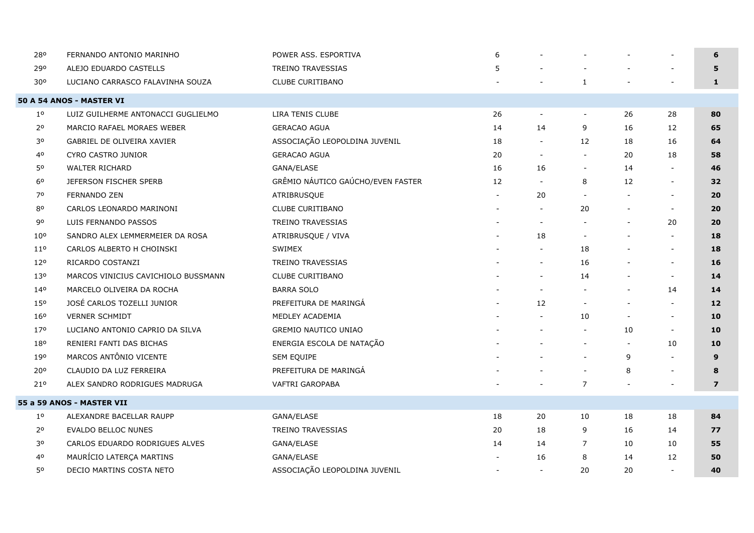| 280             | FERNANDO ANTONIO MARINHO            | POWER ASS. ESPORTIVA              | 6                        |                          |                          |    |                          | 6                 |
|-----------------|-------------------------------------|-----------------------------------|--------------------------|--------------------------|--------------------------|----|--------------------------|-------------------|
| 290             | ALEJO EDUARDO CASTELLS              | <b>TREINO TRAVESSIAS</b>          | 5                        |                          |                          |    |                          | 5                 |
| 30°             | LUCIANO CARRASCO FALAVINHA SOUZA    | <b>CLUBE CURITIBANO</b>           |                          |                          | $\mathbf{1}$             |    |                          | $\mathbf{1}$      |
|                 | <b>50 A 54 ANOS - MASTER VI</b>     |                                   |                          |                          |                          |    |                          |                   |
| $1^{\circ}$     | LUIZ GUILHERME ANTONACCI GUGLIELMO  | LIRA TENIS CLUBE                  | 26                       |                          | $\blacksquare$           | 26 | 28                       | 80                |
| 2 <sup>o</sup>  | MARCIO RAFAEL MORAES WEBER          | <b>GERACAO AGUA</b>               | 14                       | 14                       | 9                        | 16 | 12                       | 65                |
| 30              | GABRIEL DE OLIVEIRA XAVIER          | ASSOCIAÇÃO LEOPOLDINA JUVENIL     | 18                       | $\overline{\phantom{a}}$ | 12                       | 18 | 16                       | 64                |
| 4 <sup>o</sup>  | CYRO CASTRO JUNIOR                  | <b>GERACAO AGUA</b>               | 20                       | $\overline{\phantom{a}}$ | $\overline{\phantom{a}}$ | 20 | 18                       | 58                |
| 50              | <b>WALTER RICHARD</b>               | GANA/ELASE                        | 16                       | 16                       | $\overline{\phantom{a}}$ | 14 |                          | 46                |
| 60              | JEFERSON FISCHER SPERB              | GRÊMIO NÁUTICO GAÚCHO/EVEN FASTER | 12                       | $\overline{\phantom{a}}$ | 8                        | 12 | $\overline{\phantom{a}}$ | 32                |
| 70              | <b>FERNANDO ZEN</b>                 | ATRIBRUSQUE                       |                          | 20                       | $\blacksquare$           |    | $\overline{\phantom{a}}$ | 20                |
| 80              | CARLOS LEONARDO MARINONI            | <b>CLUBE CURITIBANO</b>           |                          | $\overline{\phantom{a}}$ | 20                       |    | $\overline{\phantom{a}}$ | 20                |
| 90              | LUIS FERNANDO PASSOS                | <b>TREINO TRAVESSIAS</b>          |                          | $\sim$                   |                          |    | 20                       | 20                |
| 10 <sup>o</sup> | SANDRO ALEX LEMMERMEIER DA ROSA     | ATRIBRUSQUE / VIVA                |                          | 18                       | $\overline{\phantom{a}}$ |    | $\overline{\phantom{a}}$ | 18                |
| $11^{\circ}$    | CARLOS ALBERTO H CHOINSKI           | SWIMEX                            |                          | $\sim$                   | 18                       |    | $\overline{\phantom{a}}$ | 18                |
| 12°             | RICARDO COSTANZI                    | <b>TREINO TRAVESSIAS</b>          |                          | $\overline{\phantom{a}}$ | 16                       |    | $\overline{\phantom{a}}$ | 16                |
| 130             | MARCOS VINICIUS CAVICHIOLO BUSSMANN | CLUBE CURITIBANO                  |                          | $\sim$                   | 14                       |    | $\sim$                   | 14                |
| 140             | MARCELO OLIVEIRA DA ROCHA           | <b>BARRA SOLO</b>                 |                          | $\overline{\phantom{a}}$ | $\overline{\phantom{a}}$ |    | 14                       | 14                |
| 15 <sup>o</sup> | JOSÉ CARLOS TOZELLI JUNIOR          | PREFEITURA DE MARINGÁ             |                          | 12                       | $\overline{\phantom{a}}$ |    | $\overline{\phantom{a}}$ | $12 \overline{ }$ |
| 160             | <b>VERNER SCHMIDT</b>               | MEDLEY ACADEMIA                   |                          |                          | 10                       |    | $\overline{\phantom{a}}$ | 10                |
| 17°             | LUCIANO ANTONIO CAPRIO DA SILVA     | <b>GREMIO NAUTICO UNIAO</b>       |                          |                          | $\overline{\phantom{a}}$ | 10 | $\overline{\phantom{a}}$ | 10                |
| 180             | RENIERI FANTI DAS BICHAS            | ENERGIA ESCOLA DE NATAÇÃO         |                          |                          | $\overline{\phantom{a}}$ |    | 10                       | 10                |
| 190             | MARCOS ANTÔNIO VICENTE              | SEM EQUIPE                        |                          |                          | $\overline{\phantom{a}}$ | 9  | $\overline{\phantom{a}}$ | 9                 |
| 200             | CLAUDIO DA LUZ FERREIRA             | PREFEITURA DE MARINGÁ             |                          |                          | $\overline{\phantom{a}}$ | 8  | $\overline{\phantom{a}}$ | 8                 |
| 210             | ALEX SANDRO RODRIGUES MADRUGA       | VAFTRI GAROPABA                   |                          |                          | $\overline{7}$           |    |                          | $\overline{z}$    |
|                 | 55 a 59 ANOS - MASTER VII           |                                   |                          |                          |                          |    |                          |                   |
| $1^{\circ}$     | ALEXANDRE BACELLAR RAUPP            | GANA/ELASE                        | 18                       | 20                       | 10                       | 18 | 18                       | 84                |
| 2 <sup>o</sup>  | <b>EVALDO BELLOC NUNES</b>          | <b>TREINO TRAVESSIAS</b>          | 20                       | 18                       | 9                        | 16 | 14                       | 77                |
| 30              | CARLOS EDUARDO RODRIGUES ALVES      | GANA/ELASE                        | 14                       | 14                       | 7                        | 10 | 10                       | 55                |
| 40              | MAURÍCIO LATERÇA MARTINS            | GANA/ELASE                        |                          | 16                       | 8                        | 14 | 12                       | 50                |
| 50              | DECIO MARTINS COSTA NETO            | ASSOCIAÇÃO LEOPOLDINA JUVENIL     | $\overline{\phantom{a}}$ | $\sim$                   | 20                       | 20 | $\sim$                   | 40                |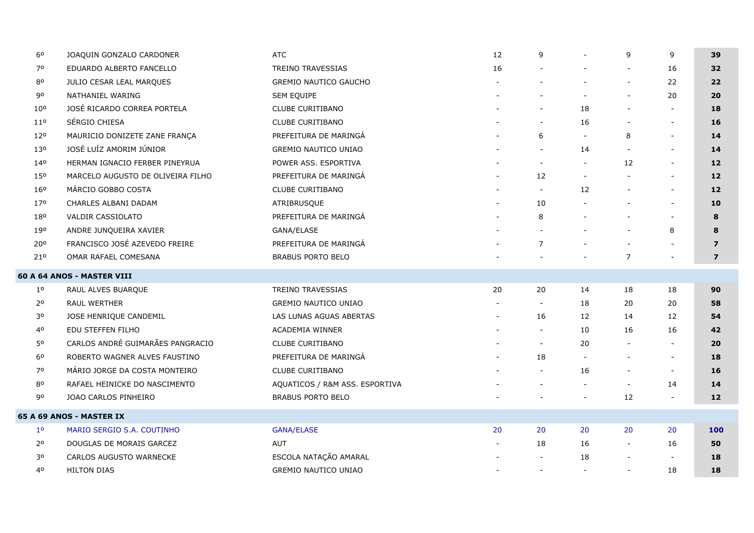| 60              | JOAQUIN GONZALO CARDONER          | <b>ATC</b>                     | 12 | 9                        |                          | 9              | 9                        | 39                      |
|-----------------|-----------------------------------|--------------------------------|----|--------------------------|--------------------------|----------------|--------------------------|-------------------------|
| 70              | EDUARDO ALBERTO FANCELLO          | <b>TREINO TRAVESSIAS</b>       | 16 |                          |                          |                | 16                       | 32                      |
| 80              | <b>JULIO CESAR LEAL MARQUES</b>   | <b>GREMIO NAUTICO GAUCHO</b>   |    |                          |                          |                | 22                       | 22                      |
| 90              | NATHANIEL WARING                  | SEM EQUIPE                     |    |                          |                          |                | 20                       | 20                      |
| 10 <sup>o</sup> | JOSÉ RICARDO CORREA PORTELA       | <b>CLUBE CURITIBANO</b>        |    | $\overline{\phantom{a}}$ | 18                       |                | $\overline{\phantom{a}}$ | 18                      |
| 11 <sup>o</sup> | SÉRGIO CHIESA                     | CLUBE CURITIBANO               |    | $\sim$                   | 16                       |                | $\sim$                   | 16                      |
| 120             | MAURICIO DONIZETE ZANE FRANÇA     | PREFEITURA DE MARINGÁ          |    | 6                        | $\sim$                   | 8              | $\overline{\phantom{a}}$ | 14                      |
| 130             | JOSÉ LUÍZ AMORIM JÚNIOR           | <b>GREMIO NAUTICO UNIAO</b>    |    |                          | 14                       |                | $\blacksquare$           | 14                      |
| 140             | HERMAN IGNACIO FERBER PINEYRUA    | POWER ASS. ESPORTIVA           |    |                          | $\overline{\phantom{a}}$ | 12             | $\overline{\phantom{a}}$ | 12                      |
| 15 <sup>o</sup> | MARCELO AUGUSTO DE OLIVEIRA FILHO | PREFEITURA DE MARINGA          |    | 12                       | $\overline{\phantom{a}}$ |                | $\overline{\phantom{a}}$ | $12 \overline{ }$       |
| 160             | MÁRCIO GOBBO COSTA                | CLUBE CURITIBANO               |    | $\overline{\phantom{a}}$ | 12                       |                | $\overline{\phantom{a}}$ | $12 \overline{ }$       |
| 17°             | CHARLES ALBANI DADAM              | ATRIBRUSQUE                    |    | 10                       |                          |                | $\overline{\phantom{a}}$ | 10                      |
| 180             | <b>VALDIR CASSIOLATO</b>          | PREFEITURA DE MARINGÁ          |    | 8                        |                          |                | $\sim$                   | 8                       |
| 190             | ANDRE JUNQUEIRA XAVIER            | GANA/ELASE                     |    |                          |                          |                | 8                        | 8                       |
| 20°             | FRANCISCO JOSÉ AZEVEDO FREIRE     | PREFEITURA DE MARINGA          |    | 7                        |                          |                |                          | $\overline{7}$          |
| 210             | OMAR RAFAEL COMESANA              | <b>BRABUS PORTO BELO</b>       |    |                          |                          | $\overline{7}$ |                          | $\overline{\mathbf{z}}$ |
|                 | 60 A 64 ANOS - MASTER VIII        |                                |    |                          |                          |                |                          |                         |
| $1^{\circ}$     | RAUL ALVES BUARQUE                | <b>TREINO TRAVESSIAS</b>       | 20 | 20                       | 14                       | 18             | 18                       | 90                      |
| 2 <sup>o</sup>  | <b>RAUL WERTHER</b>               | <b>GREMIO NAUTICO UNIAO</b>    |    | $\sim$                   | 18                       | 20             | 20                       | 58                      |
| 30              | JOSE HENRIQUE CANDEMIL            | LAS LUNAS AGUAS ABERTAS        |    | 16                       | $12 \overline{ }$        | 14             | 12                       | 54                      |
| 4 <sup>o</sup>  | EDU STEFFEN FILHO                 | <b>ACADEMIA WINNER</b>         |    | $\sim$                   | 10                       | 16             | 16                       | 42                      |
| 50              | CARLOS ANDRÉ GUIMARÃES PANGRACIO  | CLUBE CURITIBANO               |    | $\overline{\phantom{a}}$ | 20                       |                | $\overline{\phantom{a}}$ | 20                      |
| 6 <sup>o</sup>  | ROBERTO WAGNER ALVES FAUSTINO     | PREFEITURA DE MARINGA          |    | 18                       | $\blacksquare$           |                | $\overline{\phantom{a}}$ | 18                      |
| 70              | MÁRIO JORGE DA COSTA MONTEIRO     | CLUBE CURITIBANO               |    | $\overline{\phantom{a}}$ | 16                       |                | $\overline{\phantom{a}}$ | 16                      |
| 80              | RAFAEL HEINICKE DO NASCIMENTO     | AQUATICOS / R&M ASS. ESPORTIVA |    |                          | $\overline{\phantom{a}}$ |                | 14                       | 14                      |
| 90              | JOAO CARLOS PINHEIRO              | <b>BRABUS PORTO BELO</b>       |    |                          |                          | 12             | $\sim$                   | 12                      |
|                 | <b>65 A 69 ANOS - MASTER IX</b>   |                                |    |                          |                          |                |                          |                         |
| 1 <sup>0</sup>  | MARIO SERGIO S.A. COUTINHO        | <b>GANA/ELASE</b>              | 20 | 20                       | 20                       | 20             | 20                       | <b>100</b>              |
| $2^{\circ}$     | DOUGLAS DE MORAIS GARCEZ          | <b>AUT</b>                     |    | 18                       | 16                       |                | 16                       | 50                      |
| 30              | CARLOS AUGUSTO WARNECKE           | ESCOLA NATAÇÃO AMARAL          |    |                          | 18                       |                | $\overline{\phantom{a}}$ | 18                      |
| 40              | <b>HILTON DIAS</b>                | <b>GREMIO NAUTICO UNIAO</b>    |    | $\overline{\phantom{a}}$ | $\overline{\phantom{a}}$ |                | 18                       | 18                      |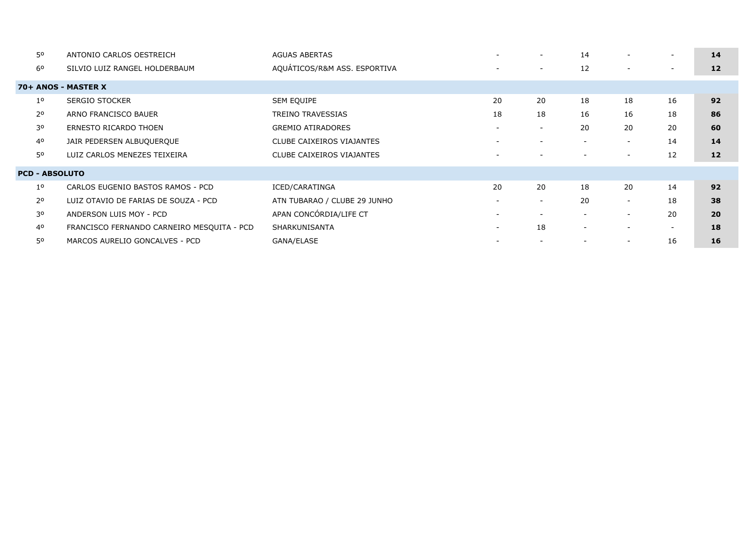| ANTONIO CARLOS OESTREICH                   | <b>AGUAS ABERTAS</b>         |                          | $\overline{\phantom{a}}$ | 14                       | $\overline{\phantom{a}}$ | $\overline{\phantom{a}}$ | 14 |
|--------------------------------------------|------------------------------|--------------------------|--------------------------|--------------------------|--------------------------|--------------------------|----|
| SILVIO LUIZ RANGEL HOLDERBAUM              | AQUÁTICOS/R&M ASS. ESPORTIVA | $\overline{\phantom{0}}$ | $\overline{\phantom{a}}$ | 12                       | $\overline{\phantom{a}}$ | $\overline{\phantom{a}}$ | 12 |
| 70+ ANOS - MASTER X                        |                              |                          |                          |                          |                          |                          |    |
| <b>SERGIO STOCKER</b>                      | <b>SEM EQUIPE</b>            | 20                       | 20                       | 18                       | 18                       | 16                       | 92 |
| ARNO FRANCISCO BAUER                       | TREINO TRAVESSIAS            | 18                       | 18                       | 16                       | 16                       | 18                       | 86 |
| ERNESTO RICARDO THOEN                      | <b>GREMIO ATIRADORES</b>     |                          | $\overline{\phantom{a}}$ | 20                       | 20                       | 20                       | 60 |
| JAIR PEDERSEN ALBUQUERQUE                  | CLUBE CAIXEIROS VIAJANTES    | $\sim$                   | $\sim$                   | $\overline{\phantom{0}}$ | $\overline{\phantom{a}}$ | 14                       | 14 |
| LUIZ CARLOS MENEZES TEIXEIRA               | CLUBE CAIXEIROS VIAJANTES    |                          |                          |                          | $\overline{\phantom{a}}$ | 12                       | 12 |
| <b>PCD - ABSOLUTO</b>                      |                              |                          |                          |                          |                          |                          |    |
| CARLOS EUGENIO BASTOS RAMOS - PCD          | ICED/CARATINGA               | 20                       | 20                       | 18                       | 20                       | 14                       | 92 |
| LUIZ OTAVIO DE FARIAS DE SOUZA - PCD       | ATN TUBARAO / CLUBE 29 JUNHO |                          | $\overline{\phantom{a}}$ | 20                       | $\overline{\phantom{a}}$ | 18                       | 38 |
| ANDERSON LUIS MOY - PCD                    | APAN CONCÓRDIA/LIFE CT       |                          | $\overline{\phantom{a}}$ |                          | $\overline{\phantom{a}}$ | 20                       | 20 |
| FRANCISCO FERNANDO CARNEIRO MESQUITA - PCD | SHARKUNISANTA                | $\sim$                   | 18                       | $\overline{\phantom{a}}$ | $\overline{\phantom{a}}$ | $\sim$                   | 18 |
| MARCOS AURELIO GONCALVES - PCD             | GANA/ELASE                   |                          |                          |                          | $\overline{\phantom{a}}$ | 16                       | 16 |
|                                            |                              |                          |                          |                          |                          |                          |    |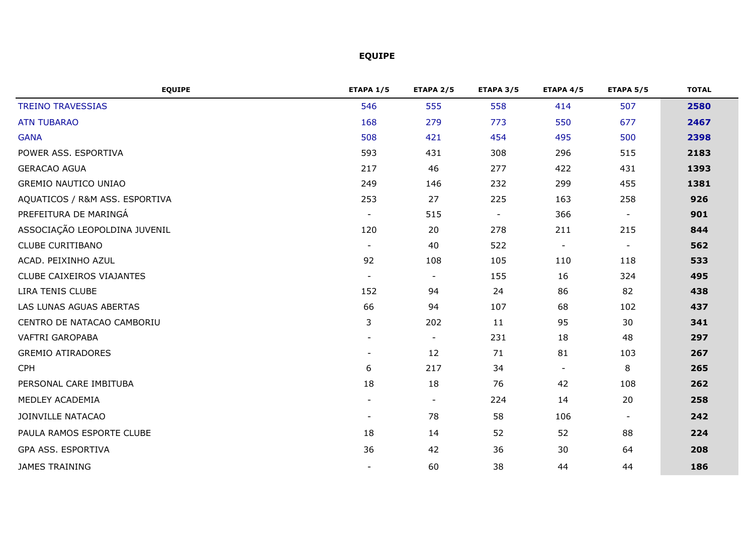## **EQUIPE**

| <b>EQUIPE</b>                  | <b>ETAPA 1/5</b> | <b>ETAPA 2/5</b> | <b>ETAPA 3/5</b> | <b>ETAPA 4/5</b> | <b>ETAPA 5/5</b> | <b>TOTAL</b> |
|--------------------------------|------------------|------------------|------------------|------------------|------------------|--------------|
| <b>TREINO TRAVESSIAS</b>       | 546              | 555              | 558              | 414              | 507              | 2580         |
| <b>ATN TUBARAO</b>             | 168              | 279              | 773              | 550              | 677              | 2467         |
| <b>GANA</b>                    | 508              | 421              | 454              | 495              | 500              | 2398         |
| POWER ASS. ESPORTIVA           | 593              | 431              | 308              | 296              | 515              | 2183         |
| <b>GERACAO AGUA</b>            | 217              | 46               | 277              | 422              | 431              | 1393         |
| <b>GREMIO NAUTICO UNIAO</b>    | 249              | 146              | 232              | 299              | 455              | 1381         |
| AQUATICOS / R&M ASS. ESPORTIVA | 253              | 27               | 225              | 163              | 258              | 926          |
| PREFEITURA DE MARINGÁ          |                  | 515              | $\blacksquare$   | 366              | $\blacksquare$   | 901          |
| ASSOCIAÇÃO LEOPOLDINA JUVENIL  | 120              | 20               | 278              | 211              | 215              | 844          |
| <b>CLUBE CURITIBANO</b>        | $\blacksquare$   | 40               | 522              | $\blacksquare$   | $\blacksquare$   | 562          |
| ACAD. PEIXINHO AZUL            | 92               | 108              | 105              | 110              | 118              | 533          |
| CLUBE CAIXEIROS VIAJANTES      |                  |                  | 155              | 16               | 324              | 495          |
| LIRA TENIS CLUBE               | 152              | 94               | 24               | 86               | 82               | 438          |
| LAS LUNAS AGUAS ABERTAS        | 66               | 94               | 107              | 68               | 102              | 437          |
| CENTRO DE NATACAO CAMBORIU     | 3                | 202              | 11               | 95               | 30               | 341          |
| <b>VAFTRI GAROPABA</b>         |                  |                  | 231              | 18               | 48               | 297          |
| <b>GREMIO ATIRADORES</b>       |                  | 12               | 71               | 81               | 103              | 267          |
| <b>CPH</b>                     | 6                | 217              | 34               | $\sim$           | 8                | 265          |
| PERSONAL CARE IMBITUBA         | 18               | 18               | 76               | 42               | 108              | 262          |
| MEDLEY ACADEMIA                | $\blacksquare$   | $\blacksquare$   | 224              | 14               | 20               | 258          |
| JOINVILLE NATACAO              | $\blacksquare$   | 78               | 58               | 106              | $\blacksquare$   | 242          |
| PAULA RAMOS ESPORTE CLUBE      | 18               | 14               | 52               | 52               | 88               | 224          |
| GPA ASS. ESPORTIVA             | 36               | 42               | 36               | 30               | 64               | 208          |
| JAMES TRAINING                 |                  | 60               | 38               | 44               | 44               | 186          |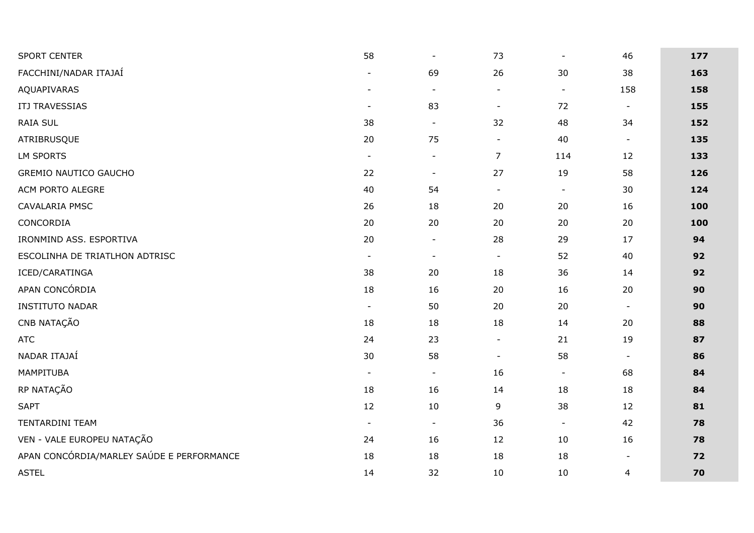| <b>SPORT CENTER</b>                       | 58             | $\blacksquare$ | 73             | $\overline{\phantom{a}}$     | 46                       | 177 |
|-------------------------------------------|----------------|----------------|----------------|------------------------------|--------------------------|-----|
| FACCHINI/NADAR ITAJAÍ                     | $\blacksquare$ | 69             | 26             | 30                           | 38                       | 163 |
| AQUAPIVARAS                               | $\blacksquare$ | $\blacksquare$ | $\blacksquare$ | $\qquad \qquad \blacksquare$ | 158                      | 158 |
| <b>ITJ TRAVESSIAS</b>                     | $\blacksquare$ | 83             | $\blacksquare$ | 72                           | $\blacksquare$           | 155 |
| RAIA SUL                                  | 38             | $\blacksquare$ | 32             | 48                           | 34                       | 152 |
| ATRIBRUSQUE                               | 20             | 75             | $\blacksquare$ | 40                           | $\blacksquare$           | 135 |
| LM SPORTS                                 | $\blacksquare$ | $\blacksquare$ | $\overline{7}$ | 114                          | 12                       | 133 |
| <b>GREMIO NAUTICO GAUCHO</b>              | 22             | $\blacksquare$ | 27             | 19                           | 58                       | 126 |
| ACM PORTO ALEGRE                          | 40             | 54             | $\blacksquare$ | $\blacksquare$               | 30                       | 124 |
| CAVALARIA PMSC                            | 26             | 18             | 20             | 20                           | 16                       | 100 |
| CONCORDIA                                 | 20             | 20             | 20             | 20                           | 20                       | 100 |
| IRONMIND ASS. ESPORTIVA                   | 20             | $\blacksquare$ | 28             | 29                           | 17                       | 94  |
| ESCOLINHA DE TRIATLHON ADTRISC            | $\blacksquare$ | $\blacksquare$ | $\blacksquare$ | 52                           | 40                       | 92  |
| ICED/CARATINGA                            | 38             | 20             | 18             | 36                           | 14                       | 92  |
| APAN CONCÓRDIA                            | 18             | 16             | 20             | 16                           | 20                       | 90  |
| <b>INSTITUTO NADAR</b>                    | $\blacksquare$ | 50             | 20             | 20                           | $\blacksquare$           | 90  |
| CNB NATAÇÃO                               | 18             | 18             | 18             | 14                           | 20                       | 88  |
| <b>ATC</b>                                | 24             | 23             | $\blacksquare$ | 21                           | 19                       | 87  |
| NADAR ITAJAÍ                              | 30             | 58             | $\blacksquare$ | 58                           | $\blacksquare$           | 86  |
| MAMPITUBA                                 | $\blacksquare$ | $\blacksquare$ | 16             | $\blacksquare$               | 68                       | 84  |
| RP NATAÇÃO                                | 18             | 16             | 14             | 18                           | 18                       | 84  |
| <b>SAPT</b>                               | $12$           | 10             | 9              | 38                           | 12                       | 81  |
| TENTARDINI TEAM                           | $\blacksquare$ | $\blacksquare$ | 36             | $\blacksquare$               | 42                       | 78  |
| VEN - VALE EUROPEU NATAÇÃO                | 24             | 16             | 12             | 10                           | 16                       | 78  |
| APAN CONCÓRDIA/MARLEY SAÚDE E PERFORMANCE | 18             | 18             | 18             | 18                           | $\overline{\phantom{a}}$ | 72  |
| <b>ASTEL</b>                              | 14             | 32             | 10             | 10                           | $\overline{4}$           | 70  |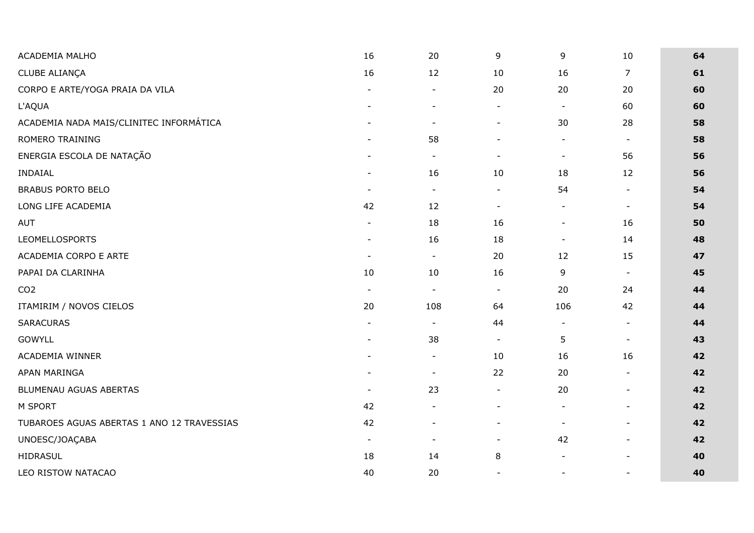| ACADEMIA MALHO                             | 16                           | 20             | 9              | 9                            | 10                       | 64 |
|--------------------------------------------|------------------------------|----------------|----------------|------------------------------|--------------------------|----|
| CLUBE ALIANÇA                              | 16                           | 12             | 10             | 16                           | $\overline{7}$           | 61 |
| CORPO E ARTE/YOGA PRAIA DA VILA            | $\overline{a}$               | $\blacksquare$ | 20             | 20                           | 20                       | 60 |
| L'AQUA                                     |                              |                | $\blacksquare$ | $\blacksquare$               | 60                       | 60 |
| ACADEMIA NADA MAIS/CLINITEC INFORMÁTICA    |                              | $\blacksquare$ | $\blacksquare$ | 30                           | 28                       | 58 |
| ROMERO TRAINING                            |                              | 58             |                | $\blacksquare$               | $\blacksquare$           | 58 |
| ENERGIA ESCOLA DE NATAÇÃO                  |                              | $\blacksquare$ | $\blacksquare$ | $\blacksquare$               | 56                       | 56 |
| <b>INDAIAL</b>                             | $\overline{\phantom{a}}$     | 16             | 10             | 18                           | 12                       | 56 |
| <b>BRABUS PORTO BELO</b>                   | $\blacksquare$               | $\blacksquare$ | $\blacksquare$ | 54                           | $\overline{\phantom{a}}$ | 54 |
| LONG LIFE ACADEMIA                         | 42                           | 12             | $\blacksquare$ | $\blacksquare$               | $\blacksquare$           | 54 |
| <b>AUT</b>                                 | $\qquad \qquad \blacksquare$ | 18             | 16             | $\qquad \qquad \blacksquare$ | 16                       | 50 |
| <b>LEOMELLOSPORTS</b>                      | $\overline{\phantom{a}}$     | 16             | 18             | $\blacksquare$               | 14                       | 48 |
| ACADEMIA CORPO E ARTE                      | $\blacksquare$               | $\blacksquare$ | 20             | 12                           | 15                       | 47 |
| PAPAI DA CLARINHA                          | 10                           | 10             | 16             | 9                            | $\blacksquare$           | 45 |
| CO <sub>2</sub>                            | $\blacksquare$               | $\blacksquare$ | $\blacksquare$ | 20                           | 24                       | 44 |
| ITAMIRIM / NOVOS CIELOS                    | 20                           | 108            | 64             | 106                          | 42                       | 44 |
| <b>SARACURAS</b>                           | $\overline{\phantom{a}}$     | $\blacksquare$ | 44             | $\blacksquare$               | $\blacksquare$           | 44 |
| <b>GOWYLL</b>                              | $\overline{a}$               | 38             | $\blacksquare$ | 5                            | $\blacksquare$           | 43 |
| ACADEMIA WINNER                            | $\blacksquare$               | $\blacksquare$ | 10             | 16                           | 16                       | 42 |
| APAN MARINGA                               | $\overline{\phantom{0}}$     | $\blacksquare$ | 22             | 20                           | $\blacksquare$           | 42 |
| BLUMENAU AGUAS ABERTAS                     | $\blacksquare$               | 23             |                | 20                           | $\overline{\phantom{a}}$ | 42 |
| M SPORT                                    | 42                           |                |                | $\overline{a}$               | $\blacksquare$           | 42 |
| TUBAROES AGUAS ABERTAS 1 ANO 12 TRAVESSIAS | 42                           |                |                | $\overline{a}$               | $\overline{\phantom{a}}$ | 42 |
| UNOESC/JOAÇABA                             | $\blacksquare$               | $\blacksquare$ |                | 42                           | $\blacksquare$           | 42 |
| HIDRASUL                                   | 18                           | 14             | $\, 8$         | $\blacksquare$               | $\blacksquare$           | 40 |
| LEO RISTOW NATACAO                         | 40                           | 20             |                |                              |                          | 40 |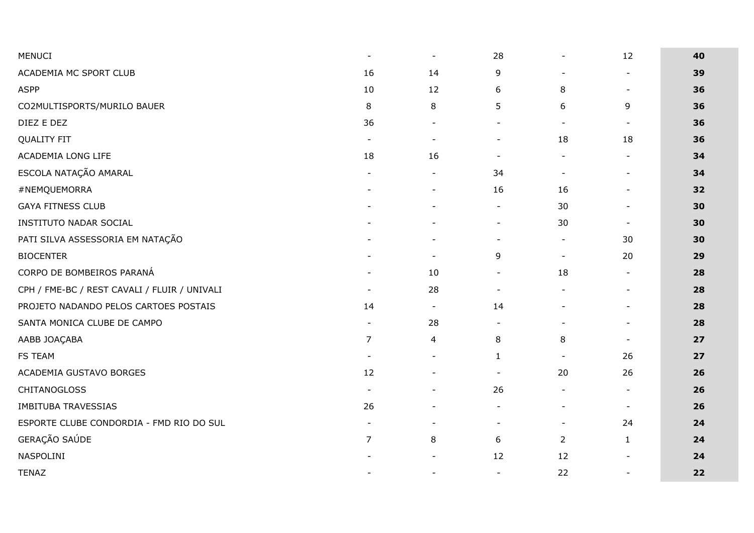| <b>MENUCI</b>                                | $\blacksquare$ | $\blacksquare$           | 28             | $\overline{\phantom{a}}$ | 12                           | 40 |
|----------------------------------------------|----------------|--------------------------|----------------|--------------------------|------------------------------|----|
| ACADEMIA MC SPORT CLUB                       | 16             | 14                       | 9              | $\overline{a}$           | $\qquad \qquad \blacksquare$ | 39 |
| <b>ASPP</b>                                  | 10             | 12                       | 6              | 8                        | $\blacksquare$               | 36 |
| CO2MULTISPORTS/MURILO BAUER                  | $\,8\,$        | 8                        | 5              | 6                        | 9                            | 36 |
| DIEZ E DEZ                                   | 36             | $\blacksquare$           | $\blacksquare$ | $\blacksquare$           | $\blacksquare$               | 36 |
| <b>QUALITY FIT</b>                           | $\blacksquare$ | $\overline{\phantom{a}}$ | $\blacksquare$ | 18                       | 18                           | 36 |
| ACADEMIA LONG LIFE                           | 18             | 16                       | $\blacksquare$ | $\blacksquare$           | $\blacksquare$               | 34 |
| ESCOLA NATAÇÃO AMARAL                        |                | $\blacksquare$           | 34             | $\blacksquare$           | $\overline{\phantom{a}}$     | 34 |
| #NEMQUEMORRA                                 |                | $\overline{\phantom{0}}$ | 16             | 16                       | $\blacksquare$               | 32 |
| <b>GAYA FITNESS CLUB</b>                     |                |                          | $\blacksquare$ | 30                       | $\blacksquare$               | 30 |
| <b>INSTITUTO NADAR SOCIAL</b>                |                |                          | $\blacksquare$ | 30                       | $\blacksquare$               | 30 |
| PATI SILVA ASSESSORIA EM NATAÇÃO             |                |                          | $\blacksquare$ | $\blacksquare$           | 30                           | 30 |
| <b>BIOCENTER</b>                             |                | $\blacksquare$           | 9              | $\blacksquare$           | 20                           | 29 |
| CORPO DE BOMBEIROS PARANÁ                    |                | 10                       | $\blacksquare$ | 18                       | $\sim$                       | 28 |
| CPH / FME-BC / REST CAVALI / FLUIR / UNIVALI |                | 28                       | $\blacksquare$ | $\blacksquare$           | $\overline{\phantom{a}}$     | 28 |
| PROJETO NADANDO PELOS CARTOES POSTAIS        | 14             | $\blacksquare$           | 14             | $\overline{\phantom{a}}$ | $\blacksquare$               | 28 |
| SANTA MONICA CLUBE DE CAMPO                  | $\blacksquare$ | 28                       | $\blacksquare$ |                          | $\sim$                       | 28 |
| AABB JOAÇABA                                 | $\overline{7}$ | 4                        | 8              | 8                        | $\blacksquare$               | 27 |
| <b>FS TEAM</b>                               | $\blacksquare$ | $\blacksquare$           | $\mathbf{1}$   | $\sim$                   | 26                           | 27 |
| ACADEMIA GUSTAVO BORGES                      | 12             | $\blacksquare$           | $\blacksquare$ | 20                       | 26                           | 26 |
| <b>CHITANOGLOSS</b>                          | $\blacksquare$ |                          | 26             | $\overline{\phantom{a}}$ | $\blacksquare$               | 26 |
| <b>IMBITUBA TRAVESSIAS</b>                   | 26             |                          | $\blacksquare$ | $\overline{\phantom{a}}$ | $\blacksquare$               | 26 |
| ESPORTE CLUBE CONDORDIA - FMD RIO DO SUL     | $\blacksquare$ |                          | $\blacksquare$ | $\blacksquare$           | 24                           | 24 |
| GERAÇÃO SAÚDE                                | $\overline{7}$ | 8                        | 6              | $\overline{2}$           | $\mathbf{1}$                 | 24 |
| NASPOLINI                                    |                | $\blacksquare$           | 12             | 12                       | $\overline{\phantom{a}}$     | 24 |
| <b>TENAZ</b>                                 |                | $\blacksquare$           | $\blacksquare$ | 22                       | $\blacksquare$               | 22 |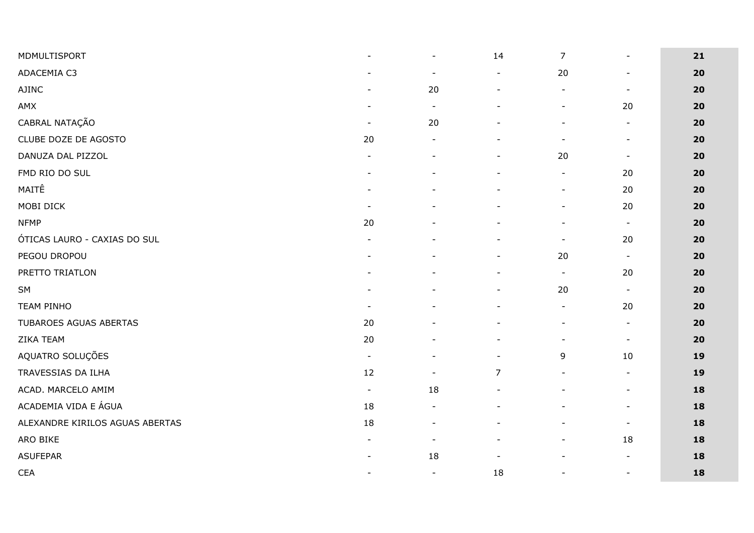| MDMULTISPORT                    | $\blacksquare$           | $\blacksquare$           | 14                           | $\overline{7}$           | $\blacksquare$           | 21 |
|---------------------------------|--------------------------|--------------------------|------------------------------|--------------------------|--------------------------|----|
| ADACEMIA C3                     |                          | $\overline{\phantom{a}}$ | $\qquad \qquad \blacksquare$ | 20                       | $\sim$                   | 20 |
| <b>AJINC</b>                    | $\overline{\phantom{a}}$ | 20                       | $\overline{\phantom{a}}$     | $\overline{\phantom{a}}$ | $\sim$                   | 20 |
| AMX                             |                          | $\overline{\phantom{a}}$ | $\overline{a}$               |                          | 20                       | 20 |
| CABRAL NATAÇÃO                  | $\overline{\phantom{a}}$ | 20                       | $\overline{\phantom{a}}$     |                          | $\blacksquare$           | 20 |
| CLUBE DOZE DE AGOSTO            | 20                       |                          | $\overline{\phantom{0}}$     |                          | $\blacksquare$           | 20 |
| DANUZA DAL PIZZOL               | $\blacksquare$           |                          | $\overline{\phantom{a}}$     | 20                       | $\blacksquare$           | 20 |
| FMD RIO DO SUL                  |                          |                          | $\overline{\phantom{a}}$     | $\overline{\phantom{0}}$ | 20                       | 20 |
| MAITÊ                           |                          |                          | $\qquad \qquad \blacksquare$ | $\overline{\phantom{a}}$ | 20                       | 20 |
| MOBI DICK                       | $\blacksquare$           |                          | $\qquad \qquad \blacksquare$ | $\overline{a}$           | 20                       | 20 |
| <b>NFMP</b>                     | 20                       |                          |                              |                          | $\blacksquare$           | 20 |
| ÓTICAS LAURO - CAXIAS DO SUL    |                          |                          | $\frac{1}{2}$                |                          | 20                       | 20 |
| PEGOU DROPOU                    |                          |                          |                              | 20                       | $\blacksquare$           | 20 |
| PRETTO TRIATLON                 |                          |                          | $\overline{\phantom{m}}$     | $\blacksquare$           | 20                       | 20 |
| SM                              |                          |                          | $\blacksquare$               | 20                       | $\blacksquare$           | 20 |
| <b>TEAM PINHO</b>               | $\overline{\phantom{a}}$ |                          | $\blacksquare$               | $\overline{\phantom{a}}$ | 20                       | 20 |
| TUBAROES AGUAS ABERTAS          | 20                       |                          | $\overline{\phantom{m}}$     |                          | $\sim$                   | 20 |
| ZIKA TEAM                       | 20                       |                          | $\qquad \qquad \blacksquare$ | $\overline{\phantom{0}}$ | $\blacksquare$           | 20 |
| AQUATRO SOLUÇÕES                | $\blacksquare$           |                          | $\blacksquare$               | 9                        | 10                       | 19 |
| TRAVESSIAS DA ILHA              | 12                       | $\blacksquare$           | $\overline{7}$               | $\overline{\phantom{a}}$ | $\blacksquare$           | 19 |
| ACAD. MARCELO AMIM              | $\overline{\phantom{a}}$ | 18                       | $\overline{\phantom{a}}$     |                          | $\overline{\phantom{a}}$ | 18 |
| ACADEMIA VIDA E ÁGUA            | 18                       | $\overline{\phantom{a}}$ | $\blacksquare$               |                          | $\sim$                   | 18 |
| ALEXANDRE KIRILOS AGUAS ABERTAS | 18                       |                          |                              |                          | $\overline{\phantom{a}}$ | 18 |
| ARO BIKE                        | $\blacksquare$           | $\blacksquare$           | $\overline{\phantom{a}}$     | $\overline{\phantom{0}}$ | 18                       | 18 |
| <b>ASUFEPAR</b>                 |                          | 18                       | $\overline{\phantom{a}}$     |                          | $\blacksquare$           | 18 |
| <b>CEA</b>                      | $\overline{\phantom{a}}$ | $\blacksquare$           | 18                           | $\overline{\phantom{a}}$ | $\sim$                   | 18 |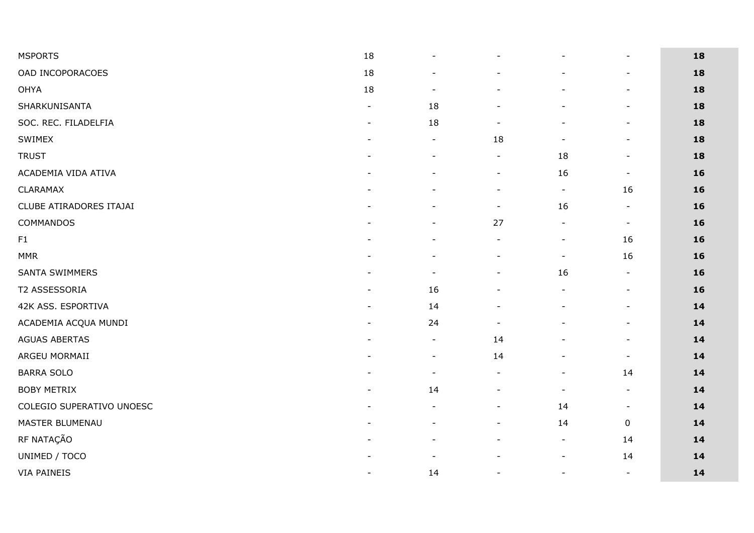| <b>MSPORTS</b>            | 18                           | $\blacksquare$           |                          |                          | $\blacksquare$           | 18 |
|---------------------------|------------------------------|--------------------------|--------------------------|--------------------------|--------------------------|----|
| OAD INCOPORACOES          | 18                           |                          |                          |                          | $\blacksquare$           | 18 |
| OHYA                      | 18                           | $\overline{\phantom{a}}$ |                          |                          | $\overline{\phantom{a}}$ | 18 |
| SHARKUNISANTA             | $\overline{a}$               | 18                       |                          |                          | $\blacksquare$           | 18 |
| SOC. REC. FILADELFIA      | $\overline{\phantom{a}}$     | 18                       | $\overline{\phantom{a}}$ |                          | $\overline{\phantom{a}}$ | 18 |
| SWIMEX                    | $\overline{\phantom{0}}$     | $\blacksquare$           | 18                       | $\overline{\phantom{a}}$ | $\blacksquare$           | 18 |
| <b>TRUST</b>              |                              | $\overline{\phantom{a}}$ | $\blacksquare$           | 18                       | $\blacksquare$           | 18 |
| ACADEMIA VIDA ATIVA       |                              |                          | $\blacksquare$           | 16                       | $\blacksquare$           | 16 |
| CLARAMAX                  |                              |                          | $\overline{\phantom{a}}$ | $\blacksquare$           | 16                       | 16 |
| CLUBE ATIRADORES ITAJAI   | $\blacksquare$               | $\sim$                   | $\blacksquare$           | 16                       | $\blacksquare$           | 16 |
| COMMANDOS                 | $\overline{a}$               | $\overline{\phantom{a}}$ | 27                       | $\blacksquare$           | $\blacksquare$           | 16 |
| F1                        |                              |                          |                          |                          | 16                       | 16 |
| <b>MMR</b>                |                              |                          | $\overline{\phantom{a}}$ | $\blacksquare$           | 16                       | 16 |
| <b>SANTA SWIMMERS</b>     |                              |                          |                          | 16                       | $\blacksquare$           | 16 |
| T2 ASSESSORIA             |                              | 16                       |                          |                          | $\blacksquare$           | 16 |
| 42K ASS. ESPORTIVA        | $\qquad \qquad \blacksquare$ | 14                       |                          |                          | $\blacksquare$           | 14 |
| ACADEMIA ACQUA MUNDI      |                              | 24                       | $\blacksquare$           |                          | $\blacksquare$           | 14 |
| <b>AGUAS ABERTAS</b>      |                              | $\blacksquare$           | 14                       |                          | $\blacksquare$           | 14 |
| ARGEU MORMAII             |                              | $\overline{\phantom{a}}$ | 14                       |                          | $\overline{\phantom{a}}$ | 14 |
| <b>BARRA SOLO</b>         | $\overline{\phantom{0}}$     | $\blacksquare$           | $\blacksquare$           | $\overline{\phantom{a}}$ | 14                       | 14 |
| <b>BOBY METRIX</b>        | $\overline{a}$               | 14                       |                          |                          | $\blacksquare$           | 14 |
| COLEGIO SUPERATIVO UNOESC |                              |                          | $\overline{\phantom{a}}$ | 14                       | $\blacksquare$           | 14 |
| MASTER BLUMENAU           |                              |                          | $\blacksquare$           | 14                       | $\mathbf 0$              | 14 |
| RF NATAÇÃO                |                              |                          |                          | $\blacksquare$           | 14                       | 14 |
| UNIMED / TOCO             |                              |                          |                          | $\sim$                   | 14                       | 14 |
| <b>VIA PAINEIS</b>        | $\overline{a}$               | 14                       | $\blacksquare$           | $\blacksquare$           | $\blacksquare$           | 14 |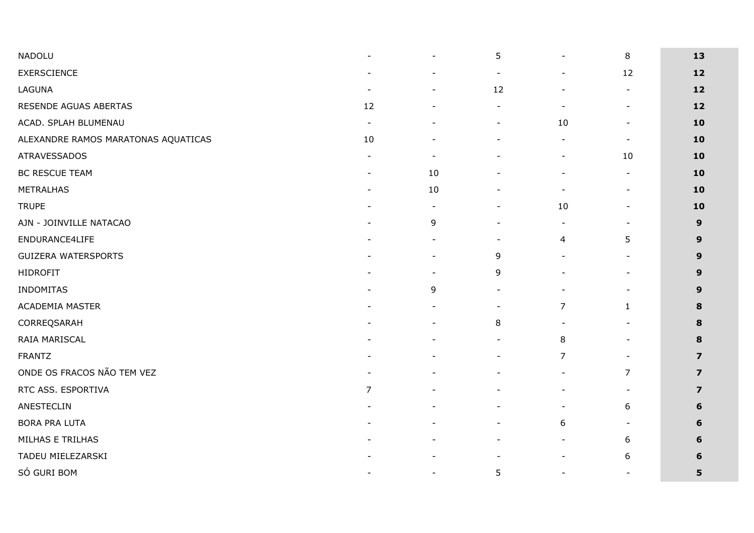| NADOLU                              | $\overline{\phantom{0}}$ |                          | 5                        | $\overline{a}$               | 8                        | 13             |
|-------------------------------------|--------------------------|--------------------------|--------------------------|------------------------------|--------------------------|----------------|
| <b>EXERSCIENCE</b>                  |                          | $\blacksquare$           | $\blacksquare$           | $\blacksquare$               | 12                       | 12             |
| LAGUNA                              | $\overline{\phantom{a}}$ |                          | 12                       |                              | $\blacksquare$           | 12             |
| RESENDE AGUAS ABERTAS               | 12                       |                          |                          | $\qquad \qquad \blacksquare$ | $\blacksquare$           | $12$           |
| ACAD. SPLAH BLUMENAU                | $\overline{\phantom{a}}$ |                          |                          | 10                           |                          | 10             |
| ALEXANDRE RAMOS MARATONAS AQUATICAS | 10                       |                          |                          | $\blacksquare$               | $\sim$                   | 10             |
| <b>ATRAVESSADOS</b>                 |                          |                          |                          | $\overline{\phantom{a}}$     | 10                       | 10             |
| <b>BC RESCUE TEAM</b>               | $\blacksquare$           | 10                       |                          | $\blacksquare$               | $\blacksquare$           | 10             |
| <b>METRALHAS</b>                    | $\overline{a}$           | 10                       | $\overline{\phantom{0}}$ | $\overline{\phantom{a}}$     | $\blacksquare$           | 10             |
| <b>TRUPE</b>                        |                          | $\overline{\phantom{a}}$ |                          | 10                           | $\overline{\phantom{a}}$ | 10             |
| AJN - JOINVILLE NATACAO             | $\qquad \qquad$          | 9                        | $\overline{\phantom{a}}$ | $\blacksquare$               | $\blacksquare$           | 9              |
| ENDURANCE4LIFE                      |                          |                          |                          | $\overline{\mathbf{r}}$      | 5                        | 9              |
| <b>GUIZERA WATERSPORTS</b>          |                          |                          | 9                        |                              |                          | 9              |
| <b>HIDROFIT</b>                     |                          |                          | 9                        |                              |                          | 9              |
| <b>INDOMITAS</b>                    |                          | 9                        | $\blacksquare$           | $\overline{\phantom{0}}$     | $\overline{\phantom{a}}$ | 9              |
| ACADEMIA MASTER                     |                          |                          | $\blacksquare$           | $\overline{7}$               | $\mathbf{1}$             | 8              |
| CORREQSARAH                         |                          |                          | 8                        |                              |                          | 8              |
| RAIA MARISCAL                       |                          |                          | $\overline{\phantom{a}}$ | 8                            | $\overline{\phantom{a}}$ | 8              |
| <b>FRANTZ</b>                       |                          |                          |                          | 7                            |                          | 7              |
| ONDE OS FRACOS NÃO TEM VEZ          |                          |                          | $\overline{\phantom{0}}$ | $\blacksquare$               | $\overline{7}$           | $\overline{z}$ |
| RTC ASS. ESPORTIVA                  | 7                        |                          |                          |                              | $\overline{\phantom{a}}$ | 7              |
| ANESTECLIN                          |                          |                          |                          | $\blacksquare$               | 6                        | 6              |
| <b>BORA PRA LUTA</b>                |                          |                          |                          | 6                            | $\overline{\phantom{a}}$ | 6              |
| MILHAS E TRILHAS                    |                          |                          |                          | $\blacksquare$               | 6                        | 6              |
| TADEU MIELEZARSKI                   |                          |                          |                          | $\blacksquare$               | 6                        | 6              |
| SÓ GURI BOM                         | $\overline{\phantom{0}}$ | $\blacksquare$           | 5                        | $\overline{\phantom{a}}$     | $\overline{\phantom{a}}$ | 5              |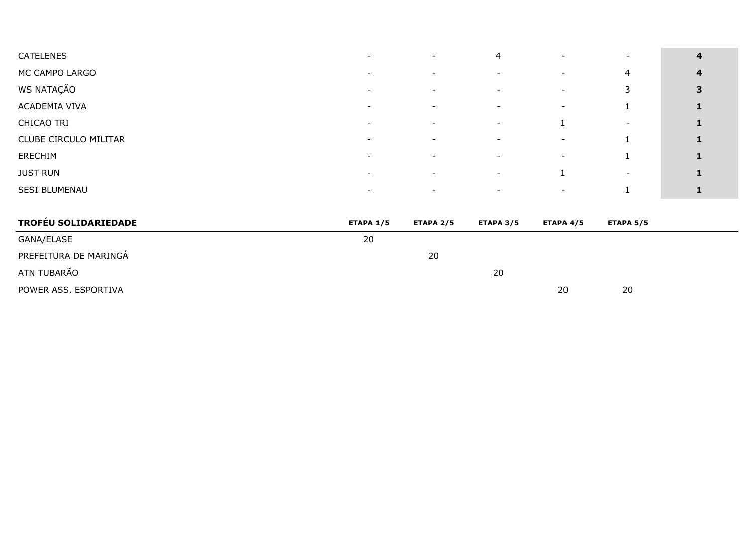| <b>CATELENES</b>            |                          |                          | 4                        |                          |                          | $\overline{\mathbf{4}}$ |
|-----------------------------|--------------------------|--------------------------|--------------------------|--------------------------|--------------------------|-------------------------|
| MC CAMPO LARGO              | $\overline{\phantom{0}}$ | $\blacksquare$           |                          | $\overline{\phantom{a}}$ | 4                        | $\overline{\mathbf{4}}$ |
| WS NATAÇÃO                  |                          |                          |                          |                          | 3                        | 3                       |
| ACADEMIA VIVA               | $\overline{\phantom{0}}$ | $\overline{\phantom{a}}$ |                          | $\blacksquare$           |                          | 1                       |
| CHICAO TRI                  |                          |                          | $\overline{\phantom{a}}$ |                          |                          | $\mathbf{1}$            |
| CLUBE CIRCULO MILITAR       | $\overline{\phantom{0}}$ | $\overline{\phantom{a}}$ |                          | $\overline{\phantom{a}}$ |                          | 1                       |
| ERECHIM                     | $\overline{\phantom{0}}$ | $\overline{\phantom{a}}$ | $\sim$                   | $\overline{\phantom{a}}$ |                          | $\mathbf{1}$            |
| <b>JUST RUN</b>             | $\blacksquare$           | $\overline{\phantom{a}}$ | $\overline{\phantom{a}}$ | 1                        | $\overline{\phantom{a}}$ | 1                       |
| SESI BLUMENAU               | $\overline{\phantom{0}}$ |                          |                          | $\overline{\phantom{0}}$ |                          | 1                       |
| <b>TROFÉU SOLIDARIEDADE</b> | <b>ETAPA 1/5</b>         | <b>ETAPA 2/5</b>         | <b>ETAPA 3/5</b>         | <b>ETAPA 4/5</b>         | <b>ETAPA 5/5</b>         |                         |
| GANA/ELASE                  | 20                       |                          |                          |                          |                          |                         |
| PREFEITURA DE MARINGÁ       |                          | 20                       |                          |                          |                          |                         |
| ATN TUBARÃO                 |                          |                          | 20                       |                          |                          |                         |
| POWER ASS. ESPORTIVA        |                          |                          |                          | 20                       | 20                       |                         |